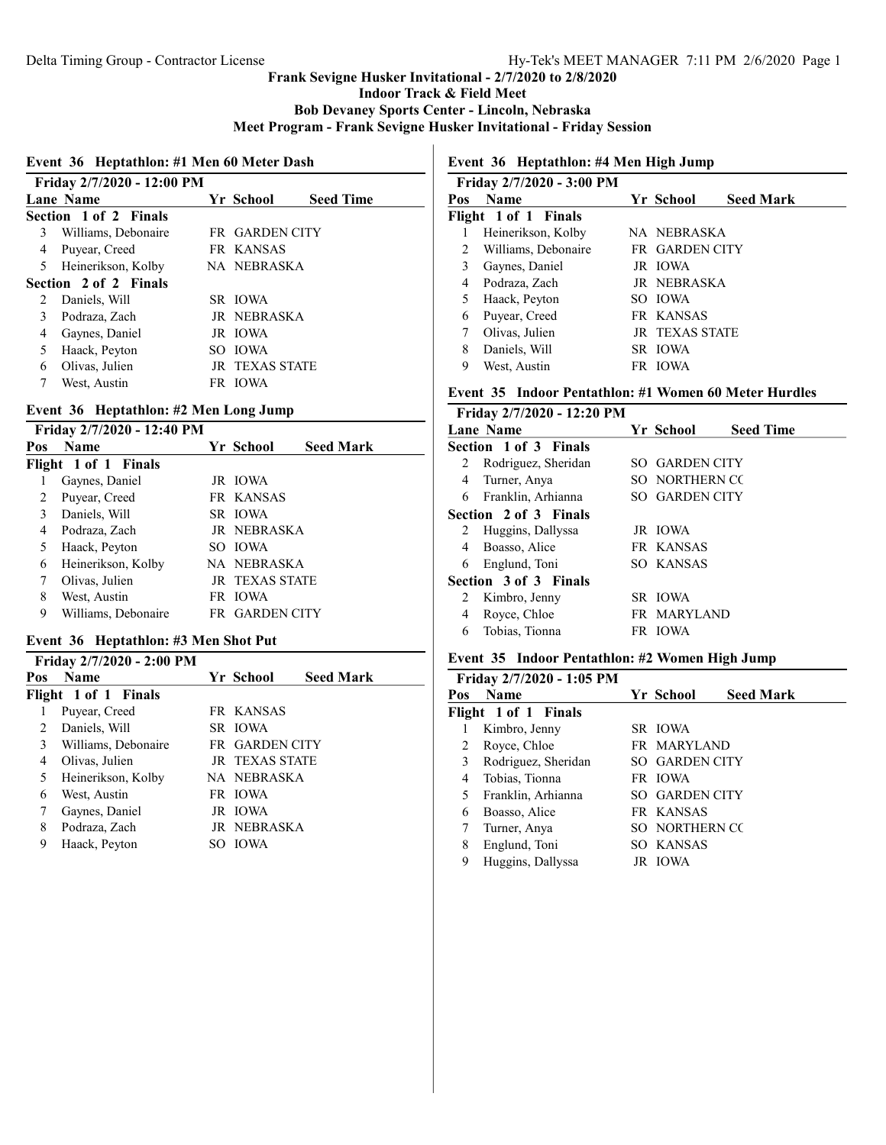Indoor Track & Field Meet

Bob Devaney Sports Center - Lincoln, Nebraska

Meet Program - Frank Sevigne Husker Invitational - Friday Session

#### Event 36 Heptathlon: #1 Men 60 Meter Dash

|   | Friday 2/7/2020 - 12:00 PM |  |                       |                  |  |  |
|---|----------------------------|--|-----------------------|------------------|--|--|
|   | Lane Name                  |  | Yr School             | <b>Seed Time</b> |  |  |
|   | Section 1 of 2 Finals      |  |                       |                  |  |  |
| 3 | Williams, Debonaire        |  | FR GARDEN CITY        |                  |  |  |
| 4 | Puyear, Creed              |  | FR KANSAS             |                  |  |  |
| 5 | Heinerikson, Kolby         |  | NA NEBRASKA           |                  |  |  |
|   | Section 2 of 2 Finals      |  |                       |                  |  |  |
| 2 | Daniels, Will              |  | SR IOWA               |                  |  |  |
| 3 | Podraza, Zach              |  | JR NEBRASKA           |                  |  |  |
| 4 | Gaynes, Daniel             |  | JR IOWA               |                  |  |  |
| 5 | Haack, Peyton              |  | SO JOWA               |                  |  |  |
| 6 | Olivas, Julien             |  | <b>JR TEXAS STATE</b> |                  |  |  |
|   | West, Austin               |  | FR IOWA               |                  |  |  |
|   |                            |  |                       |                  |  |  |

# Event 36 Heptathlon: #2 Men Long Jump

Friday 2/7/2020 - 12:40 PM

| Pos | <b>Name</b>          | Yr School             | <b>Seed Mark</b> |
|-----|----------------------|-----------------------|------------------|
|     | Flight 1 of 1 Finals |                       |                  |
|     | Gaynes, Daniel       | JR IOWA               |                  |
| 2   | Puyear, Creed        | FR KANSAS             |                  |
| 3   | Daniels, Will        | SR IOWA               |                  |
| 4   | Podraza, Zach        | JR NEBRASKA           |                  |
| 5   | Haack, Peyton        | SO JOWA               |                  |
| 6   | Heinerikson, Kolby   | NA NEBRASKA           |                  |
| 7   | Olivas, Julien       | <b>JR TEXAS STATE</b> |                  |
| 8   | West, Austin         | FR IOWA               |                  |
| 9   | Williams, Debonaire  | FR GARDEN CITY        |                  |
|     |                      |                       |                  |

### Event 36 Heptathlon: #3 Men Shot Put

|     | Friday 2/7/2020 - 2:00 PM |                       |                  |  |
|-----|---------------------------|-----------------------|------------------|--|
| Pos | <b>Name</b>               | Yr School             | <b>Seed Mark</b> |  |
|     | Flight 1 of 1 Finals      |                       |                  |  |
|     | Puyear, Creed             | FR KANSAS             |                  |  |
| 2.  | Daniels, Will             | SR IOWA               |                  |  |
| 3   | Williams, Debonaire       | <b>FR GARDEN CITY</b> |                  |  |
| 4   | Olivas, Julien            | <b>IR TEXAS STATE</b> |                  |  |
| 5   | Heinerikson, Kolby        | NA NEBRASKA           |                  |  |
| 6   | West, Austin              | FR IOWA               |                  |  |
| 7   | Gaynes, Daniel            | JR IOWA               |                  |  |
| 8   | Podraza, Zach             | JR NEBRASKA           |                  |  |
| 9   | Haack, Peyton             | SO JOWA               |                  |  |

# Event 36 Heptathlon: #4 Men High Jump

|     | Friday 2/7/2020 - 3:00 PM |                       |                  |
|-----|---------------------------|-----------------------|------------------|
| Pos | <b>Name</b>               | Yr School             | <b>Seed Mark</b> |
|     | Flight 1 of 1 Finals      |                       |                  |
|     | Heinerikson, Kolby        | NA NEBRASKA           |                  |
| 2   | Williams, Debonaire       | FR GARDEN CITY        |                  |
| 3   | Gaynes, Daniel            | JR IOWA               |                  |
| 4   | Podraza, Zach             | JR NEBRASKA           |                  |
| 5   | Haack, Peyton             | SO JOWA               |                  |
| 6   | Puyear, Creed             | FR KANSAS             |                  |
|     | Olivas, Julien            | <b>JR TEXAS STATE</b> |                  |
| 8   | Daniels, Will             | SR IOWA               |                  |
| 9   | West, Austin              | FR IOWA               |                  |

# Event 35 Indoor Pentathlon: #1 Women 60 Meter Hurdles

|                       | Friday 2/7/2020 - 12:20 PM |  |                       |                  |  |  |
|-----------------------|----------------------------|--|-----------------------|------------------|--|--|
|                       | <b>Lane Name</b>           |  | Yr School             | <b>Seed Time</b> |  |  |
|                       | Section 1 of 3 Finals      |  |                       |                  |  |  |
| 2                     | Rodriguez, Sheridan        |  | SO GARDEN CITY        |                  |  |  |
| 4                     | Turner, Anya               |  | SO NORTHERN CO        |                  |  |  |
| 6                     | Franklin, Arhianna         |  | <b>SO GARDEN CITY</b> |                  |  |  |
| Section 2 of 3 Finals |                            |  |                       |                  |  |  |
| 2                     | Huggins, Dallyssa          |  | JR IOWA               |                  |  |  |
| 4                     | Boasso, Alice              |  | FR KANSAS             |                  |  |  |
| 6                     | Englund, Toni              |  | SO KANSAS             |                  |  |  |
|                       | Section 3 of 3 Finals      |  |                       |                  |  |  |
| 2                     | Kimbro, Jenny              |  | SR IOWA               |                  |  |  |
| 4                     | Royce, Chloe               |  | FR MARYLAND           |                  |  |  |
| 6                     | Tobias, Tionna             |  | FR IOWA               |                  |  |  |
|                       |                            |  |                       |                  |  |  |

### Event 35 Indoor Pentathlon: #2 Women High Jump

|     | Friday 2/7/2020 - 1:05 PM |                |                  |
|-----|---------------------------|----------------|------------------|
| Pos | <b>Name</b>               | Yr School      | <b>Seed Mark</b> |
|     | Flight 1 of 1 Finals      |                |                  |
|     | Kimbro, Jenny             | SR IOWA        |                  |
| 2   | Royce, Chloe              | FR MARYLAND    |                  |
| 3   | Rodriguez, Sheridan       | SO GARDEN CITY |                  |
| 4   | Tobias, Tionna            | FR IOWA        |                  |
| 5   | Franklin, Arhianna        | SO GARDEN CITY |                  |
| 6   | Boasso, Alice             | FR KANSAS      |                  |
|     | Turner, Anya              | SO NORTHERN CC |                  |
| 8   | Englund, Toni             | SO KANSAS      |                  |
| 9   | Huggins, Dallyssa         | JR IOWA        |                  |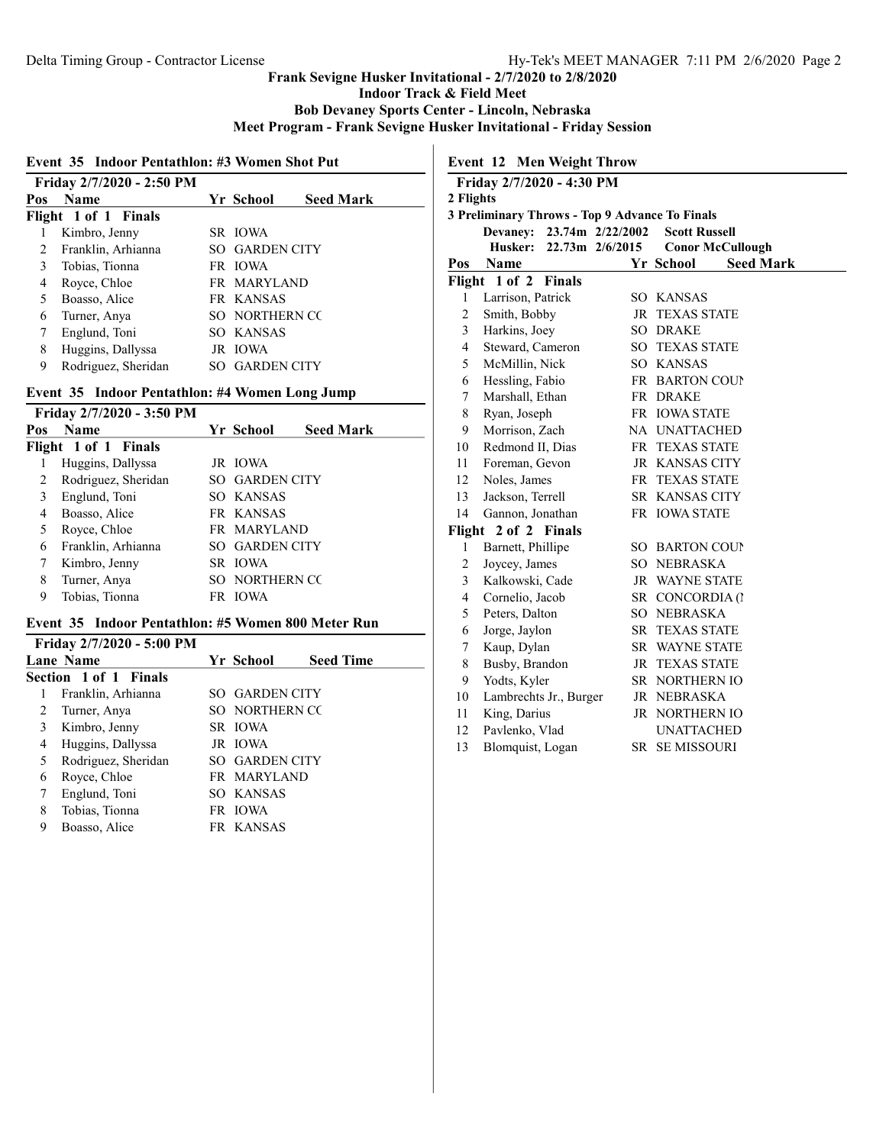Indoor Track & Field Meet

Bob Devaney Sports Center - Lincoln, Nebraska

Meet Program - Frank Sevigne Husker Invitational - Friday Session

### Event 35 Indoor Pentathlon: #3 Women Shot Put

|     | Friday 2/7/2020 - 2:50 PM |                       |                  |  |
|-----|---------------------------|-----------------------|------------------|--|
| Pos | <b>Name</b>               | Yr School             | <b>Seed Mark</b> |  |
|     | Flight 1 of 1 Finals      |                       |                  |  |
|     | Kimbro, Jenny             | SR IOWA               |                  |  |
| 2   | Franklin, Arhianna        | <b>SO GARDEN CITY</b> |                  |  |
| 3   | Tobias, Tionna            | FR IOWA               |                  |  |
| 4   | Royce, Chloe              | FR MARYLAND           |                  |  |
| 5   | Boasso, Alice             | FR KANSAS             |                  |  |
| 6   | Turner, Anya              | SO NORTHERN CO        |                  |  |
| 7   | Englund, Toni             | SO KANSAS             |                  |  |
| 8   | Huggins, Dallyssa         | JR IOWA               |                  |  |
| 9   | Rodriguez, Sheridan       | <b>SO GARDEN CITY</b> |                  |  |
|     |                           |                       |                  |  |

## Event 35 Indoor Pentathlon: #4 Women Long Jump

|     | Friday 2/7/2020 - 3:50 PM |                       |                  |  |
|-----|---------------------------|-----------------------|------------------|--|
| Pos | <b>Name</b>               | Yr School             | <b>Seed Mark</b> |  |
|     | Flight 1 of 1 Finals      |                       |                  |  |
|     | Huggins, Dallyssa         | JR IOWA               |                  |  |
| 2   | Rodriguez, Sheridan       | <b>SO GARDEN CITY</b> |                  |  |
| 3   | Englund, Toni             | SO KANSAS             |                  |  |
| 4   | Boasso, Alice             | FR KANSAS             |                  |  |
| 5   | Royce, Chloe              | FR MARYLAND           |                  |  |
| 6   | Franklin, Arhianna        | <b>SO GARDEN CITY</b> |                  |  |
| 7   | Kimbro, Jenny             | SR IOWA               |                  |  |
| 8   | Turner, Anya              | SO NORTHERN CO        |                  |  |
| 9   | Tobias, Tionna            | FR IOWA               |                  |  |

#### Event 35 Indoor Pentathlon: #5 Women 800 Meter Run

|   | Friday 2/7/2020 - 5:00 PM    |                |                  |
|---|------------------------------|----------------|------------------|
|   | <b>Lane Name</b>             | Yr School      | <b>Seed Time</b> |
|   | <b>Section 1 of 1 Finals</b> |                |                  |
| 1 | Franklin, Arhianna           | SO GARDEN CITY |                  |
| 2 | Turner, Anya                 | SO NORTHERN CC |                  |
| 3 | Kimbro, Jenny                | SR IOWA        |                  |
| 4 | Huggins, Dallyssa            | JR IOWA        |                  |
| 5 | Rodriguez, Sheridan          | SO GARDEN CITY |                  |
| 6 | Royce, Chloe                 | FR MARYLAND    |                  |
|   | Englund, Toni                | SO KANSAS      |                  |
| 8 | Tobias, Tionna               | FR IOWA        |                  |
| 9 | Boasso, Alice                | FR KANSAS      |                  |
|   |                              |                |                  |

| <b>Event 12 Men Weight Throw</b> |                                                |                     |                               |  |  |
|----------------------------------|------------------------------------------------|---------------------|-------------------------------|--|--|
|                                  | Friday 2/7/2020 - 4:30 PM                      |                     |                               |  |  |
| 2 Flights                        |                                                |                     |                               |  |  |
|                                  | 3 Preliminary Throws - Top 9 Advance To Finals |                     |                               |  |  |
|                                  | Devaney:                                       | 23.74m 2/22/2002    | <b>Scott Russell</b>          |  |  |
|                                  | Husker:                                        | $22.73m$ $2/6/2015$ | <b>Conor McCullough</b>       |  |  |
| Pos                              | <b>Name</b>                                    |                     | Yr School<br><b>Seed Mark</b> |  |  |
| Flight                           | 1 of 2 Finals                                  |                     |                               |  |  |
| 1                                | Larrison, Patrick                              |                     | SO KANSAS                     |  |  |
| 2                                | Smith, Bobby                                   | JR                  | <b>TEXAS STATE</b>            |  |  |
| 3                                | Harkins, Joey                                  |                     | <b>SO DRAKE</b>               |  |  |
| $\overline{4}$                   | Steward, Cameron                               |                     | <b>SO TEXAS STATE</b>         |  |  |
| 5                                | McMillin, Nick                                 |                     | SO KANSAS                     |  |  |
| 6                                | Hessling, Fabio                                |                     | FR BARTON COUP                |  |  |
| 7                                | Marshall, Ethan                                |                     | FR DRAKE                      |  |  |
| 8                                | Ryan, Joseph                                   |                     | FR IOWA STATE                 |  |  |
| 9                                | Morrison, Zach                                 |                     | NA UNATTACHED                 |  |  |
| 10                               | Redmond II, Dias                               |                     | FR TEXAS STATE                |  |  |
| 11                               | Foreman, Gevon                                 |                     | <b>JR KANSAS CITY</b>         |  |  |
| 12                               | Noles, James                                   |                     | FR TEXAS STATE                |  |  |
| 13                               | Jackson, Terrell                               |                     | SR KANSAS CITY                |  |  |
| 14                               | Gannon, Jonathan                               |                     | FR IOWA STATE                 |  |  |
| Flight                           | 2 of 2 Finals                                  |                     |                               |  |  |
| $\mathbf{1}$                     | Barnett, Phillipe                              |                     | <b>SO BARTON COUP</b>         |  |  |
| 2                                | Joycey, James                                  |                     | SO NEBRASKA                   |  |  |
| 3                                | Kalkowski, Cade                                |                     | <b>JR WAYNE STATE</b>         |  |  |
| $\overline{4}$                   | Cornelio, Jacob                                |                     | SR CONCORDIA (1               |  |  |
| 5                                | Peters, Dalton                                 |                     | SO NEBRASKA                   |  |  |
| 6                                | Jorge, Jaylon                                  |                     | <b>SR TEXAS STATE</b>         |  |  |
| 7                                | Kaup, Dylan                                    |                     | SR WAYNE STATE                |  |  |
| 8                                | Busby, Brandon                                 |                     | <b>JR TEXAS STATE</b>         |  |  |
| 9                                | Yodts, Kyler                                   |                     | SR NORTHERN IO                |  |  |
| 10                               | Lambrechts Jr., Burger                         |                     | JR NEBRASKA                   |  |  |
| 11                               | King, Darius                                   |                     | <b>JR NORTHERN IO</b>         |  |  |
| 12                               | Pavlenko, Vlad                                 |                     | <b>UNATTACHED</b>             |  |  |

13 Blomquist, Logan SR SE MISSOURI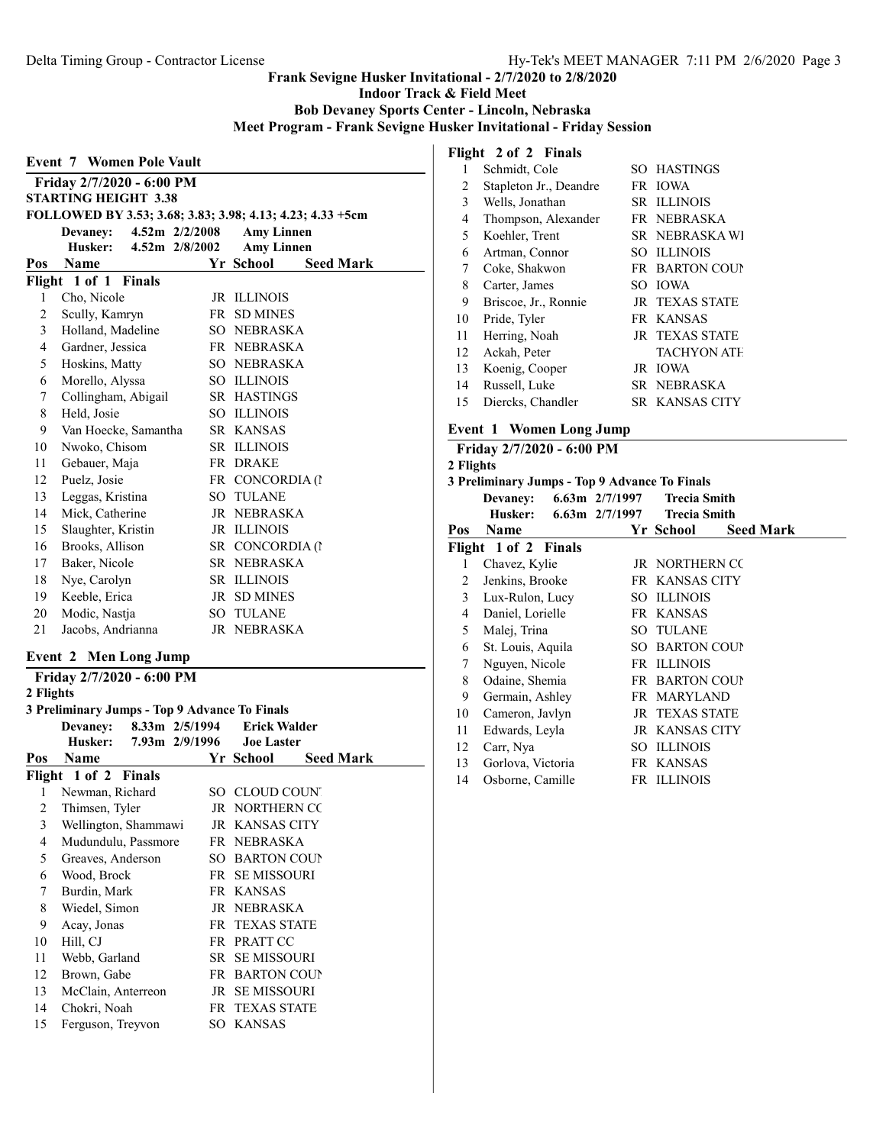Indoor Track & Field Meet

Bob Devaney Sports Center - Lincoln, Nebraska

Meet Program - Frank Sevigne Husker Invitational - Friday Session

# Event 7 Women Pole Vault Friday 2/7/2020 - 6:00 PM STARTING HEIGHT 3.38 FOLLOWED BY 3.53; 3.68; 3.83; 3.98; 4.13; 4.23; 4.33 +5cm Devaney: 4.52m 2/2/2008 Amy Linnen Husker: 4.52m 2/8/2002 Amy Linnen Pos Name Yr School Seed Mark Flight 1 of 1 Finals 1 Cho, Nicole JR ILLINOIS 2 Scully, Kamryn FR SD MINES 3 Holland, Madeline SO NEBRASKA 4 Gardner, Jessica FR NEBRASKA 5 Hoskins, Matty SO NEBRASKA 6 Morello, Alyssa SO ILLINOIS 7 Collingham, Abigail SR HASTINGS 8 Held, Josie SO ILLINOIS 9 Van Hoecke, Samantha SR KANSAS 10 Nwoko, Chisom SR ILLINOIS 11 Gebauer, Maja FR DRAKE 12 Puelz, Josie FR CONCORDIA (N 13 Leggas, Kristina SO TULANE 14 Mick, Catherine JR NEBRASKA 15 Slaughter, Kristin JR ILLINOIS 16 Brooks, Allison SR CONCORDIA (1 17 Baker, Nicole SR NEBRASKA 18 Nye, Carolyn SR ILLINOIS 19 Keeble, Erica JR SD MINES 20 Modic, Nastja SO TULANE 21 Jacobs, Andrianna JR NEBRASKA

#### Event 2 Men Long Jump

Friday 2/7/2020 - 6:00 PM 2 Flights 3 Preliminary Jumps - Top 9 Advance To Finals Devaney: 8.33m 2/5/1994 Erick Walder  $7.93m$   $2/9/1996$ Pos Name Yr School Seed Mark Flight 1 of 2 Finals 1 Newman, Richard SO CLOUD COUNT 2 Thimsen, Tyler JR NORTHERN CO 3 Wellington, Shammawi JR KANSAS CITY 4 Mudundulu, Passmore FR NEBRASKA 5 Greaves, Anderson SO BARTON COUNT 6 Wood, Brock FR SE MISSOURI 7 Burdin, Mark FR KANSAS 8 Wiedel, Simon JR NEBRASKA 9 Acay, Jonas FR TEXAS STATE 10 Hill, CJ FR PRATT CC 11 Webb, Garland SR SE MISSOURI 12 Brown, Gabe FR BARTON COUNT 13 McClain, Anterreon JR SE MISSOURI 14 Chokri, Noah FR TEXAS STATE 15 Ferguson, Treyvon SO KANSAS

### Flight 2 of 2 Finals

| o  |                        |                       |
|----|------------------------|-----------------------|
| 1  | Schmidt, Cole          | SO HASTINGS           |
| 2  | Stapleton Jr., Deandre | FR IOWA               |
| 3  | Wells, Jonathan        | <b>SR ILLINOIS</b>    |
| 4  | Thompson, Alexander    | FR NEBRASKA           |
| 5  | Koehler, Trent         | SR NEBRASKA WI        |
| 6  | Artman, Connor         | SO ILLINOIS           |
| 7  | Coke, Shakwon          | <b>FR BARTON COUP</b> |
| 8  | Carter, James          | SO IOWA               |
| 9  | Briscoe, Jr., Ronnie   | <b>JR TEXAS STATE</b> |
| 10 | Pride, Tyler           | FR KANSAS             |
| 11 | Herring, Noah          | <b>JR TEXAS STATE</b> |
| 12 | Ackah, Peter           | <b>TACHYON ATH</b>    |
| 13 | Koenig, Cooper         | JR IOWA               |
| 14 | Russell, Luke          | SR NEBRASKA           |
| 15 | Diercks, Chandler      | SR KANSAS CITY        |
|    |                        |                       |

# Event 1 Women Long Jump

|           | Friday 2/7/2020 - 6:00 PM                     |  |                             |                  |  |  |
|-----------|-----------------------------------------------|--|-----------------------------|------------------|--|--|
| 2 Flights |                                               |  |                             |                  |  |  |
|           | 3 Preliminary Jumps - Top 9 Advance To Finals |  |                             |                  |  |  |
|           | <b>Devaney:</b>                               |  | 6.63m 2/7/1997 Trecia Smith |                  |  |  |
|           | Husker:                                       |  | 6.63m 2/7/1997 Trecia Smith |                  |  |  |
| Pos       | Name                                          |  | Yr School                   | <b>Seed Mark</b> |  |  |
|           | Flight 1 of 2 Finals                          |  |                             |                  |  |  |
| 1         | Chavez, Kylie                                 |  | JR NORTHERN CC              |                  |  |  |
| 2         | Jenkins, Brooke                               |  | FR KANSAS CITY              |                  |  |  |
| 3         | Lux-Rulon, Lucy                               |  | SO ILLINOIS                 |                  |  |  |
| 4         | Daniel, Lorielle                              |  | FR KANSAS                   |                  |  |  |
| 5         | Malej, Trina                                  |  | <b>SO TULANE</b>            |                  |  |  |
| 6         | St. Louis, Aquila                             |  | <b>SO BARTON COUP</b>       |                  |  |  |
| 7         | Nguyen, Nicole                                |  | FR ILLINOIS                 |                  |  |  |
| 8         | Odaine, Shemia                                |  | FR BARTON COUP              |                  |  |  |
| 9         | Germain, Ashley                               |  | FR MARYLAND                 |                  |  |  |
| 10        | Cameron, Javlyn                               |  | <b>JR TEXAS STATE</b>       |                  |  |  |
| 11        | Edwards, Leyla                                |  | <b>JR KANSAS CITY</b>       |                  |  |  |
| 12        | Carr, Nya                                     |  | SO ILLINOIS                 |                  |  |  |
| 13        | Gorlova, Victoria                             |  | FR KANSAS                   |                  |  |  |
| 14        | Osborne, Camille                              |  | FR ILLINOIS                 |                  |  |  |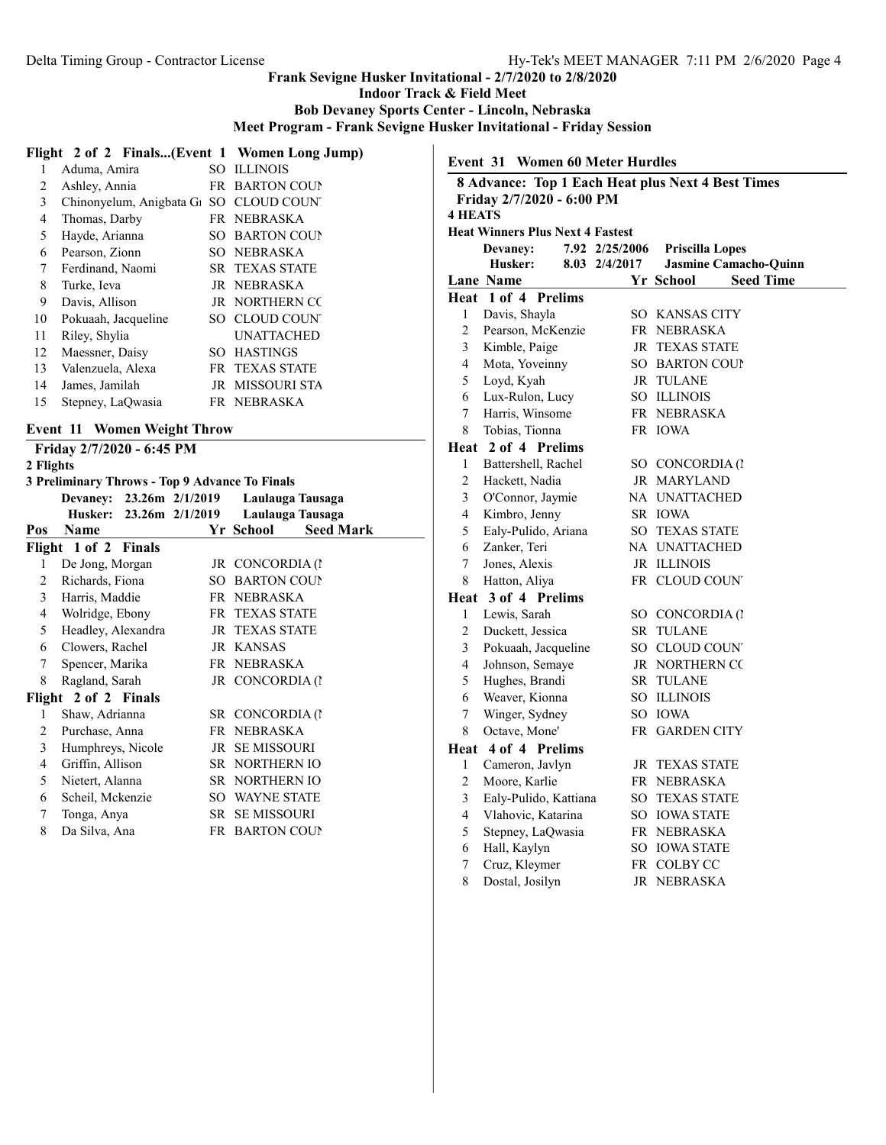Indoor Track & Field Meet

Bob Devaney Sports Center - Lincoln, Nebraska

Meet Program - Frank Sevigne Husker Invitational - Friday Session

|    | Flight 2 of 2 Finals(Event 1 Women Long Jump)                   |      |                       |
|----|-----------------------------------------------------------------|------|-----------------------|
| 1  | Aduma, Amira                                                    | SO.  | <b>ILLINOIS</b>       |
| 2  | Ashley, Annia                                                   | FR - | <b>BARTON COUP</b>    |
| 3  | Chinonyelum, Anigbata G <sub>1</sub> SO CLOUD COUN <sup>'</sup> |      |                       |
| 4  | Thomas, Darby                                                   |      | FR NEBRASKA           |
| 5  | Hayde, Arianna                                                  |      | SO BARTON COUP        |
| 6  | Pearson, Zionn                                                  | SO.  | <b>NEBRASKA</b>       |
| 7  | Ferdinand, Naomi                                                |      | <b>SR TEXAS STATE</b> |
| 8  | Turke, Ieva                                                     |      | JR NEBRASKA           |
| 9  | Davis, Allison                                                  |      | <b>JR NORTHERN CC</b> |
| 10 | Pokuaah, Jacqueline                                             |      | SO CLOUD COUNT        |
| 11 | Riley, Shylia                                                   |      | <b>UNATTACHED</b>     |
| 12 | Maessner, Daisy                                                 | SO.  | <b>HASTINGS</b>       |
| 13 | Valenzuela, Alexa                                               |      | <b>FR TEXAS STATE</b> |
| 14 | James, Jamilah                                                  |      | JR MISSOURI STA       |
| 15 | Stepney, LaOwasia                                               |      | FR NEBRASKA           |
|    |                                                                 |      |                       |

# Event 11 Women Weight Throw

# Friday 2/7/2020 - 6:45 PM

# 2 Flights

|  |  | 3 Preliminary Throws - Top 9 Advance To Finals |  |  |  |  |  |
|--|--|------------------------------------------------|--|--|--|--|--|
|--|--|------------------------------------------------|--|--|--|--|--|

|     | Devaney: 23.26m 2/1/2019 |                         |                       | Laulauga Tausaga |
|-----|--------------------------|-------------------------|-----------------------|------------------|
|     |                          | Husker: 23.26m 2/1/2019 |                       | Laulauga Tausaga |
| Pos | Name                     |                         | Yr School             | <b>Seed Mark</b> |
|     | Flight 1 of 2 Finals     |                         |                       |                  |
| 1   | De Jong, Morgan          |                         | JR CONCORDIA (1       |                  |
| 2   | Richards, Fiona          |                         | <b>SO BARTON COUP</b> |                  |
| 3   | Harris, Maddie           |                         | FR NEBRASKA           |                  |
| 4   | Wolridge, Ebony          |                         | FR TEXAS STATE        |                  |
| 5   | Headley, Alexandra       |                         | <b>JR TEXAS STATE</b> |                  |
| 6   | Clowers, Rachel          |                         | JR KANSAS             |                  |
| 7   | Spencer, Marika          |                         | FR NEBRASKA           |                  |
| 8   | Ragland, Sarah           |                         | JR CONCORDIA (1       |                  |
|     | Flight 2 of 2 Finals     |                         |                       |                  |
| 1   | Shaw, Adrianna           |                         | SR CONCORDIA (1       |                  |
| 2   | Purchase, Anna           |                         | FR NEBRASKA           |                  |
| 3   | Humphreys, Nicole        |                         | <b>JR SEMISSOURI</b>  |                  |
| 4   | Griffin, Allison         |                         | SR NORTHERN IO        |                  |
| 5   | Nietert, Alanna          |                         | SR NORTHERN IO        |                  |
| 6   | Scheil, Mckenzie         |                         | <b>SO WAYNE STATE</b> |                  |
| 7   | Tonga, Anya              |                         | <b>SR SEMISSOURI</b>  |                  |
| 8   | Da Silva, Ana            |                         | FR BARTON COUP        |                  |

Event 31 Women 60 Meter Hurdles

|                | 8 Advance: Top 1 Each Heat plus Next 4 Best Times |                |                        |                       |
|----------------|---------------------------------------------------|----------------|------------------------|-----------------------|
|                | Friday 2/7/2020 - 6:00 PM                         |                |                        |                       |
| <b>4 HEATS</b> |                                                   |                |                        |                       |
|                | <b>Heat Winners Plus Next 4 Fastest</b>           |                |                        |                       |
|                | Devaney:                                          | 7.92 2/25/2006 | <b>Priscilla Lopes</b> |                       |
|                | Husker:                                           | 8.03 2/4/2017  |                        | Jasmine Camacho-Quinn |
|                | <b>Lane Name</b>                                  |                | Yr School              | <b>Seed Time</b>      |
|                | Heat 1 of 4 Prelims                               |                |                        |                       |
| 1              | Davis, Shayla                                     |                | SO KANSAS CITY         |                       |
| $\overline{c}$ | Pearson, McKenzie                                 |                | FR NEBRASKA            |                       |
| 3              | Kimble, Paige                                     |                | <b>JR TEXAS STATE</b>  |                       |
| 4              | Mota, Yoveinny                                    |                | SO BARTON COUP         |                       |
| 5              | Loyd, Kyah                                        |                | JR TULANE              |                       |
| 6              | Lux-Rulon, Lucy                                   |                | SO ILLINOIS            |                       |
| 7              | Harris, Winsome                                   |                | FR NEBRASKA            |                       |
| 8              | Tobias, Tionna                                    |                | FR IOWA                |                       |
|                | Heat 2 of 4 Prelims                               |                |                        |                       |
| 1              | Battershell, Rachel                               |                | SO CONCORDIA (1        |                       |
| 2              | Hackett, Nadia                                    |                | JR MARYLAND            |                       |
| 3              | O'Connor, Jaymie                                  |                | NA UNATTACHED          |                       |
| 4              | Kimbro, Jenny                                     |                | SR IOWA                |                       |
| 5              | Ealy-Pulido, Ariana                               |                | <b>SO TEXAS STATE</b>  |                       |
| 6              | Zanker, Teri                                      |                | NA UNATTACHED          |                       |
| 7              | Jones, Alexis                                     |                | JR ILLINOIS            |                       |
| 8              | Hatton, Aliya                                     |                | FR CLOUD COUNT         |                       |
|                | Heat 3 of 4 Prelims                               |                |                        |                       |
| $\mathbf{1}$   | Lewis, Sarah                                      |                | SO CONCORDIA (1        |                       |
| 2              | Duckett, Jessica                                  |                | SR TULANE              |                       |
| 3              | Pokuaah, Jacqueline                               |                | SO CLOUD COUNT         |                       |
| 4              | Johnson, Semaye                                   |                | <b>JR NORTHERN CC</b>  |                       |
| 5              | Hughes, Brandi                                    |                | SR TULANE              |                       |
| 6              | Weaver, Kionna                                    |                | SO ILLINOIS            |                       |
| 7              | Winger, Sydney                                    |                | SO IOWA                |                       |
| 8              | Octave, Mone'                                     |                | FR GARDEN CITY         |                       |
|                | Heat 4 of 4 Prelims                               |                |                        |                       |
| 1              | Cameron, Javlyn                                   |                | <b>JR TEXAS STATE</b>  |                       |
| 2              | Moore, Karlie                                     |                | FR NEBRASKA            |                       |
| 3              | Ealy-Pulido, Kattiana                             |                | <b>SO TEXAS STATE</b>  |                       |
| 4              | Vlahovic, Katarina                                |                | SO IOWA STATE          |                       |
| 5              | Stepney, LaQwasia                                 |                | FR NEBRASKA            |                       |
| 6              | Hall, Kaylyn                                      |                | SO IOWA STATE          |                       |
| 7              | Cruz, Kleymer                                     |                | FR COLBY CC            |                       |
| 8              | Dostal, Josilyn                                   |                | JR NEBRASKA            |                       |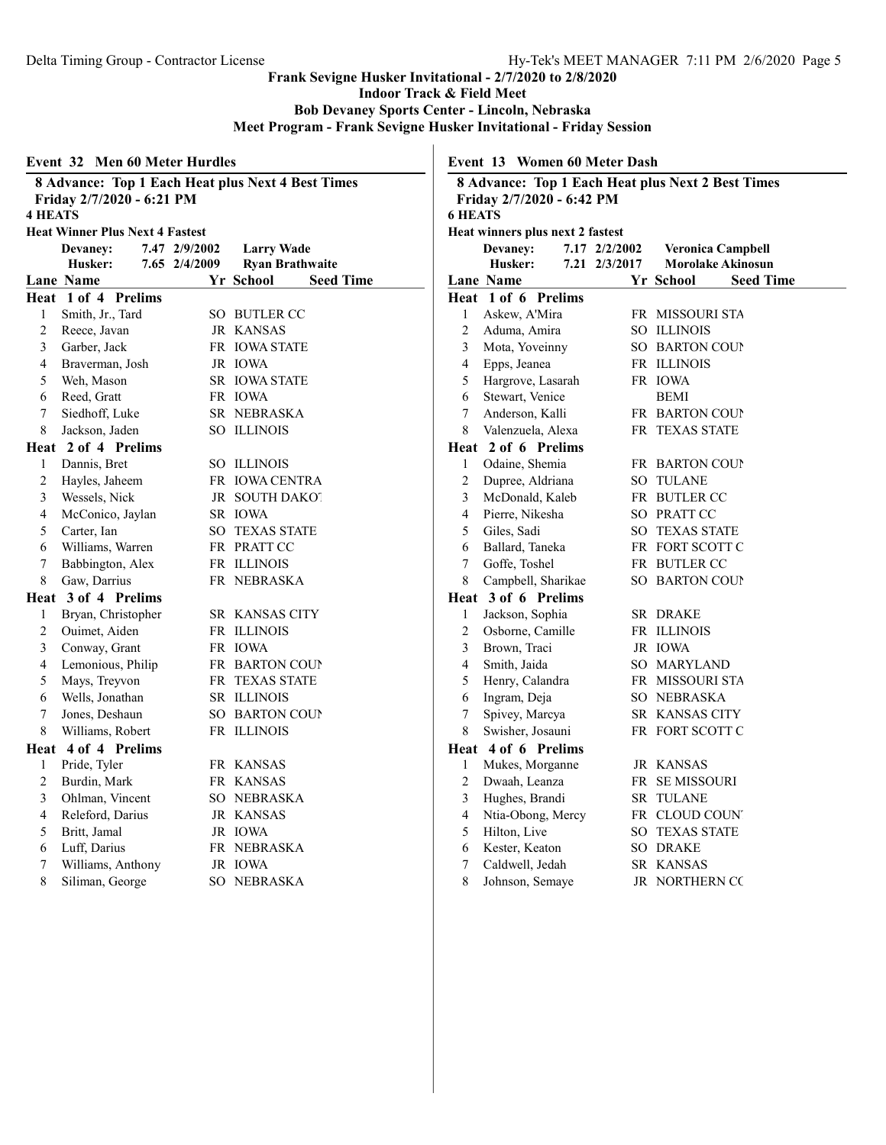Indoor Track & Field Meet

Bob Devaney Sports Center - Lincoln, Nebraska

Meet Program - Frank Sevigne Husker Invitational - Friday Session

|                | <b>Event 32 Men 60 Meter Hurdles</b>                                           |                               |                | Event 13 Women 60 Meter Dash     |               |                                                   |
|----------------|--------------------------------------------------------------------------------|-------------------------------|----------------|----------------------------------|---------------|---------------------------------------------------|
| <b>4 HEATS</b> | 8 Advance: Top 1 Each Heat plus Next 4 Best Times<br>Friday 2/7/2020 - 6:21 PM |                               | <b>6 HEATS</b> | Friday 2/7/2020 - 6:42 PM        |               | 8 Advance: Top 1 Each Heat plus Next 2 Best Times |
|                | <b>Heat Winner Plus Next 4 Fastest</b>                                         |                               |                | Heat winners plus next 2 fastest |               |                                                   |
|                | Devaney:<br>7.47 2/9/2002                                                      | <b>Larry Wade</b>             |                | Devaney:                         | 7.17 2/2/2002 | <b>Veronica Campbell</b>                          |
|                | Husker:<br>7.65 2/4/2009                                                       | <b>Ryan Brathwaite</b>        |                | Husker:                          | 7.21 2/3/2017 | <b>Morolake Akinosun</b>                          |
|                | Lane Name                                                                      | Yr School<br><b>Seed Time</b> |                | Lane Name                        |               | Yr School<br><b>Seed Time</b>                     |
|                | Heat 1 of 4 Prelims                                                            |                               |                | Heat 1 of 6 Prelims              |               |                                                   |
| $\mathbf{1}$   | Smith, Jr., Tard                                                               | SO BUTLER CC                  | $\mathbf{1}$   | Askew, A'Mira                    |               | FR MISSOURI STA                                   |
| $\overline{2}$ | Reece, Javan                                                                   | JR KANSAS                     | $\overline{2}$ | Aduma, Amira                     |               | SO ILLINOIS                                       |
| 3              | Garber, Jack                                                                   | FR IOWA STATE                 | 3              | Mota, Yoveinny                   |               | <b>SO BARTON COUP</b>                             |
| 4              | Braverman, Josh                                                                | JR IOWA                       | $\overline{4}$ | Epps, Jeanea                     |               | FR ILLINOIS                                       |
| 5              | Weh, Mason                                                                     | <b>SR IOWA STATE</b>          | 5              | Hargrove, Lasarah                |               | FR IOWA                                           |
| 6              | Reed, Gratt                                                                    | FR IOWA                       | 6              | Stewart, Venice                  |               | <b>BEMI</b>                                       |
| 7              | Siedhoff, Luke                                                                 | SR NEBRASKA                   | 7              | Anderson, Kalli                  |               | FR BARTON COUP                                    |
| 8              | Jackson, Jaden                                                                 | SO ILLINOIS                   | 8              | Valenzuela, Alexa                |               | FR TEXAS STATE                                    |
|                | Heat 2 of 4 Prelims                                                            |                               | Heat           | 2 of 6 Prelims                   |               |                                                   |
| $\mathbf{1}$   | Dannis, Bret                                                                   | SO ILLINOIS                   | $\mathbf{1}$   | Odaine, Shemia                   |               | FR BARTON COUP                                    |
| 2              | Hayles, Jaheem                                                                 | FR IOWA CENTRA                | $\overline{2}$ | Dupree, Aldriana                 |               | <b>SO TULANE</b>                                  |
| 3              | Wessels, Nick                                                                  | JR SOUTH DAKOT                | $\mathfrak{Z}$ | McDonald, Kaleb                  |               | FR BUTLER CC                                      |
| 4              | McConico, Jaylan                                                               | SR IOWA                       | $\overline{4}$ | Pierre, Nikesha                  |               | SO PRATT CC                                       |
| 5              | Carter, Ian                                                                    | <b>SO TEXAS STATE</b>         | 5              | Giles, Sadi                      |               | <b>SO TEXAS STATE</b>                             |
| 6              | Williams, Warren                                                               | FR PRATT CC                   | 6              | Ballard, Taneka                  |               | FR FORT SCOTT C                                   |
| 7              | Babbington, Alex                                                               | FR ILLINOIS                   | 7              | Goffe, Toshel                    |               | FR BUTLER CC                                      |
| 8              | Gaw, Darrius                                                                   | FR NEBRASKA                   | 8              | Campbell, Sharikae               |               | SO BARTON COUP                                    |
|                | Heat 3 of 4 Prelims                                                            |                               | Heat           | 3 of 6 Prelims                   |               |                                                   |
| $\mathbf{1}$   | Bryan, Christopher                                                             | SR KANSAS CITY                | $\mathbf{1}$   | Jackson, Sophia                  |               | SR DRAKE                                          |
| $\overline{2}$ | Ouimet, Aiden                                                                  | FR ILLINOIS                   | $\overline{2}$ | Osborne, Camille                 |               | FR ILLINOIS                                       |
| 3              | Conway, Grant                                                                  | FR IOWA                       | 3              | Brown, Traci                     |               | JR IOWA                                           |
| 4              | Lemonious, Philip                                                              | FR BARTON COUP                | $\overline{4}$ | Smith, Jaida                     |               | SO MARYLAND                                       |
| 5              | Mays, Treyvon                                                                  | FR TEXAS STATE                | 5              | Henry, Calandra                  |               | FR MISSOURI STA                                   |
| 6              | Wells, Jonathan                                                                | SR ILLINOIS                   | 6              | Ingram, Deja                     |               | SO NEBRASKA                                       |
| 7              | Jones, Deshaun                                                                 | SO BARTON COUP                | 7              | Spivey, Marcya                   |               | SR KANSAS CITY                                    |
| 8              | Williams, Robert                                                               | FR ILLINOIS                   | 8              | Swisher, Josauni                 |               | FR FORT SCOTT C                                   |
|                | Heat 4 of 4 Prelims                                                            |                               | Heat           | 4 of 6 Prelims                   |               |                                                   |
| 1              | Pride, Tyler                                                                   | FR KANSAS                     | $\mathbf{1}$   | Mukes, Morganne                  |               | JR KANSAS                                         |
| 2              | Burdin, Mark                                                                   | FR KANSAS                     | $\overline{2}$ | Dwaah, Leanza                    |               | FR SE MISSOURI                                    |
| 3              | Ohlman, Vincent                                                                | SO NEBRASKA                   | $\mathfrak{Z}$ | Hughes, Brandi                   |               | <b>SR TULANE</b>                                  |
| 4              | Releford, Darius                                                               | JR KANSAS                     | $\overline{4}$ | Ntia-Obong, Mercy                |               | FR CLOUD COUNT                                    |
| 5              | Britt, Jamal                                                                   | JR IOWA                       | 5              | Hilton, Live                     |               | SO TEXAS STATE                                    |
| 6              | Luff, Darius                                                                   | FR NEBRASKA                   | 6              | Kester, Keaton                   |               | SO DRAKE                                          |
| 7              | Williams, Anthony                                                              | JR IOWA                       | 7              | Caldwell, Jedah                  |               | SR KANSAS                                         |
| $\,$ 8 $\,$    | Siliman, George                                                                | SO NEBRASKA                   | 8              | Johnson, Semaye                  |               | JR NORTHERN CC                                    |
|                |                                                                                |                               |                |                                  |               |                                                   |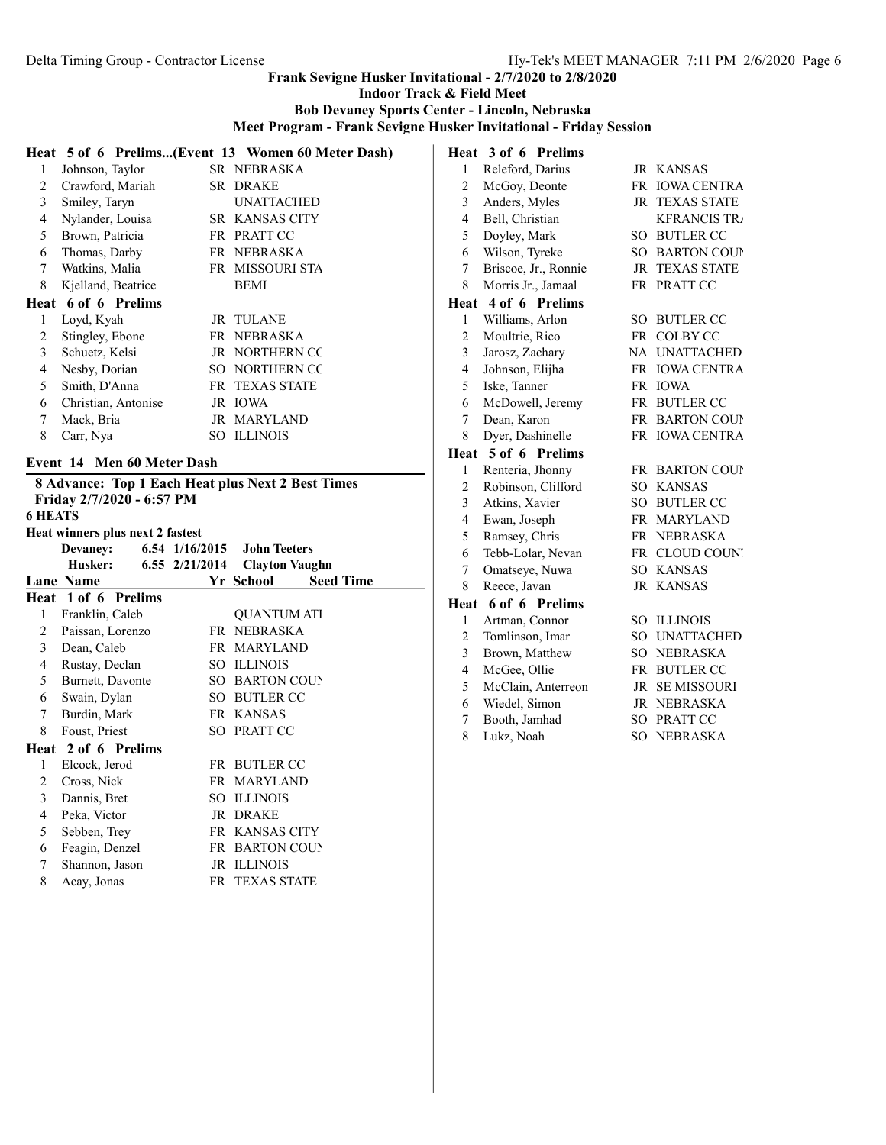Indoor Track & Field Meet

Bob Devaney Sports Center - Lincoln, Nebraska

Meet Program - Frank Sevigne Husker Invitational - Friday Session

|   |                     | Heat 5 of 6 Prelims(Event 13 Women 60 Meter Dash) |
|---|---------------------|---------------------------------------------------|
| 1 | Johnson, Taylor     | SR NEBRASKA                                       |
| 2 | Crawford, Mariah    | SR DRAKE                                          |
| 3 | Smiley, Taryn       | <b>UNATTACHED</b>                                 |
| 4 | Nylander, Louisa    | SR KANSAS CITY                                    |
| 5 | Brown, Patricia     | FR PRATT CC                                       |
| 6 | Thomas, Darby       | FR NEBRASKA                                       |
| 7 | Watkins, Malia      | FR MISSOURI STA                                   |
| 8 | Kjelland, Beatrice  | <b>BEMI</b>                                       |
|   | Heat 6 of 6 Prelims |                                                   |
| 1 | Loyd, Kyah          | JR TULANE                                         |
| 2 | Stingley, Ebone     | FR NEBRASKA                                       |
| 3 | Schuetz, Kelsi      | <b>JR NORTHERN CC</b>                             |
| 4 | Nesby, Dorian       | SO NORTHERN CO                                    |
| 5 | Smith, D'Anna       | FR TEXAS STATE                                    |
| 6 | Christian, Antonise | JR IOWA                                           |
| 7 | Mack, Bria          | JR MARYLAND                                       |
| 8 | Carr, Nya           | SO ILLINOIS                                       |
|   |                     |                                                   |

# Event 14 Men 60 Meter Dash

|                |                                  |                        | <b>8 Advance: Top 1 Each Heat plus Next 2 Best Times</b> |  |
|----------------|----------------------------------|------------------------|----------------------------------------------------------|--|
|                | Friday 2/7/2020 - 6:57 PM        |                        |                                                          |  |
| <b>6 HEATS</b> |                                  |                        |                                                          |  |
|                | Heat winners plus next 2 fastest |                        |                                                          |  |
|                | <b>Devaney:</b>                  |                        | 6.54 1/16/2015 John Teeters                              |  |
|                | Husker:                          | $6.55 \quad 2/21/2014$ | <b>Clayton Vaughn</b>                                    |  |
|                | <b>Lane Name</b>                 |                        | Yr School<br><b>Seed Time</b>                            |  |
|                | Heat 1 of 6 Prelims              |                        |                                                          |  |
| 1              | Franklin, Caleb                  |                        | <b>OUANTUM ATI</b>                                       |  |
| 2              | Paissan, Lorenzo                 |                        | FR NEBRASKA                                              |  |
| $\mathfrak{Z}$ | Dean, Caleb                      |                        | FR MARYLAND                                              |  |
| 4              | Rustay, Declan                   |                        | SO ILLINOIS                                              |  |
| 5              | Burnett, Davonte                 |                        | <b>SO BARTON COUP</b>                                    |  |
| 6              | Swain, Dylan                     |                        | SO BUTLER CC                                             |  |
| $\tau$         | Burdin, Mark                     |                        | FR KANSAS                                                |  |
| 8              | Foust, Priest                    |                        | SO PRATT CC                                              |  |
|                | Heat 2 of 6 Prelims              |                        |                                                          |  |
| 1              | Elcock, Jerod                    |                        | FR BUTLER CC                                             |  |
| 2              | Cross, Nick                      |                        | FR MARYLAND                                              |  |
| 3              | Dannis, Bret                     | SO.                    | <b>ILLINOIS</b>                                          |  |
| 4              | Peka, Victor                     |                        | JR DRAKE                                                 |  |
| 5              | Sebben, Trey                     |                        | <b>FR KANSAS CITY</b>                                    |  |
| 6              | Feagin, Denzel                   |                        | <b>FR BARTON COUP</b>                                    |  |
| 7              | Shannon, Jason                   |                        | JR ILLINOIS                                              |  |
| 8              | Acay, Jonas                      |                        | <b>FR TEXAS STATE</b>                                    |  |
|                |                                  |                        |                                                          |  |

| Heat                    | 3 of 6 Prelims       |    |                     |
|-------------------------|----------------------|----|---------------------|
| 1                       | Releford, Darius     |    | JR KANSAS           |
| $\overline{2}$          | McGoy, Deonte        | FR | <b>IOWA CENTRA</b>  |
| 3                       | Anders, Myles        | JR | <b>TEXAS STATE</b>  |
| 4                       | Bell, Christian      |    | <b>KFRANCIS TRA</b> |
| 5                       | Doyley, Mark         | SO | <b>BUTLER CC</b>    |
| 6                       | Wilson, Tyreke       |    | SO BARTON COUP      |
| 7                       | Briscoe, Jr., Ronnie | JR | <b>TEXAS STATE</b>  |
| 8                       | Morris Jr., Jamaal   | FR | PRATT CC            |
|                         | Heat 4 of 6 Prelims  |    |                     |
| $\mathbf{1}$            | Williams, Arlon      |    | SO BUTLER CC        |
| $\overline{c}$          | Moultrie, Rico       |    | FR COLBY CC         |
| 3                       | Jarosz, Zachary      |    | NA UNATTACHED       |
| $\overline{4}$          | Johnson, Elijha      | FR | <b>IOWA CENTRA</b>  |
| 5                       | Iske, Tanner         |    | FR IOWA             |
| 6                       | McDowell, Jeremy     |    | FR BUTLER CC        |
| 7                       | Dean, Karon          |    | FR BARTON COUP      |
| 8                       | Dyer, Dashinelle     |    | FR IOWA CENTRA      |
|                         | Heat 5 of 6 Prelims  |    |                     |
| 1                       | Renteria, Jhonny     | FR | <b>BARTON COUP</b>  |
| $\overline{2}$          | Robinson, Clifford   |    | SO KANSAS           |
| 3                       | Atkins, Xavier       |    | SO BUTLER CC        |
| $\overline{\mathbf{4}}$ | Ewan, Joseph         |    | FR MARYLAND         |
| 5                       | Ramsey, Chris        | FR | <b>NEBRASKA</b>     |
| 6                       | Tebb-Lolar, Nevan    | FR | <b>CLOUD COUNT</b>  |
| $\sqrt{ }$              | Omatseye, Nuwa       |    | SO KANSAS           |
| 8                       | Reece, Javan         | JR | <b>KANSAS</b>       |
| Heat                    | 6 of 6 Prelims       |    |                     |
| $\mathbf{1}$            | Artman, Connor       | SO | <b>ILLINOIS</b>     |
| $\overline{2}$          | Tomlinson, Imar      | SO | <b>UNATTACHED</b>   |
| 3                       | Brown, Matthew       | SO | <b>NEBRASKA</b>     |
| $\overline{4}$          | McGee, Ollie         |    | FR BUTLER CC        |
| 5                       | McClain, Anterreon   |    | JR SE MISSOURI      |
| 6                       | Wiedel, Simon        |    | JR NEBRASKA         |
| 7                       | Booth, Jamhad        |    | SO PRATT CC         |
| 8                       | Lukz, Noah           | SO | NEBRASKA            |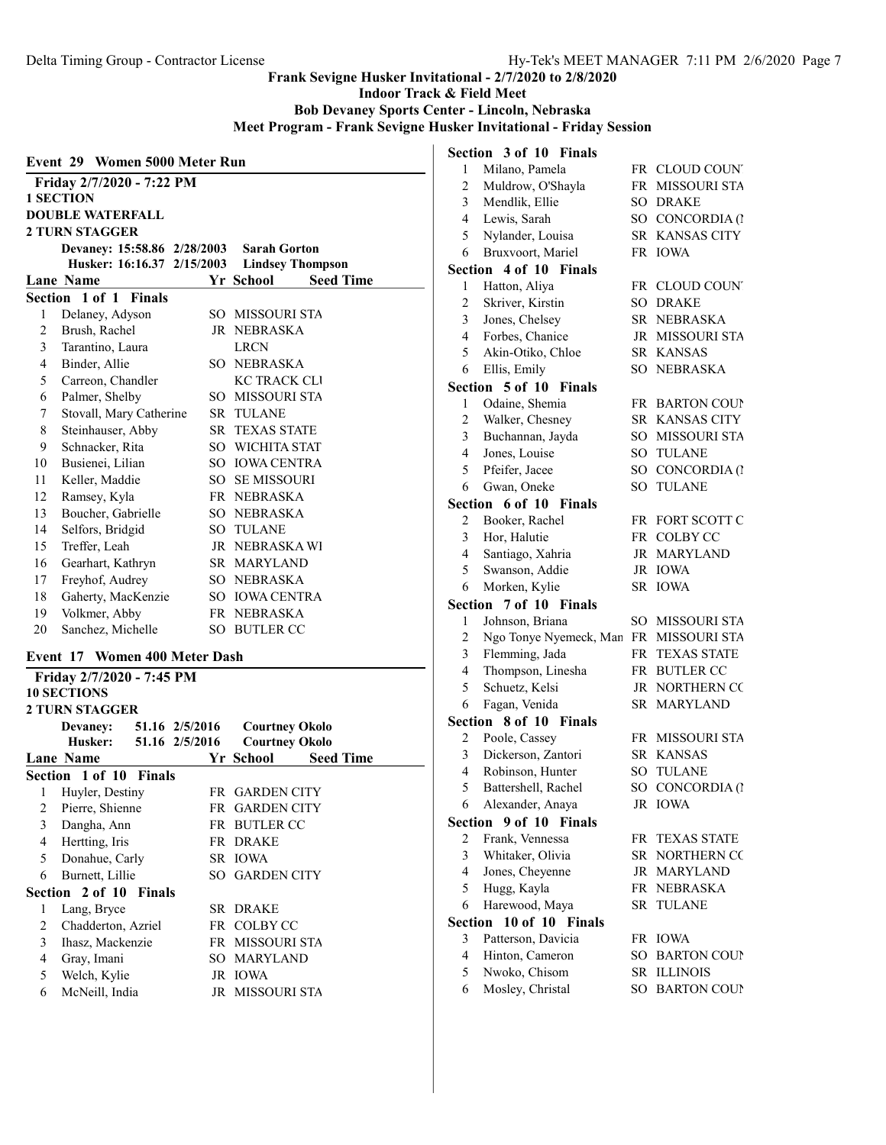Indoor Track & Field Meet

Bob Devaney Sports Center - Lincoln, Nebraska

Meet Program - Frank Sevigne Husker Invitational - Friday Session

|    | Event 29 Women 5000 Meter Run |      |                       |                         |  |
|----|-------------------------------|------|-----------------------|-------------------------|--|
|    | Friday 2/7/2020 - 7:22 PM     |      |                       |                         |  |
|    | <b>1 SECTION</b>              |      |                       |                         |  |
|    | <b>DOUBLE WATERFALL</b>       |      |                       |                         |  |
|    | <b>2 TURN STAGGER</b>         |      |                       |                         |  |
|    | Devaney: 15:58.86 2/28/2003   |      | <b>Sarah Gorton</b>   |                         |  |
|    | Husker: 16:16.37 2/15/2003    |      |                       | <b>Lindsey Thompson</b> |  |
|    | Lane Name                     |      | Yr School             | <b>Seed Time</b>        |  |
|    | Section 1 of 1 Finals         |      |                       |                         |  |
| 1  | Delaney, Adyson               |      | SO MISSOURI STA       |                         |  |
| 2  | Brush, Rachel                 |      | JR NEBRASKA           |                         |  |
| 3  | Tarantino, Laura              |      | <b>LRCN</b>           |                         |  |
| 4  | Binder, Allie                 |      | SO NEBRASKA           |                         |  |
| 5  | Carreon, Chandler             |      | <b>KC TRACK CLI</b>   |                         |  |
| 6  | Palmer, Shelby                |      | SO MISSOURI STA       |                         |  |
| 7  | Stovall, Mary Catherine       | SR - | <b>TULANE</b>         |                         |  |
| 8  | Steinhauser, Abby             |      | <b>SR TEXAS STATE</b> |                         |  |
| 9  | Schnacker, Rita               |      | SO WICHITA STAT       |                         |  |
| 10 | Busienei, Lilian              |      | SO IOWA CENTRA        |                         |  |
| 11 | Keller, Maddie                |      | <b>SO SE MISSOURI</b> |                         |  |
| 12 | Ramsey, Kyla                  |      | FR NEBRASKA           |                         |  |
| 13 | Boucher, Gabrielle            |      | SO NEBRASKA           |                         |  |
| 14 | Selfors, Bridgid              |      | <b>SO TULANE</b>      |                         |  |
| 15 | Treffer, Leah                 |      | JR NEBRASKA WI        |                         |  |
| 16 | Gearhart, Kathryn             |      | SR MARYLAND           |                         |  |
| 17 | Freyhof, Audrey               |      | SO NEBRASKA           |                         |  |
| 18 | Gaherty, MacKenzie            |      | SO IOWA CENTRA        |                         |  |
| 19 | Volkmer, Abby                 |      | FR NEBRASKA           |                         |  |
| 20 | Sanchez, Michelle             | SO   | <b>BUTLER CC</b>      |                         |  |

#### Event 17 Women 400 Meter Dash

Friday 2/7/2020 - 7:45 PM 10 SECTIONS 2 TURN STAGGER Devaney: 51.16 2/5/2016 Courtney Okolo<br>Husker: 51.16 2/5/2016 Courtney Okolo 51.16 2/5/2016 Lane Name Seed Time Section 1 of 10 Finals 1 Huyler, Destiny FR GARDEN CITY Pierre, Shienne FR GARDEN CITY Dangha, Ann FR BUTLER CC Hertting, Iris FR DRAKE 5 Donahue, Carly SR IOWA Burnett, Lillie SO GARDEN CITY Section 2 of 10 Finals Lang, Bryce SR DRAKE Chadderton, Azriel FR COLBY CC Ihasz, Mackenzie FR MISSOURI STA Gray, Imani SO MARYLAND Welch, Kylie JR IOWA McNeill, India JR MISSOURI STA

|                | Section 3 of 10 Finals           |        |                    |
|----------------|----------------------------------|--------|--------------------|
| 1              | Milano, Pamela                   |        | FR CLOUD COUNT     |
| $\overline{2}$ | Muldrow, O'Shayla                |        | FR MISSOURI STA    |
| 3              | Mendlik, Ellie                   |        | SO DRAKE           |
| 4              | Lewis, Sarah                     |        | SO CONCORDIA (1    |
| 5              | Nylander, Louisa                 |        | SR KANSAS CITY     |
| 6              | Bruxvoort, Mariel                |        | FR IOWA            |
| Section        | 4 of 10 Finals                   |        |                    |
| 1              | Hatton, Aliya                    |        | FR CLOUD COUNT     |
| $\overline{c}$ | Skriver, Kirstin                 |        | <b>SO DRAKE</b>    |
| 3              | Jones, Chelsey                   |        | SR NEBRASKA        |
| $\overline{4}$ | Forbes, Chanice                  |        | JR MISSOURI STA    |
| 5              | Akin-Otiko, Chloe                |        | SR KANSAS          |
| 6              | Ellis, Emily                     |        | SO NEBRASKA        |
|                | Section 5 of 10<br><b>Finals</b> |        |                    |
| 1              | Odaine, Shemia                   |        | FR BARTON COUP     |
| $\overline{c}$ | Walker, Chesney                  |        | SR KANSAS CITY     |
| 3              | Buchannan, Jayda                 |        | SO MISSOURI STA    |
| $\overline{4}$ | Jones, Louise                    | SO.    | <b>TULANE</b>      |
| 5              | Pfeifer, Jacee                   | SO     | CONCORDIA (1       |
| 6              | Gwan, Oneke                      | $SO^-$ | <b>TULANE</b>      |
| Section        | 6 of 10 Finals                   |        |                    |
| 2              | Booker, Rachel                   |        | FR FORT SCOTT C    |
| 3              | Hor, Halutie                     |        | FR COLBY CC        |
| 4              | Santiago, Xahria                 |        | JR MARYLAND        |
| 5              | Swanson, Addie                   |        | JR IOWA            |
| 6              | Morken, Kylie                    |        | SR IOWA            |
| Section        | 7 of 10 Finals                   |        |                    |
| 1              | Johnson, Briana                  |        | SO MISSOURI STA    |
| $\overline{c}$ | Ngo Tonye Nyemeck, Man           |        | FR MISSOURI STA    |
| 3              | Flemming, Jada                   |        | FR TEXAS STATE     |
| 4              | Thompson, Linesha                |        | FR BUTLER CC       |
| 5              | Schuetz, Kelsi                   |        | JR NORTHERN CO     |
| 6              | Fagan, Venida                    |        | SR MARYLAND        |
|                | Section 8 of 10 Finals           |        |                    |
| 2              | Poole, Cassey                    |        | FR MISSOURI STA    |
| 3              | Dickerson, Zantori               |        | SR KANSAS          |
| 4              | Robinson, Hunter                 | $SO^-$ | <b>TULANE</b>      |
| 5              | Battershell, Rachel              |        | SO CONCORDIA (1    |
| 6              | Alexander, Anaya                 |        | JR IOWA            |
| <b>Section</b> | 9 of 10<br><b>Finals</b>         |        |                    |
| 2              | Frank, Vennessa                  |        | FR TEXAS STATE     |
| 3              | Whitaker, Olivia                 |        | SR NORTHERN CC     |
| $\overline{4}$ | Jones, Cheyenne                  |        | JR MARYLAND        |
| 5              | Hugg, Kayla                      | FR     | NEBRASKA           |
| 6              | Harewood, Maya                   | SR     | <b>TULANE</b>      |
| Section        | 10 of 10 Finals                  |        |                    |
| 3              | Patterson, Davicia               | FR     | <b>IOWA</b>        |
| $\overline{4}$ |                                  |        |                    |
|                | Hinton, Cameron                  | SO.    | <b>BARTON COUP</b> |
| 5              | Nwoko, Chisom                    | SR     | <b>ILLINOIS</b>    |
| 6              | Mosley, Christal                 | SO     | <b>BARTON COUP</b> |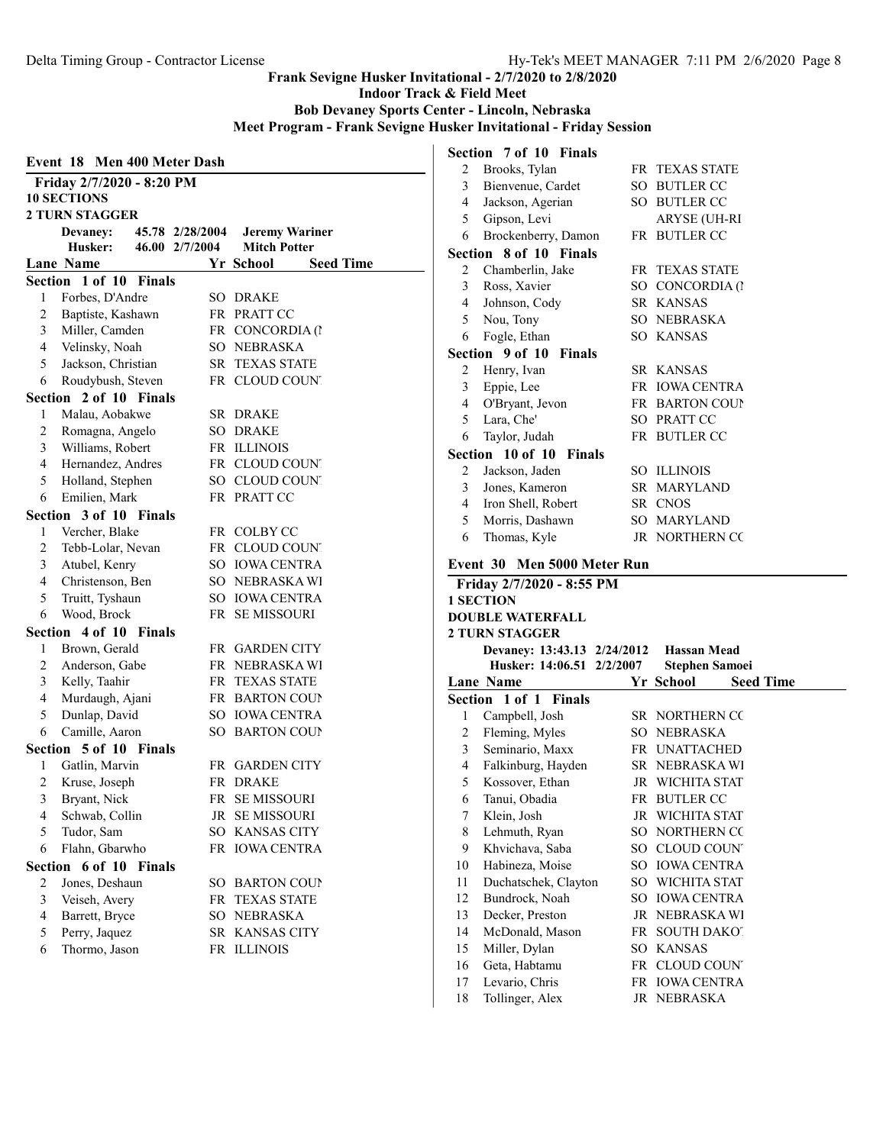Indoor Track & Field Meet

Bob Devaney Sports Center - Lincoln, Nebraska

Meet Program - Frank Sevigne Husker Invitational - Friday Session

|                | Event 18                  |               | <b>Men 400 Meter Dash</b> |                     |                       |
|----------------|---------------------------|---------------|---------------------------|---------------------|-----------------------|
|                | Friday 2/7/2020 - 8:20 PM |               |                           |                     |                       |
|                | <b>10 SECTIONS</b>        |               |                           |                     |                       |
|                | <b>2 TURN STAGGER</b>     |               |                           |                     |                       |
|                | <b>Devaney:</b>           |               | 45.78 2/28/2004           |                     | <b>Jeremy Wariner</b> |
|                | Husker:                   |               | 46.00 2/7/2004            | <b>Mitch Potter</b> |                       |
|                | <b>Lane Name</b>          |               |                           | Yr School           | <b>Seed Time</b>      |
|                | Section 1 of 10           | <b>Finals</b> |                           |                     |                       |
| 1              | Forbes, D'Andre           |               |                           | SO DRAKE            |                       |
| 2              | Baptiste, Kashawn         |               |                           | FR PRATT CC         |                       |
| 3              | Miller, Camden            |               |                           | FR CONCORDIA (1     |                       |
| $\overline{4}$ | Velinsky, Noah            |               |                           | SO NEBRASKA         |                       |
| 5              | Jackson, Christian        |               |                           | SR TEXAS STATE      |                       |
| 6              | Roudybush, Steven         |               |                           | FR CLOUD COUNT      |                       |
|                | Section 2 of 10 Finals    |               |                           |                     |                       |
| 1              | Malau, Aobakwe            |               |                           | SR DRAKE            |                       |
| $\overline{c}$ | Romagna, Angelo           |               |                           | SO DRAKE            |                       |
| 3              | Williams, Robert          |               |                           | FR ILLINOIS         |                       |
| 4              | Hernandez, Andres         |               |                           | FR CLOUD COUNT      |                       |
| 5              | Holland, Stephen          |               |                           | SO CLOUD COUNT      |                       |
| 6              | Emilien, Mark             |               |                           | FR PRATT CC         |                       |
|                | Section 3 of 10 Finals    |               |                           |                     |                       |
| 1              | Vercher, Blake            |               |                           | FR COLBY CC         |                       |
| 2              | Tebb-Lolar, Nevan         |               |                           | FR CLOUD COUNT      |                       |
| 3              | Atubel, Kenry             |               |                           | SO IOWA CENTRA      |                       |
| 4              | Christenson, Ben          |               |                           | SO NEBRASKA WI      |                       |
| 5              | Truitt, Tyshaun           |               |                           | SO IOWA CENTRA      |                       |
| 6              | Wood, Brock               |               |                           | FR SE MISSOURI      |                       |
|                | Section 4 of 10 Finals    |               |                           |                     |                       |
| 1              | Brown, Gerald             |               |                           | FR GARDEN CITY      |                       |
| 2              | Anderson, Gabe            |               |                           | FR NEBRASKAWI       |                       |
| 3              | Kelly, Taahir             |               |                           | FR TEXAS STATE      |                       |
| 4              | Murdaugh, Ajani           |               |                           | FR BARTON COUP      |                       |
| 5              | Dunlap, David             |               |                           | SO IOWA CENTRA      |                       |
| 6              | Camille, Aaron            |               |                           | SO BARTON COUP      |                       |
|                | Section 5 of 10 Finals    |               |                           |                     |                       |
| 1              | Gatlin, Marvin            |               |                           | FR GARDEN CITY      |                       |
| 2              | Kruse, Joseph             |               |                           | FR DRAKE            |                       |
| 3              | Bryant, Nick              |               | FR                        | <b>SE MISSOURI</b>  |                       |
| 4              | Schwab, Collin            |               |                           | JR SE MISSOURI      |                       |
| 5              | Tudor, Sam                |               |                           | SO KANSAS CITY      |                       |
| 6              | Flahn, Gbarwho            |               |                           | FR IOWA CENTRA      |                       |
|                | Section 6 of 10 Finals    |               |                           |                     |                       |
| $\overline{c}$ | Jones, Deshaun            |               |                           | SO BARTON COUP      |                       |
| 3              | Veiseh, Avery             |               |                           | FR TEXAS STATE      |                       |
| $\overline{4}$ | Barrett, Bryce            |               |                           | SO NEBRASKA         |                       |
| 5              | Perry, Jaquez             |               |                           | SR KANSAS CITY      |                       |
| 6              | Thormo, Jason             |               |                           | FR ILLINOIS         |                       |
|                |                           |               |                           |                     |                       |

|                | Section 7 of 10 Finals                  |     |                                   |
|----------------|-----------------------------------------|-----|-----------------------------------|
| 2              | Brooks, Tylan                           |     | FR TEXAS STATE                    |
| $\overline{3}$ | Bienvenue, Cardet                       |     | SO BUTLER CC                      |
| 4              | Jackson, Agerian                        |     | SO BUTLER CC                      |
| 5              | Gipson, Levi                            |     | ARYSE (UH-RI                      |
| 6              | Brockenberry, Damon                     |     | FR BUTLER CC                      |
|                | Section 8 of 10 Finals                  |     |                                   |
| 2              | Chamberlin, Jake                        |     | FR TEXAS STATE                    |
| 3              | Ross, Xavier                            |     | SO CONCORDIA (1                   |
| 4              | Johnson, Cody                           |     | SR KANSAS                         |
| 5              | Nou, Tony                               |     | SO NEBRASKA                       |
| 6              | Fogle, Ethan                            |     | SO KANSAS                         |
|                | Section 9 of 10<br><b>Finals</b>        |     |                                   |
| $\overline{2}$ | Henry, Ivan                             |     | SR KANSAS                         |
| 3              | Eppie, Lee                              |     | FR IOWA CENTRA                    |
| 4              | O'Bryant, Jevon                         |     | FR BARTON COUP                    |
| 5              | Lara, Che'                              |     | SO PRATT CC                       |
| 6              | Taylor, Judah                           |     | FR BUTLER CC                      |
|                | Section 10 of 10 Finals                 |     |                                   |
| $\overline{2}$ | Jackson, Jaden                          |     | SO ILLINOIS                       |
| 3              | Jones, Kameron                          |     | SR MARYLAND                       |
| 4              | Iron Shell, Robert                      |     | SR CNOS                           |
| 5              | Morris, Dashawn                         |     | SO MARYLAND                       |
| 6              | Thomas, Kyle                            |     | JR NORTHERN CC                    |
|                |                                         |     |                                   |
|                | Event 30 Men 5000 Meter Run             |     |                                   |
|                |                                         |     |                                   |
|                | Friday 2/7/2020 - 8:55 PM               |     |                                   |
|                | <b>1 SECTION</b>                        |     |                                   |
|                | <b>DOUBLE WATERFALL</b>                 |     |                                   |
|                | <b>2 TURN STAGGER</b>                   |     |                                   |
|                | Devaney: 13:43.13 2/24/2012 Hassan Mead |     |                                   |
|                | Husker: 14:06.51 2/2/2007               |     | <b>Stephen Samoei</b>             |
|                | <b>Lane Name</b>                        |     | Yr School<br><b>Seed Time</b>     |
|                | Section 1 of 1 Finals                   |     |                                   |
| $\mathbf{1}$   | Campbell, Josh                          |     | SR NORTHERN CC                    |
| 2              | Fleming, Myles                          |     | SO NEBRASKA                       |
| 3              | Seminario, Maxx                         |     | FR UNATTACHED                     |
| 4              | Falkinburg, Hayden                      |     | SR NEBRASKA WI                    |
| 5              | Kossover, Ethan                         |     | JR WICHITA STAT                   |
| 6              | Tanui, Obadia                           |     | FR BUTLER CC                      |
| 7              | Klein, Josh                             | JR  | WICHITA STAT                      |
| 8              | Lehmuth, Ryan                           | SO. | NORTHERN CC                       |
| 9              | Khvichava, Saba                         |     | SO CLOUD COUN'                    |
| 10             | Habineza, Moise                         |     | SO IOWA CENTRA                    |
| 11             | Duchatschek, Clayton                    |     | SO WICHITA STAT                   |
| 12             | Bundrock, Noah                          |     | SO IOWA CENTRA                    |
| 13             | Decker, Preston                         |     | JR NEBRASKA WI                    |
| 14             | McDonald, Mason                         | FR  | <b>SOUTH DAKOT</b>                |
| 15             | Miller, Dylan                           |     | SO KANSAS                         |
| 16             | Geta, Habtamu                           |     | FR CLOUD COUNT                    |
| 17<br>18       | Levario, Chris<br>Tollinger, Alex       | JR  | FR IOWA CENTRA<br><b>NEBRASKA</b> |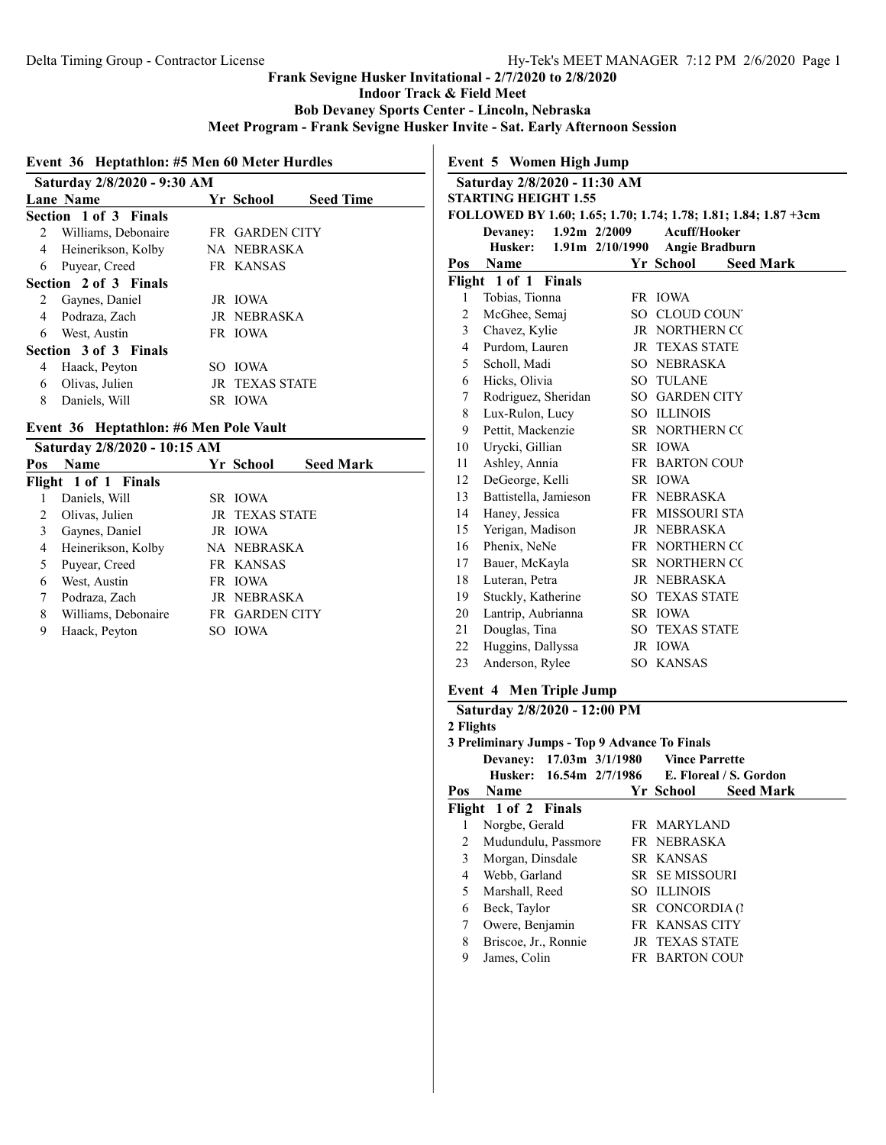Indoor Track & Field Meet

Bob Devaney Sports Center - Lincoln, Nebraska

Meet Program - Frank Sevigne Husker Invite - Sat. Early Afternoon Session

#### Event 36 Heptathlon: #5 Men 60 Meter Hurdles

|   | Saturday 2/8/2020 - 9:30 AM |  |                       |                  |  |  |
|---|-----------------------------|--|-----------------------|------------------|--|--|
|   | <b>Lane Name</b>            |  | Yr School             | <b>Seed Time</b> |  |  |
|   | Section 1 of 3 Finals       |  |                       |                  |  |  |
| 2 | Williams, Debonaire         |  | <b>FR GARDEN CITY</b> |                  |  |  |
| 4 | Heinerikson, Kolby          |  | NA NEBRASKA           |                  |  |  |
| 6 | Puyear, Creed               |  | FR KANSAS             |                  |  |  |
|   | Section 2 of 3 Finals       |  |                       |                  |  |  |
| 2 | Gaynes, Daniel              |  | JR IOWA               |                  |  |  |
| 4 | Podraza, Zach               |  | <b>IR NEBRASKA</b>    |                  |  |  |
| 6 | West, Austin                |  | FR IOWA               |                  |  |  |
|   | Section 3 of 3 Finals       |  |                       |                  |  |  |
| 4 | Haack, Peyton               |  | SO IOWA               |                  |  |  |
| 6 | Olivas, Julien              |  | <b>JR TEXAS STATE</b> |                  |  |  |
| 8 | Daniels, Will               |  | SR IOWA               |                  |  |  |

### Event 36 Heptathlon: #6 Men Pole Vault

|                      |     |             | Saturday 2/8/2020 - 10:15 AM<br>Pos                     |                                                                       |  |  |  |  |  |
|----------------------|-----|-------------|---------------------------------------------------------|-----------------------------------------------------------------------|--|--|--|--|--|
| <b>Name</b>          |     |             | <b>Seed Mark</b>                                        |                                                                       |  |  |  |  |  |
| Flight 1 of 1 Finals |     |             |                                                         |                                                                       |  |  |  |  |  |
| Daniels, Will        |     |             |                                                         |                                                                       |  |  |  |  |  |
| Olivas, Julien       |     |             |                                                         |                                                                       |  |  |  |  |  |
| Gaynes, Daniel       |     |             |                                                         |                                                                       |  |  |  |  |  |
| Heinerikson, Kolby   |     |             |                                                         |                                                                       |  |  |  |  |  |
| Puyear, Creed        |     |             |                                                         |                                                                       |  |  |  |  |  |
| West, Austin         |     |             |                                                         |                                                                       |  |  |  |  |  |
| Podraza, Zach        |     |             |                                                         |                                                                       |  |  |  |  |  |
| Williams, Debonaire  |     |             |                                                         |                                                                       |  |  |  |  |  |
| Haack, Peyton        | SO. | <b>IOWA</b> |                                                         |                                                                       |  |  |  |  |  |
|                      |     |             | Yr School<br>SR IOWA<br>JR IOWA<br>FR KANSAS<br>FR IOWA | <b>JR TEXAS STATE</b><br>NA NEBRASKA<br>JR NEBRASKA<br>FR GARDEN CITY |  |  |  |  |  |

### Event 5 Women High Jump Saturday 2/8/2020 - 11:30 AM STARTING HEIGHT 1.55 FOLLOWED BY 1.60; 1.65; 1.70; 1.74; 1.78; 1.81; 1.84; 1.87 +3cm Devaney: 1.92m 2/2009 Acuff/Hooker Husker: 1.91m 2/10/1990 Angie Bradburn Pos Name Yr School Seed Mark Flight 1 of 1 Finals 1 Tobias, Tionna FR IOWA 2 McGhee, Semaj SO CLOUD COUNTY 3 Chavez, Kylie JR NORTHERN CO 4 Purdom, Lauren JR TEXAS STATE 5 Scholl, Madi SO NEBRASKA 6 Hicks, Olivia SO TULANE 7 Rodriguez, Sheridan SO GARDEN CITY 8 Lux-Rulon, Lucy SO ILLINOIS 9 Pettit, Mackenzie SR NORTHERN CO 10 Urycki, Gillian SR IOWA 11 Ashley, Annia FR BARTON COUNT 12 DeGeorge, Kelli SR IOWA 13 Battistella, Jamieson FR NEBRASKA 14 Haney, Jessica FR MISSOURI STA 15 Yerigan, Madison JR NEBRASKA 16 Phenix, NeNe FR NORTHERN COL 17 Bauer, McKayla SR NORTHERN CO 18 Luteran, Petra JR NEBRASKA 19 Stuckly, Katherine SO TEXAS STATE 20 Lantrip, Aubrianna SR IOWA 21 Douglas, Tina SO TEXAS STATE 22 Huggins, Dallyssa JR IOWA

#### Event 4 Men Triple Jump

23 Anderson, Rylee SO KANSAS

|           | Saturday 2/8/2020 - 12:00 PM                  |  |                                         |                                                |
|-----------|-----------------------------------------------|--|-----------------------------------------|------------------------------------------------|
| 2 Flights |                                               |  |                                         |                                                |
|           | 3 Preliminary Jumps - Top 9 Advance To Finals |  |                                         |                                                |
|           |                                               |  | Devaney: 17.03m 3/1/1980 Vince Parrette |                                                |
|           |                                               |  |                                         | Husker: 16.54m 2/7/1986 E. Floreal / S. Gordon |
| Pos       | <b>Name</b>                                   |  | Yr School                               | <b>Seed Mark</b>                               |
|           | Flight 1 of 2 Finals                          |  |                                         |                                                |
| 1         | Norgbe, Gerald                                |  | FR MARYLAND                             |                                                |
| 2         | Mudundulu, Passmore                           |  | FR NEBRASKA                             |                                                |
| 3         | Morgan, Dinsdale                              |  | SR KANSAS                               |                                                |
| 4         | Webb, Garland                                 |  | <b>SR SEMISSOURI</b>                    |                                                |
| 5         | Marshall, Reed                                |  | <b>SO ILLINOIS</b>                      |                                                |
| 6         | Beck, Taylor                                  |  | SR CONCORDIA (1                         |                                                |
| 7         | Owere, Benjamin                               |  | FR KANSAS CITY                          |                                                |
| 8         | Briscoe, Jr., Ronnie                          |  | <b>JR TEXAS STATE</b>                   |                                                |
| 9         | James, Colin                                  |  | <b>FR BARTON COUP</b>                   |                                                |
|           |                                               |  |                                         |                                                |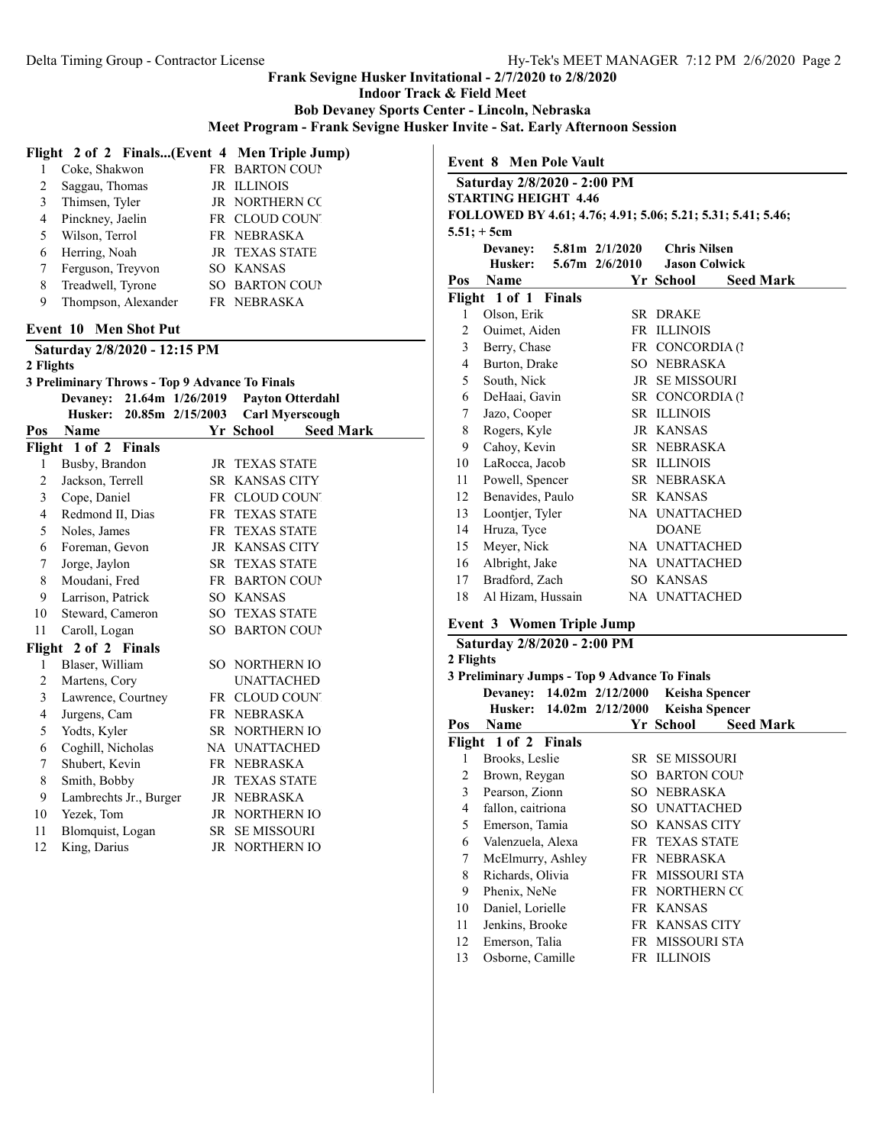Indoor Track & Field Meet

Bob Devaney Sports Center - Lincoln, Nebraska

Meet Program - Frank Sevigne Husker Invite - Sat. Early Afternoon Session

#### Flight 2 of 2 Finals...(Event 4 Men Triple Jump)

|   | Coke, Shakwon       | FR BARTON COUP        |
|---|---------------------|-----------------------|
| 2 | Saggau, Thomas      | JR ILLINOIS           |
| 3 | Thimsen, Tyler      | JR NORTHERN CO        |
| 4 | Pinckney, Jaelin    | FR CLOUD COUNT        |
| 5 | Wilson, Terrol      | FR NEBRASKA           |
| 6 | Herring, Noah       | <b>JR TEXAS STATE</b> |
|   | Ferguson, Treyvon   | SO KANSAS             |
| 8 | Treadwell, Tyrone   | SO BARTON COUP        |
| 9 | Thompson, Alexander | FR NEBRASKA           |

#### Event 10 Men Shot Put

Saturday 2/8/2020 - 12:15 PM 2 Flights

#### 3 Preliminary Throws - Top 9 Advance To Finals

|     |                        | Devaney: 21.64m 1/26/2019 |                       | <b>Payton Otterdahl</b> |  |
|-----|------------------------|---------------------------|-----------------------|-------------------------|--|
|     | Husker:                | 20.85m 2/15/2003          |                       | <b>Carl Myerscough</b>  |  |
| Pos | <b>Name</b>            |                           | Yr School             | <b>Seed Mark</b>        |  |
|     | Flight 1 of 2 Finals   |                           |                       |                         |  |
| 1   | Busby, Brandon         |                           | JR TEXAS STATE        |                         |  |
| 2   | Jackson, Terrell       |                           | SR KANSAS CITY        |                         |  |
| 3   | Cope, Daniel           |                           | FR CLOUD COUNT        |                         |  |
| 4   | Redmond II, Dias       |                           | FR TEXAS STATE        |                         |  |
| 5   | Noles, James           | FR.                       | <b>TEXAS STATE</b>    |                         |  |
| 6   | Foreman, Gevon         |                           | <b>JR KANSAS CITY</b> |                         |  |
| 7   | Jorge, Jaylon          |                           | <b>SR TEXAS STATE</b> |                         |  |
| 8   | Moudani, Fred          |                           | <b>FR BARTON COUP</b> |                         |  |
| 9   | Larrison, Patrick      |                           | SO KANSAS             |                         |  |
| 10  | Steward, Cameron       |                           | <b>SO TEXAS STATE</b> |                         |  |
| 11  | Caroll, Logan          |                           | <b>SO BARTON COUP</b> |                         |  |
|     | Flight 2 of 2 Finals   |                           |                       |                         |  |
| 1   | Blaser, William        |                           | <b>SO NORTHERN IO</b> |                         |  |
| 2   | Martens, Cory          |                           | <b>UNATTACHED</b>     |                         |  |
| 3   | Lawrence, Courtney     |                           | FR CLOUD COUNT        |                         |  |
| 4   | Jurgens, Cam           |                           | FR NEBRASKA           |                         |  |
| 5   | Yodts, Kyler           |                           | SR NORTHERN IO        |                         |  |
| 6   | Coghill, Nicholas      |                           | NA UNATTACHED         |                         |  |
| 7   | Shubert, Kevin         |                           | FR NEBRASKA           |                         |  |
| 8   | Smith, Bobby           |                           | <b>JR TEXAS STATE</b> |                         |  |
| 9   | Lambrechts Jr., Burger |                           | JR NEBRASKA           |                         |  |
| 10  | Yezek, Tom             |                           | <b>JR NORTHERN IO</b> |                         |  |
| 11  | Blomquist, Logan       |                           | SR SE MISSOURI        |                         |  |
| 12  | King, Darius           |                           | JR NORTHERN IO        |                         |  |

| <b>Event 8 Men Pole Vault</b> |                             |  |                             |                      |                                                             |  |
|-------------------------------|-----------------------------|--|-----------------------------|----------------------|-------------------------------------------------------------|--|
|                               | Saturday 2/8/2020 - 2:00 PM |  |                             |                      |                                                             |  |
|                               | <b>STARTING HEIGHT 4.46</b> |  |                             |                      |                                                             |  |
|                               |                             |  |                             |                      | FOLLOWED BY 4.61; 4.76; 4.91; 5.06; 5.21; 5.31; 5.41; 5.46; |  |
|                               | $5.51; +5cm$                |  |                             |                      |                                                             |  |
|                               |                             |  | Devaney: $5.81m$ $2/1/2020$ | <b>Chris Nilsen</b>  |                                                             |  |
|                               |                             |  | Husker: 5.67m 2/6/2010      | <b>Jason Colwick</b> |                                                             |  |
| Pos                           | <b>Name</b>                 |  |                             | Yr School            | <b>Seed Mark</b>                                            |  |
|                               | Flight 1 of 1 Finals        |  |                             |                      |                                                             |  |
| 1                             | Olson, Erik                 |  |                             | SR DRAKE             |                                                             |  |
| $\overline{2}$                | Ouimet, Aiden               |  |                             | FR ILLINOIS          |                                                             |  |
| $\mathbf{3}$                  | Berry, Chase                |  |                             | FR CONCORDIA (1      |                                                             |  |
| 4                             | Burton, Drake               |  |                             | SO NEBRASKA          |                                                             |  |
| 5                             | South, Nick                 |  |                             | <b>JR SEMISSOURI</b> |                                                             |  |
| 6                             | DeHaai, Gavin               |  |                             | SR CONCORDIA (1      |                                                             |  |
| 7                             | Jazo, Cooper                |  |                             | <b>SR ILLINOIS</b>   |                                                             |  |
| 8                             | Rogers, Kyle                |  |                             | JR KANSAS            |                                                             |  |
| 9                             | Cahoy, Kevin                |  |                             | SR NEBRASKA          |                                                             |  |
| 10                            | LaRocca, Jacob              |  |                             | SR ILLINOIS          |                                                             |  |
| 11                            | Powell, Spencer             |  |                             | SR NEBRASKA          |                                                             |  |
| 12                            | Benavides, Paulo            |  |                             | SR KANSAS            |                                                             |  |
| 13                            | Loontjer, Tyler             |  |                             | NA UNATTACHED        |                                                             |  |
| 14                            | Hruza, Tyce                 |  |                             | <b>DOANE</b>         |                                                             |  |
| 15                            | Meyer, Nick                 |  |                             | NA UNATTACHED        |                                                             |  |
| 16                            | Albright, Jake              |  |                             | NA UNATTACHED        |                                                             |  |
| 17                            | Bradford, Zach              |  |                             | SO KANSAS            |                                                             |  |
| 18                            | Al Hizam, Hussain           |  |                             | NA UNATTACHED        |                                                             |  |
|                               |                             |  |                             |                      |                                                             |  |

#### Event 3 Women Triple Jump

### Saturday 2/8/2020 - 2:00 PM 2 Flights 3 Preliminary Jumps - Top 9 Advance To Finals Devaney: 14.02m 2/12/2000 Keisha Spencer Husker: 14.02m 2/12/2000 Keisha Spencer Pos Name Yr School Seed Mark Flight 1 of 2 Finals Brooks, Leslie SR SE MISSOURI 2 Brown, Reygan SO BARTON COUNT 3 Pearson, Zionn SO NEBRASKA fallon, caitriona SO UNATTACHED Emerson, Tamia SO KANSAS CITY Valenzuela, Alexa FR TEXAS STATE McElmurry, Ashley FR NEBRASKA Richards, Olivia FR MISSOURI STA 9 Phenix, NeNe FR NORTHERN CO Daniel, Lorielle FR KANSAS Jenkins, Brooke FR KANSAS CITY 12 Emerson, Talia FR MISSOURI STA Osborne, Camille FR ILLINOIS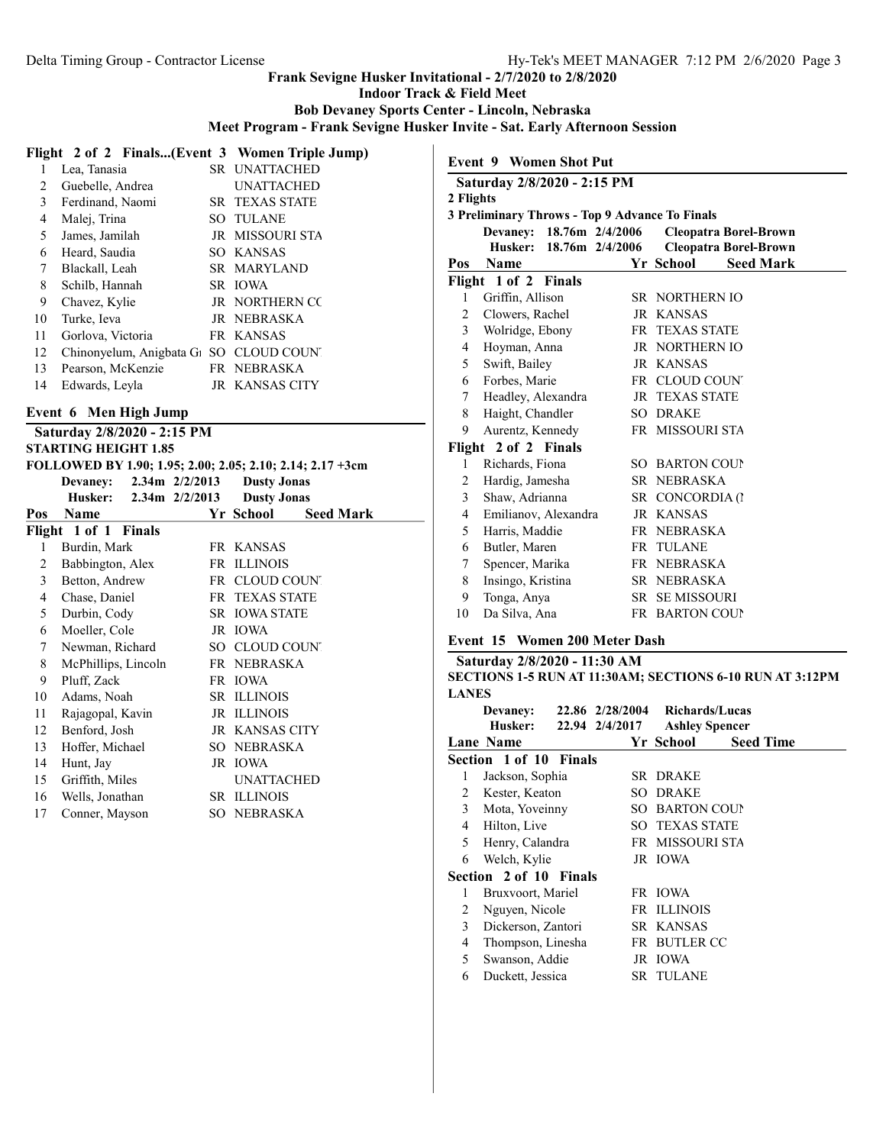Indoor Track & Field Meet

Bob Devaney Sports Center - Lincoln, Nebraska

Meet Program - Frank Sevigne Husker Invite - Sat. Early Afternoon Session

|    | Flight 2 of 2 Finals(Event 3 Women Triple Jump)                 |                        |
|----|-----------------------------------------------------------------|------------------------|
|    | Lea, Tanasia                                                    | SR UNATTACHED          |
| 2  | Guebelle, Andrea                                                | <b>UNATTACHED</b>      |
| 3  | Ferdinand, Naomi                                                | <b>SR TEXAS STATE</b>  |
| 4  | Malej, Trina                                                    | SO TULANE              |
| 5  | James, Jamilah                                                  | <b>JR MISSOURI STA</b> |
| 6  | Heard, Saudia                                                   | SO KANSAS              |
| 7  | Blackall, Leah                                                  | SR MARYLAND            |
| 8  | Schilb, Hannah                                                  | SR IOWA                |
| 9  | Chavez, Kylie                                                   | <b>JR NORTHERN CC</b>  |
| 10 | Turke, Ieva                                                     | JR NEBRASKA            |
| 11 | Gorlova, Victoria                                               | FR KANSAS              |
| 12 | Chinonyelum, Anigbata G <sub>1</sub> SO CLOUD COUN <sup>®</sup> |                        |
| 13 | Pearson, McKenzie                                               | FR NEBRASKA            |
| 14 | Edwards, Leyla                                                  | JR KANSAS CITY         |
|    |                                                                 |                        |

# Event 6 Men High Jump

|     | Saturday 2/8/2020 - 2:15 PM<br><b>STARTING HEIGHT 1.85</b> |                    |                                                           |  |  |  |  |  |
|-----|------------------------------------------------------------|--------------------|-----------------------------------------------------------|--|--|--|--|--|
|     |                                                            |                    | FOLLOWED BY 1.90; 1.95; 2.00; 2.05; 2.10; 2.14; 2.17 +3cm |  |  |  |  |  |
|     | <b>Devaney:</b>                                            | $2.34m$ $2/2/2013$ | <b>Dusty Jonas</b>                                        |  |  |  |  |  |
|     | Husker:                                                    | $2.34m$ $2/2/2013$ | <b>Dusty Jonas</b>                                        |  |  |  |  |  |
| Pos | Name                                                       |                    | Yr School<br><b>Seed Mark</b>                             |  |  |  |  |  |
|     | Flight 1 of 1 Finals                                       |                    |                                                           |  |  |  |  |  |
| 1   | Burdin, Mark                                               |                    | FR KANSAS                                                 |  |  |  |  |  |
| 2   | Babbington, Alex                                           |                    | FR ILLINOIS                                               |  |  |  |  |  |
| 3   | Betton, Andrew                                             |                    | FR CLOUD COUNT                                            |  |  |  |  |  |
| 4   | Chase, Daniel                                              |                    | <b>FR TEXAS STATE</b>                                     |  |  |  |  |  |
| 5   | Durbin, Cody                                               |                    | <b>SR IOWA STATE</b>                                      |  |  |  |  |  |
| 6   | Moeller, Cole                                              |                    | JR IOWA                                                   |  |  |  |  |  |
| 7   | Newman, Richard                                            | SO CLOUD COUNT     |                                                           |  |  |  |  |  |
| 8   | McPhillips, Lincoln                                        |                    | FR NEBRASKA                                               |  |  |  |  |  |
| 9   | Pluff, Zack                                                |                    | FR IOWA                                                   |  |  |  |  |  |
| 10  | Adams, Noah                                                |                    | <b>SR ILLINOIS</b>                                        |  |  |  |  |  |
| 11  | Rajagopal, Kavin                                           |                    | JR ILLINOIS                                               |  |  |  |  |  |
| 12  | Benford, Josh                                              |                    | <b>JR KANSAS CITY</b>                                     |  |  |  |  |  |
| 13  | Hoffer, Michael                                            |                    | SO NEBRASKA                                               |  |  |  |  |  |
| 14  | Hunt, Jay                                                  |                    | JR IOWA                                                   |  |  |  |  |  |
| 15  | Griffith, Miles                                            |                    | <b>UNATTACHED</b>                                         |  |  |  |  |  |
| 16  | Wells, Jonathan                                            |                    | <b>SR ILLINOIS</b>                                        |  |  |  |  |  |
| 17  | Conner, Mayson                                             |                    | SO NEBRASKA                                               |  |  |  |  |  |

|                | Saturday 2/8/2020 - 2:15 PM                                                |                               |
|----------------|----------------------------------------------------------------------------|-------------------------------|
| 2 Flights      |                                                                            |                               |
|                | 3 Preliminary Throws - Top 9 Advance To Finals<br>Devaney: 18.76m 2/4/2006 | <b>Cleopatra Borel-Brown</b>  |
|                | 18.76m 2/4/2006<br>Husker:                                                 | <b>Cleopatra Borel-Brown</b>  |
| Pos            | <b>Name</b>                                                                | Yr School<br><b>Seed Mark</b> |
|                | Flight 1 of 2 Finals                                                       |                               |
| 1              | Griffin, Allison                                                           | <b>SR NORTHERN IO</b>         |
| 2              | Clowers, Rachel                                                            | JR KANSAS                     |
| 3              | Wolridge, Ebony                                                            | FR TEXAS STATE                |
| 4              | Hoyman, Anna                                                               | JR NORTHERN IO                |
| 5              | Swift, Bailey                                                              | JR KANSAS                     |
| 6              | Forbes, Marie                                                              | FR CLOUD COUNT                |
| 7              | Headley, Alexandra                                                         | <b>JR TEXAS STATE</b>         |
| 8              | Haight, Chandler                                                           | <b>SO DRAKE</b>               |
| 9              | Aurentz, Kennedy                                                           | FR MISSOURI STA               |
|                | Flight 2 of 2 Finals                                                       |                               |
| 1              | Richards, Fiona                                                            | SO BARTON COUP                |
| $\overline{2}$ | Hardig, Jamesha                                                            | SR NEBRASKA                   |
| 3              | Shaw, Adrianna                                                             | SR CONCORDIA (1               |
| 4              | Emilianov, Alexandra                                                       | JR KANSAS                     |
| 5              | Harris, Maddie                                                             | FR NEBRASKA                   |
| 6              | Butler, Maren                                                              | FR TULANE                     |
| 7              | Spencer, Marika                                                            | FR NEBRASKA                   |
| 8              | Insingo, Kristina                                                          | SR NEBRASKA                   |
| 9              | Tonga, Anya                                                                | SR SE MISSOURI                |
| 10             | Da Silva, Ana                                                              | FR BARTON COUP                |

# Event 15 Women 200 Meter Dash

| Saturday 2/8/2020 - 11:30 AM                                    |
|-----------------------------------------------------------------|
| <b>SECTIONS 1-5 RUN AT 11:30AM; SECTIONS 6-10 RUN AT 3:12PM</b> |
| <b>LANES</b>                                                    |

|   | Devaney:<br>Husker:    | 22.86 2/28/2004<br>22.94 2/4/2017 |                       | <b>Richards/Lucas</b><br><b>Ashley Spencer</b> |
|---|------------------------|-----------------------------------|-----------------------|------------------------------------------------|
|   | <b>Lane Name</b>       |                                   | Yr School             | <b>Seed Time</b>                               |
|   | Section 1 of 10 Finals |                                   |                       |                                                |
| 1 | Jackson, Sophia        |                                   | SR DRAKE              |                                                |
| 2 | Kester, Keaton         |                                   | <b>SO DRAKE</b>       |                                                |
| 3 | Mota, Yoveinny         |                                   | SO BARTON COUP        |                                                |
| 4 | Hilton, Live           |                                   | <b>SO TEXAS STATE</b> |                                                |
| 5 | Henry, Calandra        |                                   | FR MISSOURI STA       |                                                |
| 6 | Welch, Kylie           |                                   | JR IOWA               |                                                |
|   | Section 2 of 10 Finals |                                   |                       |                                                |
| 1 | Bruxvoort, Mariel      |                                   | FR IOWA               |                                                |
| 2 | Nguyen, Nicole         |                                   | <b>FR ILLINOIS</b>    |                                                |
| 3 | Dickerson, Zantori     |                                   | SR KANSAS             |                                                |
| 4 | Thompson, Linesha      |                                   | FR BUTLER CC          |                                                |
| 5 | Swanson, Addie         |                                   | JR IOWA               |                                                |
| 6 | Duckett, Jessica       |                                   | <b>SR TULANE</b>      |                                                |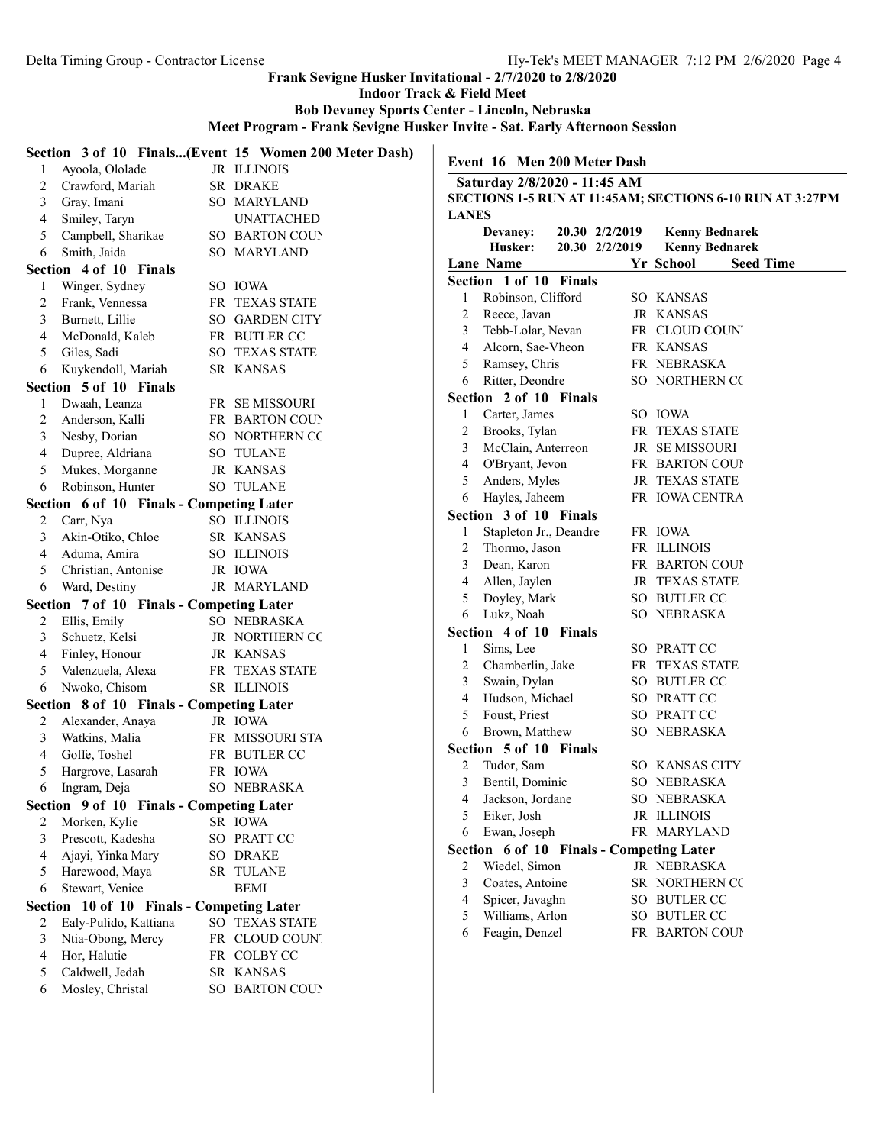Indoor Track & Field Meet

Bob Devaney Sports Center - Lincoln, Nebraska

Meet Program - Frank Sevigne Husker Invite - Sat. Early Afternoon Session

| 1 | Ayoola, Ololade                           | Section 3 of 10 Finals(Event 15 Women 200 Meter Dash)<br>JR ILLINOIS |                | Event 16 Men 200 Meter Dash              |                |                                                          |
|---|-------------------------------------------|----------------------------------------------------------------------|----------------|------------------------------------------|----------------|----------------------------------------------------------|
| 2 | Crawford, Mariah                          | SR DRAKE                                                             |                | Saturday 2/8/2020 - 11:45 AM             |                |                                                          |
| 3 | Gray, Imani                               | SO MARYLAND                                                          |                |                                          |                | SECTIONS 1-5 RUN AT 11:45AM; SECTIONS 6-10 RUN AT 3:27PM |
| 4 | Smiley, Taryn                             | <b>UNATTACHED</b>                                                    | <b>LANES</b>   |                                          |                |                                                          |
| 5 | Campbell, Sharikae                        | SO BARTON COUP                                                       |                | Devaney:                                 | 20.30 2/2/2019 | <b>Kenny Bednarek</b>                                    |
| 6 | Smith, Jaida                              | SO MARYLAND                                                          |                | Husker:                                  | 20.30 2/2/2019 | <b>Kenny Bednarek</b>                                    |
|   | Section 4 of 10 Finals                    |                                                                      |                | Lane Name                                |                | Yr School<br><b>Seed Time</b>                            |
| 1 | Winger, Sydney                            | SO IOWA                                                              |                | Section 1 of 10 Finals                   |                |                                                          |
| 2 | Frank, Vennessa                           | FR TEXAS STATE                                                       | 1              | Robinson, Clifford                       |                | SO KANSAS                                                |
| 3 | Burnett, Lillie                           | SO GARDEN CITY                                                       | $\overline{2}$ | Reece, Javan                             |                | JR KANSAS                                                |
| 4 | McDonald, Kaleb                           | FR BUTLER CC                                                         | 3              | Tebb-Lolar, Nevan                        |                | FR CLOUD COUNT                                           |
| 5 | Giles, Sadi                               | SO TEXAS STATE                                                       | 4              | Alcorn, Sae-Vheon                        |                | FR KANSAS                                                |
| 6 | Kuykendoll, Mariah                        | SR KANSAS                                                            | 5              | Ramsey, Chris                            |                | FR NEBRASKA                                              |
|   | Section 5 of 10 Finals                    |                                                                      | 6              | Ritter, Deondre                          |                | SO NORTHERN CC                                           |
| 1 | Dwaah, Leanza                             | FR SE MISSOURI                                                       |                | Section 2 of 10 Finals                   |                |                                                          |
| 2 | Anderson, Kalli                           | FR BARTON COUP                                                       |                | Carter, James                            |                | SO IOWA                                                  |
| 3 | Nesby, Dorian                             | SO NORTHERN CO                                                       | 2              | Brooks, Tylan                            |                | FR TEXAS STATE                                           |
| 4 | Dupree, Aldriana                          | SO TULANE                                                            | 3              | McClain, Anterreon                       |                | JR SE MISSOURI                                           |
| 5 | Mukes, Morganne                           | JR KANSAS                                                            | 4              | O'Bryant, Jevon                          |                | FR BARTON COUN                                           |
| 6 | Robinson, Hunter                          | <b>SO TULANE</b>                                                     | 5              | Anders, Myles                            |                | JR TEXAS STATE                                           |
|   | Section 6 of 10 Finals - Competing Later  |                                                                      | 6              | Hayles, Jaheem                           |                | FR IOWA CENTRA                                           |
| 2 | Carr, Nya                                 | SO ILLINOIS                                                          |                | Section 3 of 10 Finals                   |                |                                                          |
| 3 | Akin-Otiko, Chloe                         | SR KANSAS                                                            | 1              | Stapleton Jr., Deandre                   |                | FR IOWA                                                  |
| 4 | Aduma, Amira                              | SO ILLINOIS                                                          | $\overline{2}$ | Thormo, Jason                            |                | FR ILLINOIS                                              |
| 5 | Christian, Antonise                       | JR IOWA                                                              | 3              | Dean, Karon                              |                | FR BARTON COUP                                           |
| 6 | Ward, Destiny                             | JR MARYLAND                                                          | 4              | Allen, Jaylen                            |                | <b>JR TEXAS STATE</b>                                    |
|   | Section 7 of 10 Finals - Competing Later  |                                                                      | 5              | Doyley, Mark                             |                | SO BUTLER CC                                             |
| 2 | Ellis, Emily                              | SO NEBRASKA                                                          | 6              | Lukz, Noah                               |                | SO NEBRASKA                                              |
| 3 | Schuetz, Kelsi                            | JR NORTHERN CC                                                       |                | Section 4 of 10 Finals                   |                |                                                          |
| 4 | Finley, Honour                            | JR KANSAS                                                            | 1              | Sims, Lee                                |                | SO PRATT CC                                              |
| 5 | Valenzuela, Alexa                         | FR TEXAS STATE                                                       | 2              | Chamberlin, Jake                         |                | FR TEXAS STATE                                           |
| 6 | Nwoko, Chisom                             | SR ILLINOIS                                                          | 3              | Swain, Dylan                             |                | SO BUTLER CC                                             |
|   | Section 8 of 10 Finals - Competing Later  |                                                                      | 4              | Hudson, Michael                          |                | SO PRATT CC                                              |
| 2 | Alexander, Anaya                          | JR IOWA                                                              | 5              | Foust, Priest                            |                | SO PRATT CC                                              |
| 3 | Watkins, Malia                            | FR MISSOURI STA                                                      | 6              | Brown, Matthew                           |                | SO NEBRASKA                                              |
| 4 | Goffe, Toshel                             | FR BUTLER CC                                                         |                | Section 5 of 10 Finals                   |                |                                                          |
| 5 | Hargrove, Lasarah                         | FR IOWA                                                              | 2              | Tudor, Sam                               |                | SO KANSAS CITY                                           |
| 6 | Ingram, Deja                              | SO NEBRASKA                                                          |                | Bentil, Dominic                          |                | SO NEBRASKA                                              |
|   | Section 9 of 10 Finals - Competing Later  |                                                                      | 4              | Jackson, Jordane                         |                | SO NEBRASKA                                              |
| 2 | Morken, Kylie                             | SR IOWA                                                              | Ć              | Eiker, Josh                              |                | JR ILLINOIS                                              |
| 3 | Prescott, Kadesha                         | SO PRATT CC                                                          | 6              | Ewan, Joseph                             |                | FR MARYLAND                                              |
| 4 | Ajayi, Yinka Mary                         | <b>SO DRAKE</b>                                                      |                | Section 6 of 10 Finals - Competing Later |                |                                                          |
| 5 | Harewood, Maya                            | SR TULANE                                                            | 2              | Wiedel, Simon                            |                | JR NEBRASKA                                              |
| 6 | Stewart, Venice                           | <b>BEMI</b>                                                          | 3              | Coates, Antoine                          |                | SR NORTHERN CO                                           |
|   | Section 10 of 10 Finals - Competing Later |                                                                      | 4              | Spicer, Javaghn                          |                | SO BUTLER CC                                             |
| 2 | Ealy-Pulido, Kattiana                     | SO TEXAS STATE                                                       | 5              | Williams, Arlon                          |                | SO BUTLER CC                                             |
| 3 | Ntia-Obong, Mercy                         | FR CLOUD COUNT                                                       | 6              | Feagin, Denzel                           |                | FR BARTON COUP                                           |
| 4 | Hor, Halutie                              | FR COLBY CC                                                          |                |                                          |                |                                                          |
|   | Caldwell, Jedah                           | SR KANSAS                                                            |                |                                          |                |                                                          |
| 5 |                                           |                                                                      |                |                                          |                |                                                          |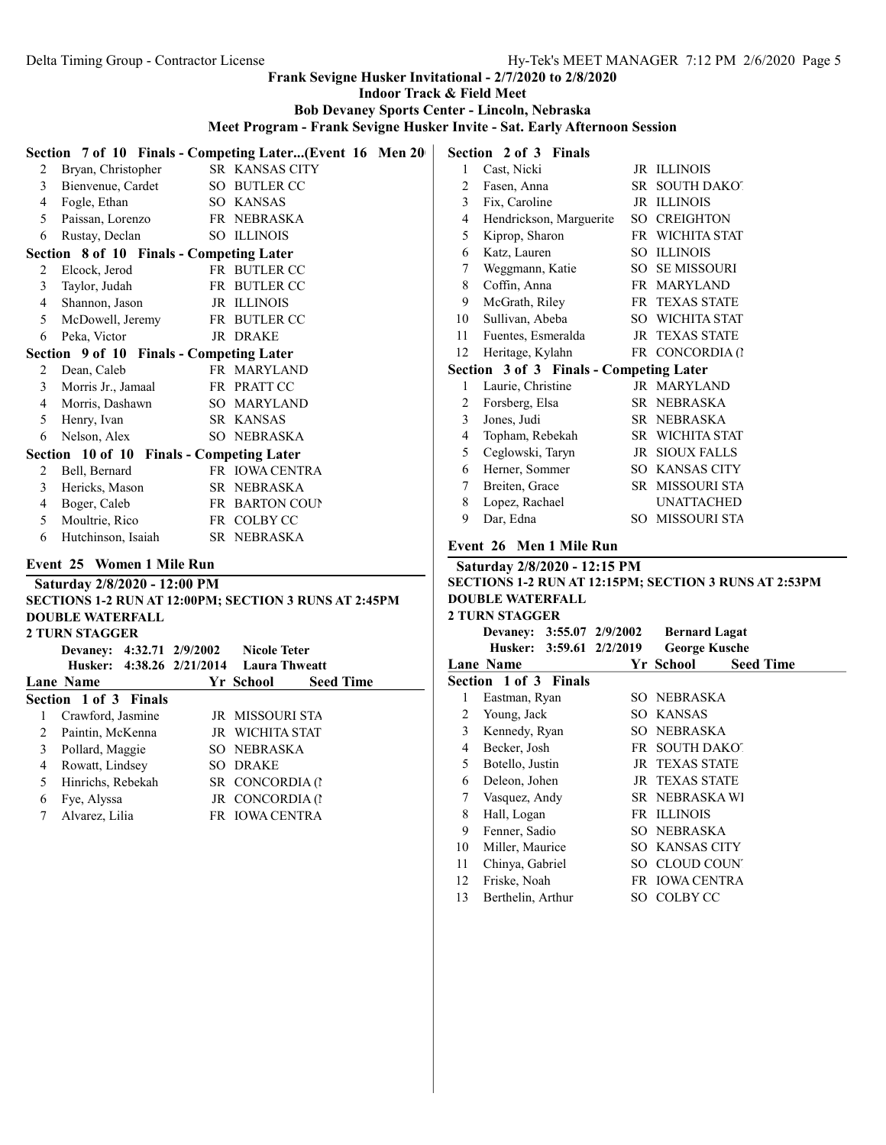Indoor Track & Field Meet

Bob Devaney Sports Center - Lincoln, Nebraska

Meet Program - Frank Sevigne Husker Invite - Sat. Early Afternoon Session

|                          | Section 7 of 10 Finals - Competing Later(Event 16 Men 20 |                               |                  | Section 2 of 3 Finals        |
|--------------------------|----------------------------------------------------------|-------------------------------|------------------|------------------------------|
| 2                        | Bryan, Christopher                                       | SR KANSAS CITY                | $\mathbf{1}$     | Cast, Nicki                  |
| 3                        | Bienvenue, Cardet                                        | SO BUTLER CC                  | $\overline{2}$   | Fasen, Anna                  |
| 4                        | Fogle, Ethan                                             | SO KANSAS                     | $\mathfrak{Z}$   | Fix, Caroline                |
| 5                        | Paissan, Lorenzo                                         | FR NEBRASKA                   | $\overline{4}$   | Hendrickson, Margu           |
| 6                        | Rustay, Declan                                           | SO ILLINOIS                   | 5                | Kiprop, Sharon               |
|                          | Section 8 of 10 Finals - Competing Later                 |                               | 6                | Katz, Lauren                 |
| $\overline{c}$           | Elcock, Jerod                                            | FR BUTLER CC                  | 7                | Weggmann, Katie              |
| 3                        | Taylor, Judah                                            | FR BUTLER CC                  | 8                | Coffin, Anna                 |
| 4                        | Shannon, Jason                                           | JR ILLINOIS                   | 9                | McGrath, Riley               |
| 5                        | McDowell, Jeremy                                         | FR BUTLER CC                  | 10               | Sullivan, Abeba              |
| 6                        | Peka, Victor                                             | JR DRAKE                      | 11               | Fuentes, Esmeralda           |
|                          | Section 9 of 10 Finals - Competing Later                 |                               | 12               | Heritage, Kylahn             |
| 2                        | Dean, Caleb                                              | FR MARYLAND                   |                  | Section 3 of 3 Finals        |
| 3                        | Morris Jr., Jamaal                                       | FR PRATT CC                   | 1                | Laurie, Christine            |
| $\overline{4}$           | Morris, Dashawn                                          | SO MARYLAND                   | $\overline{c}$   | Forsberg, Elsa               |
| 5                        | Henry, Ivan                                              | SR KANSAS                     | 3                | Jones, Judi                  |
| 6                        | Nelson, Alex                                             | SO NEBRASKA                   | 4                | Topham, Rebekah              |
|                          | Section 10 of 10 Finals - Competing Later                |                               | 5                | Ceglowski, Taryn             |
| 2                        | Bell, Bernard                                            | FR IOWA CENTRA                | 6                | Herner, Sommer               |
| 3                        | Hericks, Mason                                           | SR NEBRASKA                   | 7                | Breiten, Grace               |
| $\overline{\mathcal{A}}$ | Boger, Caleb                                             | FR BARTON COUP                | 8                | Lopez, Rachael               |
| 5                        | Moultrie, Rico                                           | FR COLBY CC                   | 9                | Dar, Edna                    |
| 6                        | Hutchinson, Isaiah                                       | SR NEBRASKA                   |                  | Event 26 Men 1 Mile          |
|                          | Event 25 Women 1 Mile Run                                |                               |                  | Saturday 2/8/2020 - 12       |
|                          | Saturday 2/8/2020 - 12:00 PM                             |                               |                  | <b>SECTIONS 1-2 RUN AT 1</b> |
|                          | SECTIONS 1-2 RUN AT 12:00PM; SECTION 3 RUNS AT 2:45PM    |                               |                  | <b>DOUBLE WATERFALL</b>      |
|                          | <b>DOUBLE WATERFALL</b>                                  |                               |                  | 2 TURN STAGGER               |
|                          | <b>2 TURN STAGGER</b>                                    |                               |                  | <b>Devaney: 3:55.07</b>      |
|                          | Devaney: 4:32.71 2/9/2002                                | <b>Nicole Teter</b>           |                  | Husker: 3:59.61              |
|                          | Husker: 4:38.26 2/21/2014                                | <b>Laura Thweatt</b>          |                  | <b>Lane Name</b>             |
|                          | Lane Name                                                | <b>Seed Time</b><br>Yr School |                  | Section 1 of 3 Finals        |
|                          | Section 1 of 3 Finals                                    |                               | $\mathbf{1}$     | Eastman, Ryan                |
| $\mathbf{1}$             | Crawford, Jasmine                                        | JR MISSOURI STA               | $\overline{c}$   | Young, Jack                  |
| $\overline{2}$           | Paintin, McKenna                                         | JR WICHITA STAT               | $\mathfrak{Z}$   | Kennedy, Ryan                |
| 3                        | Pollard, Maggie                                          | SO NEBRASKA                   | 4                | Becker, Josh                 |
| $\overline{4}$           | Rowatt, Lindsey                                          | SO DRAKE                      | 5                | Botello, Justin              |
| 5                        | Hinrichs, Rebekah                                        | SR CONCORDIA (1               | 6                | Deleon, Johen                |
| 6                        | Fye, Alyssa                                              | JR CONCORDIA (1               | $\boldsymbol{7}$ | Vasquez, Andy                |
| 7                        | Alvarez, Lilia                                           | FR IOWA CENTRA                | $\,8\,$          | Hall, Logan                  |
|                          |                                                          |                               | 9                | Fenner, Sadio                |
|                          |                                                          |                               |                  |                              |

|                | Section 2 of 3 Finals                   |      |                       |
|----------------|-----------------------------------------|------|-----------------------|
| 1              | Cast, Nicki                             |      | JR ILLINOIS           |
| 2              | Fasen, Anna                             | SR - | <b>SOUTH DAKOT</b>    |
| 3              | Fix, Caroline                           | JR   | <b>ILLINOIS</b>       |
| $\overline{4}$ | Hendrickson, Marguerite                 | SO.  | <b>CREIGHTON</b>      |
| 5              | Kiprop, Sharon                          |      | FR WICHITA STAT       |
| 6              | Katz, Lauren                            | SO.  | <b>ILLINOIS</b>       |
| 7              | Weggmann, Katie                         |      | <b>SO SE MISSOURI</b> |
| 8              | Coffin, Anna                            | FR   | <b>MARYLAND</b>       |
| 9              | McGrath, Riley                          |      | <b>FR TEXAS STATE</b> |
| 10             | Sullivan, Abeba                         |      | SO WICHITA STAT       |
| 11             | Fuentes, Esmeralda                      |      | <b>JR TEXAS STATE</b> |
| 12             | Heritage, Kylahn                        |      | FR CONCORDIA (1       |
|                | Section 3 of 3 Finals - Competing Later |      |                       |
| 1              | Laurie, Christine                       |      | JR MARYLAND           |
| 2              | Forsberg, Elsa                          |      | SR NEBRASKA           |
| 3              | Jones, Judi                             | SR - | <b>NEBRASKA</b>       |
| 4              | Topham, Rebekah                         |      | SR WICHITA STAT       |
| 5              | Ceglowski, Taryn                        | JR   | <b>SIOUX FALLS</b>    |
| 6              | Herner, Sommer                          |      | SO KANSAS CITY        |
| 7              | Breiten, Grace                          | SR - | <b>MISSOURI STA</b>   |
| 8              | Lopez, Rachael                          |      | <b>UNATTACHED</b>     |
| 9              | Dar, Edna                               | SO.  | <b>MISSOURI STA</b>   |
|                |                                         |      |                       |

# Event 26 Men 1 Mile Run

| Saturday 2/8/2020 - 12:15 PM                                 |
|--------------------------------------------------------------|
| <b>SECTIONS 1-2 RUN AT 12:15PM; SECTION 3 RUNS AT 2:53PM</b> |
| DOUBLE WATERFALL                                             |
| 2 THRN STAGGER                                               |

|    | 4 TUNN ƏTAUULA               |                       |                  |
|----|------------------------------|-----------------------|------------------|
|    | Devaney: 3:55.07 2/9/2002    | <b>Bernard Lagat</b>  |                  |
|    | Husker: 3:59.61 2/2/2019     | <b>George Kusche</b>  |                  |
|    | <b>Lane Name</b>             | Yr School             | <b>Seed Time</b> |
|    | <b>Section 1 of 3 Finals</b> |                       |                  |
| 1  | Eastman, Ryan                | SO NEBRASKA           |                  |
| 2  | Young, Jack                  | SO KANSAS             |                  |
| 3  | Kennedy, Ryan                | SO NEBRASKA           |                  |
| 4  | Becker, Josh                 | FR SOUTH DAKO!        |                  |
| 5  | Botello, Justin              | <b>JR TEXAS STATE</b> |                  |
| 6  | Deleon, Johen                | JR TEXAS STATE        |                  |
| 7  | Vasquez, Andy                | SR NEBRASKA WI        |                  |
| 8  | Hall, Logan                  | FR ILLINOIS           |                  |
| 9  | Fenner, Sadio                | SO NEBRASKA           |                  |
| 10 | Miller, Maurice              | <b>SO KANSAS CITY</b> |                  |
| 11 | Chinya, Gabriel              | SO CLOUD COUN         |                  |
| 12 | Friske, Noah                 | FR IOWA CENTRA        |                  |
| 13 | Berthelin, Arthur            | SO COLBYCC            |                  |
|    |                              |                       |                  |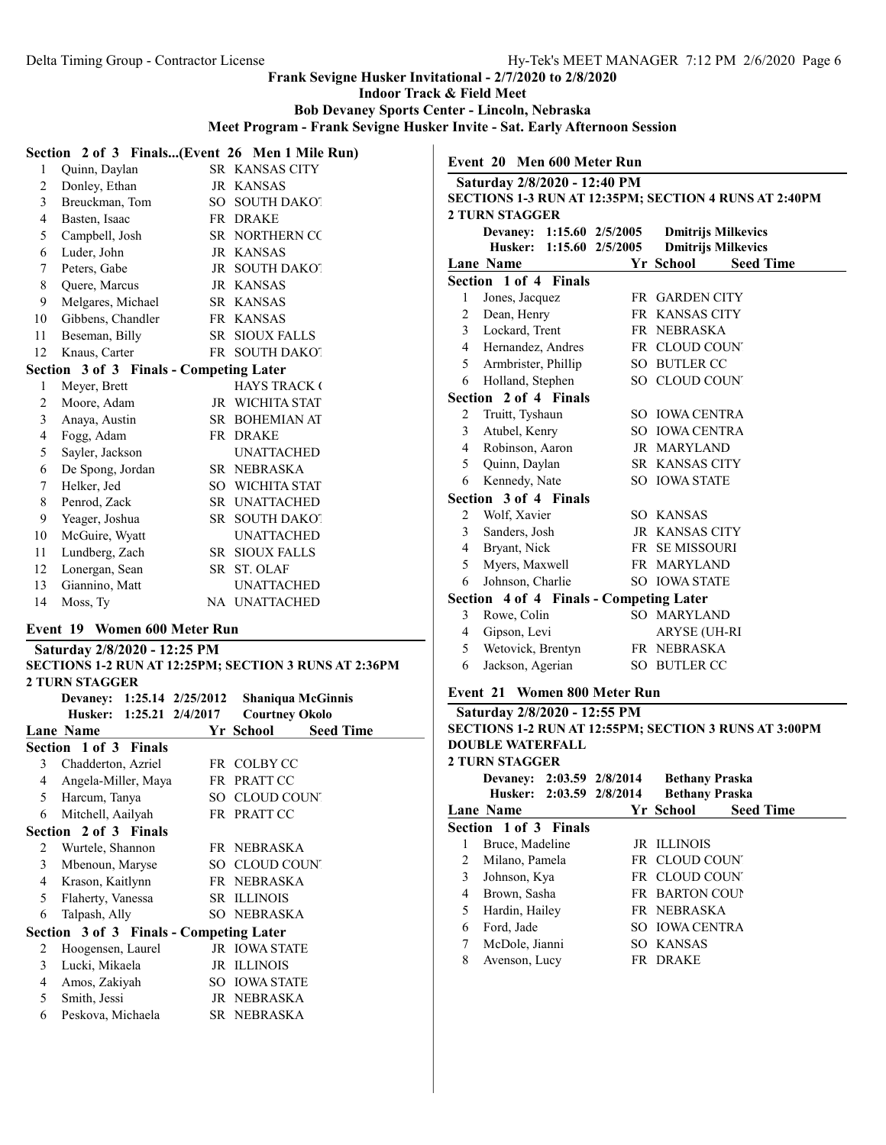Indoor Track & Field Meet

Bob Devaney Sports Center - Lincoln, Nebraska

Meet Program - Frank Sevigne Husker Invite - Sat. Early Afternoon Session

#### Section 2 of 3 Finals...(Event 26 Men 1 Mile Run)

| 1  | Quinn, Daylan                           |      | SR KANSAS CITY        |
|----|-----------------------------------------|------|-----------------------|
| 2  | Donley, Ethan                           |      | JR KANSAS             |
| 3  | Breuckman, Tom                          |      | SO SOUTH DAKOT        |
| 4  | Basten, Isaac                           |      | FR DRAKE              |
| 5  | Campbell, Josh                          |      | SR NORTHERN CC        |
| 6  | Luder, John                             |      | JR KANSAS             |
| 7  | Peters, Gabe                            |      | JR SOUTH DAKOT        |
| 8  | Quere, Marcus                           |      | <b>JR KANSAS</b>      |
| 9  | Melgares, Michael                       |      | SR KANSAS             |
| 10 | Gibbens, Chandler                       |      | FR KANSAS             |
| 11 | Beseman, Billy                          |      | <b>SR SIOUX FALLS</b> |
| 12 | Knaus, Carter                           |      | FR SOUTH DAKOT        |
|    | Section 3 of 3 Finals - Competing Later |      |                       |
| 1  | Meyer, Brett                            |      | <b>HAYS TRACK (</b>   |
| 2  | Moore, Adam                             | JR   | WICHITA STAT          |
| 3  | Anaya, Austin                           | SR - | <b>BOHEMIAN AT</b>    |
| 4  | Fogg, Adam                              |      | FR DRAKE              |
| 5  | Sayler, Jackson                         |      | UNATTACHED            |
| 6  | De Spong, Jordan                        | SR - | <b>NEBRASKA</b>       |
| 7  | Helker, Jed                             | SO   | WICHITA STAT          |
| 8  | Penrod, Zack                            |      | SR UNATTACHED         |

9 Yeager, Joshua SR SOUTH DAKOT 10 McGuire, Wyatt UNATTACHED 11 Lundberg, Zach SR SIOUX FALLS 12 Lonergan, Sean SR ST. OLAF 13 Giannino, Matt UNATTACHED 14 Moss, Ty NA UNATTACHED

Event 19 Women 600 Meter Run Saturday 2/8/2020 - 12:25 PM

### 2 TURN STAGGER Devaney: 1:15.60 2/5/2005 Dmitrijs Milkevics Husker: 1:15.60 2/5/2005 Dmitrijs Milkevics

Event 20 Men 600 Meter Run Saturday 2/8/2020 - 12:40 PM

|                | <b>Lane Name</b>                        | <b>Seed Time</b><br>Yr School |
|----------------|-----------------------------------------|-------------------------------|
|                | Section 1 of 4 Finals                   |                               |
| 1              | Jones, Jacquez                          | <b>FR GARDEN CITY</b>         |
| 2              | Dean, Henry                             | FR KANSAS CITY                |
| 3              | Lockard, Trent                          | FR NEBRASKA                   |
| 4              | Hernandez, Andres                       | FR CLOUD COUNT                |
| 5              | Armbrister, Phillip                     | SO BUTLER CC                  |
| 6              | Holland, Stephen                        | SO CLOUD COUNT                |
|                | Section 2 of 4 Finals                   |                               |
| 2              | Truitt, Tyshaun                         | SO IOWA CENTRA                |
| 3              | Atubel, Kenry                           | SO JOWA CENTRA                |
| 4              | Robinson, Aaron                         | JR MARYLAND                   |
| 5              | Quinn, Daylan                           | SR KANSAS CITY                |
| 6              | Kennedy, Nate                           | SO IOWA STATE                 |
|                | Section 3 of 4 Finals                   |                               |
| 2              | Wolf, Xavier                            | SO KANSAS                     |
| $\mathfrak{Z}$ | Sanders, Josh                           | <b>JR KANSAS CITY</b>         |
| 4              | Bryant, Nick                            | FR SE MISSOURI                |
| 5              | Myers, Maxwell                          | FR MARYLAND                   |
| 6              | Johnson, Charlie                        | <b>SO IOWA STATE</b>          |
|                | Section 4 of 4 Finals - Competing Later |                               |
| 3              | Rowe, Colin                             | SO MARYLAND                   |
| 4              | Gipson, Levi                            | ARYSE (UH-RI                  |
| 5              | Wetovick, Brentyn                       | FR NEBRASKA                   |

SECTIONS 1-3 RUN AT 12:35PM; SECTION 4 RUNS AT 2:40PM

# SECTIONS 1-2 RUN AT 12:25PM; SECTION 3 RUNS AT 2:36PM 2 TURN STAGGER Devaney: 1:25.14 2/25/2012 Shaniqua McGinnis Husker: 1:25.21 2/4/2017 Lane Name Seed Time

|                | Section 1 of 3 Finals                   |                      |
|----------------|-----------------------------------------|----------------------|
| 3              | Chadderton, Azriel                      | FR COLBY CC          |
| 4              | Angela-Miller, Maya                     | FR PRATT CC          |
| 5              | Harcum, Tanya                           | SO CLOUD COUNT       |
| 6              | Mitchell, Aailyah                       | FR PRATT CC          |
|                | Section 2 of 3 Finals                   |                      |
| 2              | Wurtele, Shannon                        | FR NEBRASKA          |
| $\mathfrak{Z}$ | Mbenoun, Maryse                         | SO CLOUD COUNT       |
| 4              | Krason, Kaitlynn                        | FR NEBRASKA          |
| 5              | Flaherty, Vanessa                       | <b>SR ILLINOIS</b>   |
| 6              | Talpash, Ally                           | SO NEBRASKA          |
|                | Section 3 of 3 Finals - Competing Later |                      |
| 2              | Hoogensen, Laurel                       | <b>JR IOWA STATE</b> |
| 3              | Lucki, Mikaela                          | JR ILLINOIS          |
| 4              | Amos, Zakiyah                           | <b>SO TOWA STATE</b> |
| 5              | Smith, Jessi                            | JR NEBRASKA          |
| 6              | Peskova, Michaela                       | SR NEBRASKA          |

# Event 21 Women 800 Meter Run

6 Jackson, Agerian SO BUTLER CC

| Saturday 2/8/2020 - 12:55 PM |                                                              |  |                       |                  |  |  |  |  |
|------------------------------|--------------------------------------------------------------|--|-----------------------|------------------|--|--|--|--|
|                              | <b>SECTIONS 1-2 RUN AT 12:55PM; SECTION 3 RUNS AT 3:00PM</b> |  |                       |                  |  |  |  |  |
|                              | <b>DOUBLE WATERFALL</b>                                      |  |                       |                  |  |  |  |  |
|                              | <b>2 TURN STAGGER</b>                                        |  |                       |                  |  |  |  |  |
|                              | Devaney: 2:03.59 2/8/2014                                    |  | <b>Bethany Praska</b> |                  |  |  |  |  |
|                              | Husker: 2:03.59 2/8/2014                                     |  | <b>Bethany Praska</b> |                  |  |  |  |  |
|                              | Lane Name                                                    |  | Yr School             | <b>Seed Time</b> |  |  |  |  |
|                              | Section 1 of 3 Finals                                        |  |                       |                  |  |  |  |  |
| 1                            | Bruce, Madeline                                              |  | <b>JR ILLINOIS</b>    |                  |  |  |  |  |
| $\mathfrak{D}$               | Milano, Pamela                                               |  | FR CLOUD COUNT        |                  |  |  |  |  |
| 3                            | Johnson, Kya                                                 |  | FR CLOUD COUNT        |                  |  |  |  |  |
| 4                            | Brown, Sasha                                                 |  | <b>FR BARTON COUP</b> |                  |  |  |  |  |
| 5                            | Hardin, Hailey                                               |  | FR NEBRASKA           |                  |  |  |  |  |
| 6                            | Ford, Jade                                                   |  | SO JOWA CENTRA        |                  |  |  |  |  |
| 7                            | McDole, Jianni                                               |  | SO KANSAS             |                  |  |  |  |  |
| 8                            | Avenson, Lucy                                                |  | FR DRAKE              |                  |  |  |  |  |
|                              |                                                              |  |                       |                  |  |  |  |  |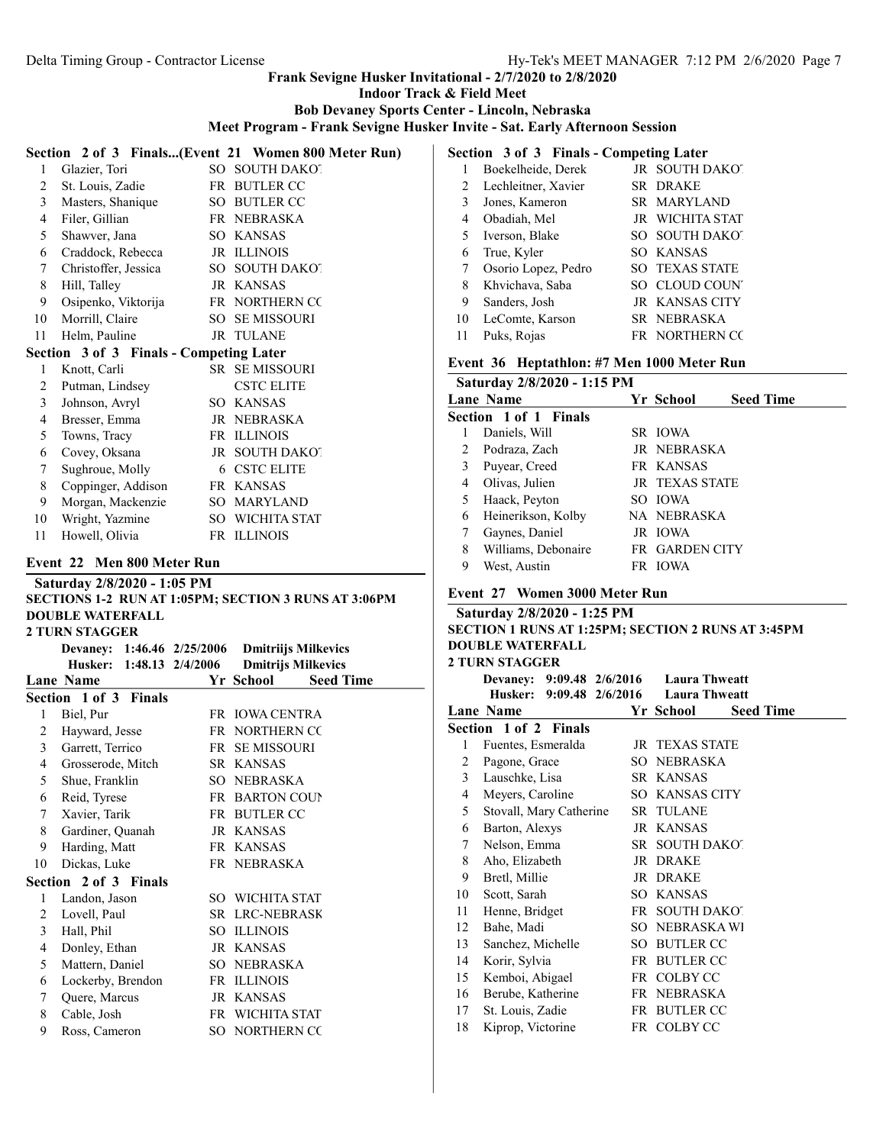Indoor Track & Field Meet

Bob Devaney Sports Center - Lincoln, Nebraska

Meet Program - Frank Sevigne Husker Invite - Sat. Early Afternoon Session

|                            |                                                        |  | Section 2 of 3 Finals(Event 21 Women 800 Meter Run)        |  |  |  |  |  |
|----------------------------|--------------------------------------------------------|--|------------------------------------------------------------|--|--|--|--|--|
| 1                          | Glazier, Tori                                          |  | SO SOUTH DAKOT                                             |  |  |  |  |  |
| 2                          | St. Louis, Zadie                                       |  | FR BUTLER CC                                               |  |  |  |  |  |
| 3                          | Masters, Shanique                                      |  | SO BUTLER CC                                               |  |  |  |  |  |
| 4                          | Filer, Gillian                                         |  | FR NEBRASKA                                                |  |  |  |  |  |
| 5                          | Shawver, Jana                                          |  | SO KANSAS                                                  |  |  |  |  |  |
| 6                          | Craddock, Rebecca                                      |  | JR ILLINOIS                                                |  |  |  |  |  |
| 7                          | Christoffer, Jessica                                   |  | SO SOUTH DAKOT                                             |  |  |  |  |  |
| 8                          |                                                        |  |                                                            |  |  |  |  |  |
| 9                          | Hill, Talley                                           |  | JR KANSAS                                                  |  |  |  |  |  |
|                            | Osipenko, Viktorija                                    |  | FR NORTHERN CC                                             |  |  |  |  |  |
| 10                         | Morrill, Claire                                        |  | SO SE MISSOURI                                             |  |  |  |  |  |
| 11                         | Helm, Pauline                                          |  | JR TULANE                                                  |  |  |  |  |  |
|                            | Section 3 of 3 Finals - Competing Later                |  |                                                            |  |  |  |  |  |
| 1                          | Knott, Carli                                           |  | SR SE MISSOURI                                             |  |  |  |  |  |
| 2                          | Putman, Lindsey                                        |  | <b>CSTC ELITE</b>                                          |  |  |  |  |  |
| 3                          | Johnson, Avryl                                         |  | SO KANSAS                                                  |  |  |  |  |  |
| 4                          | Bresser, Emma                                          |  | JR NEBRASKA                                                |  |  |  |  |  |
| 5                          | Towns, Tracy                                           |  | FR ILLINOIS                                                |  |  |  |  |  |
| 6                          | Covey, Oksana                                          |  | JR SOUTH DAKOT                                             |  |  |  |  |  |
| 7                          | Sughroue, Molly                                        |  | 6 CSTC ELITE                                               |  |  |  |  |  |
| 8                          | Coppinger, Addison                                     |  | FR KANSAS                                                  |  |  |  |  |  |
| 9                          | Morgan, Mackenzie                                      |  | SO MARYLAND                                                |  |  |  |  |  |
| 10                         | Wright, Yazmine                                        |  | SO WICHITA STAT                                            |  |  |  |  |  |
| 11                         | Howell, Olivia                                         |  | FR ILLINOIS                                                |  |  |  |  |  |
| Event 22 Men 800 Meter Run |                                                        |  |                                                            |  |  |  |  |  |
|                            |                                                        |  |                                                            |  |  |  |  |  |
|                            |                                                        |  |                                                            |  |  |  |  |  |
|                            | Saturday 2/8/2020 - 1:05 PM                            |  |                                                            |  |  |  |  |  |
|                            | <b>DOUBLE WATERFALL</b>                                |  | SECTIONS 1-2 RUN AT 1:05PM; SECTION 3 RUNS AT 3:06PM       |  |  |  |  |  |
|                            | <b>2 TURN STAGGER</b>                                  |  |                                                            |  |  |  |  |  |
|                            |                                                        |  |                                                            |  |  |  |  |  |
|                            | Devaney: 1:46.46 2/25/2006<br>Husker: 1:48.13 2/4/2006 |  | <b>Dmitriijs Milkevics</b>                                 |  |  |  |  |  |
|                            | <b>Lane Name</b>                                       |  | <b>Dmitrijs Milkevics</b><br>Yr School<br><b>Seed Time</b> |  |  |  |  |  |
|                            | Section 1 of 3 Finals                                  |  |                                                            |  |  |  |  |  |
| 1                          | Biel, Pur                                              |  | FR IOWA CENTRA                                             |  |  |  |  |  |
| $\overline{2}$             |                                                        |  | FR NORTHERN CC                                             |  |  |  |  |  |
| 3 <sup>1</sup>             | Hayward, Jesse<br>Garrett, Terrico                     |  | FR SE MISSOURI                                             |  |  |  |  |  |
| 4                          |                                                        |  | SR KANSAS                                                  |  |  |  |  |  |
|                            | Grosserode, Mitch                                      |  |                                                            |  |  |  |  |  |
|                            | 5 Shue, Franklin                                       |  | SO NEBRASKA                                                |  |  |  |  |  |
| 6                          | Reid, Tyrese                                           |  | FR BARTON COUP                                             |  |  |  |  |  |
| 7                          | Xavier, Tarik                                          |  | FR BUTLER CC                                               |  |  |  |  |  |
| 8                          | Gardiner, Quanah                                       |  | JR KANSAS                                                  |  |  |  |  |  |
| 9.                         | Harding, Matt                                          |  | FR KANSAS                                                  |  |  |  |  |  |
| 10                         | Dickas, Luke                                           |  | FR NEBRASKA                                                |  |  |  |  |  |
|                            | Section 2 of 3 Finals                                  |  |                                                            |  |  |  |  |  |
| 1                          | Landon, Jason                                          |  | SO WICHITA STAT                                            |  |  |  |  |  |
| 2                          | Lovell, Paul                                           |  | SR LRC-NEBRASK                                             |  |  |  |  |  |
| 3                          | Hall, Phil                                             |  | SO ILLINOIS                                                |  |  |  |  |  |
| $\overline{4}$             | Donley, Ethan                                          |  | JR KANSAS                                                  |  |  |  |  |  |
| 5                          | Mattern, Daniel                                        |  | SO NEBRASKA                                                |  |  |  |  |  |
| 6                          | Lockerby, Brendon                                      |  | FR ILLINOIS                                                |  |  |  |  |  |
| 7<br>8                     | Quere, Marcus<br>Cable, Josh                           |  | JR KANSAS<br>FR WICHITA STAT                               |  |  |  |  |  |

9 Ross, Cameron SO NORTHERN CO

|  | Section 3 of 3 Finals - Competing Later |  |
|--|-----------------------------------------|--|
|  |                                         |  |

|    | Boekelheide, Derek  | JR SOUTH DAKOT        |
|----|---------------------|-----------------------|
| 2  | Lechleitner, Xavier | SR DRAKE              |
| 3  | Jones, Kameron      | SR MARYLAND           |
| 4  | Obadiah, Mel        | JR WICHITA STAT       |
| 5. | Iverson, Blake      | SO SOUTH DAKOT        |
| 6  | True, Kyler         | <b>SO KANSAS</b>      |
| 7  | Osorio Lopez, Pedro | <b>SO TEXAS STATE</b> |
| 8  | Khvichava, Saba     | SO CLOUD COUNT        |
| 9  | Sanders, Josh       | <b>JR KANSAS CITY</b> |
| 10 | LeComte, Karson     | SR NEBRASKA           |
| 11 | Puks, Rojas         | FR NORTHERN CC        |

#### Event 36 Heptathlon: #7 Men 1000 Meter Run

### Saturday 2/8/2020 - 1:15 PM Lane Name Seed Time Section 1 of 1 Finals 1 Daniels, Will SR IOWA Podraza, Zach JR NEBRASKA Puyear, Creed FR KANSAS 4 Olivas, Julien JR TEXAS STATE 5 Haack, Peyton SO IOWA Heinerikson, Kolby NA NEBRASKA Gaynes, Daniel JR IOWA Williams, Debonaire FR GARDEN CITY West, Austin FR IOWA

#### Event 27 Women 3000 Meter Run

| Saturday 2/8/2020 - 1:25 PM                        |  |                                         |  |  |  |  |
|----------------------------------------------------|--|-----------------------------------------|--|--|--|--|
| SECTION 1 RUNS AT 1:25PM; SECTION 2 RUNS AT 3:45PM |  |                                         |  |  |  |  |
| <b>DOUBLE WATERFALL</b>                            |  |                                         |  |  |  |  |
| <b>2 TURN STAGGER</b>                              |  |                                         |  |  |  |  |
|                                                    |  | Devaney: 9:09.48 2/6/2016 Laura Thweatt |  |  |  |  |
|                                                    |  |                                         |  |  |  |  |

|    | Husker: 9:09.48 2/6/2016 Laura Thweatt |                               |  |
|----|----------------------------------------|-------------------------------|--|
|    | Lane Name                              | Yr School<br><b>Seed Time</b> |  |
|    | Section 1 of 2 Finals                  |                               |  |
| 1  | Fuentes, Esmeralda                     | JR TEXAS STATE                |  |
| 2  | Pagone, Grace                          | SO NEBRASKA                   |  |
| 3  | Lauschke, Lisa                         | SR KANSAS                     |  |
| 4  | Meyers, Caroline                       | <b>SO KANSAS CITY</b>         |  |
| 5  | Stovall, Mary Catherine                | <b>SR TULANE</b>              |  |
| 6  | Barton, Alexys                         | <b>JR KANSAS</b>              |  |
| 7  | Nelson, Emma                           | SR SOUTH DAKOT                |  |
| 8  | Aho, Elizabeth                         | JR DRAKE                      |  |
| 9  | Bretl, Millie                          | JR DRAKE                      |  |
| 10 | Scott, Sarah                           | <b>SO KANSAS</b>              |  |
| 11 | Henne, Bridget                         | FR SOUTH DAKOT                |  |
| 12 | Bahe, Madi                             | SO NEBRASKA WI                |  |
| 13 | Sanchez, Michelle                      | SO BUTLER CC                  |  |
| 14 | Korir, Sylvia                          | FR BUTLER CC                  |  |
| 15 | Kemboi, Abigael                        | FR COLBY CC                   |  |
| 16 | Berube, Katherine                      | FR NEBRASKA                   |  |
| 17 | St. Louis, Zadie                       | FR BUTLER CC                  |  |
| 18 | Kiprop, Victorine                      | FR COLBY CC                   |  |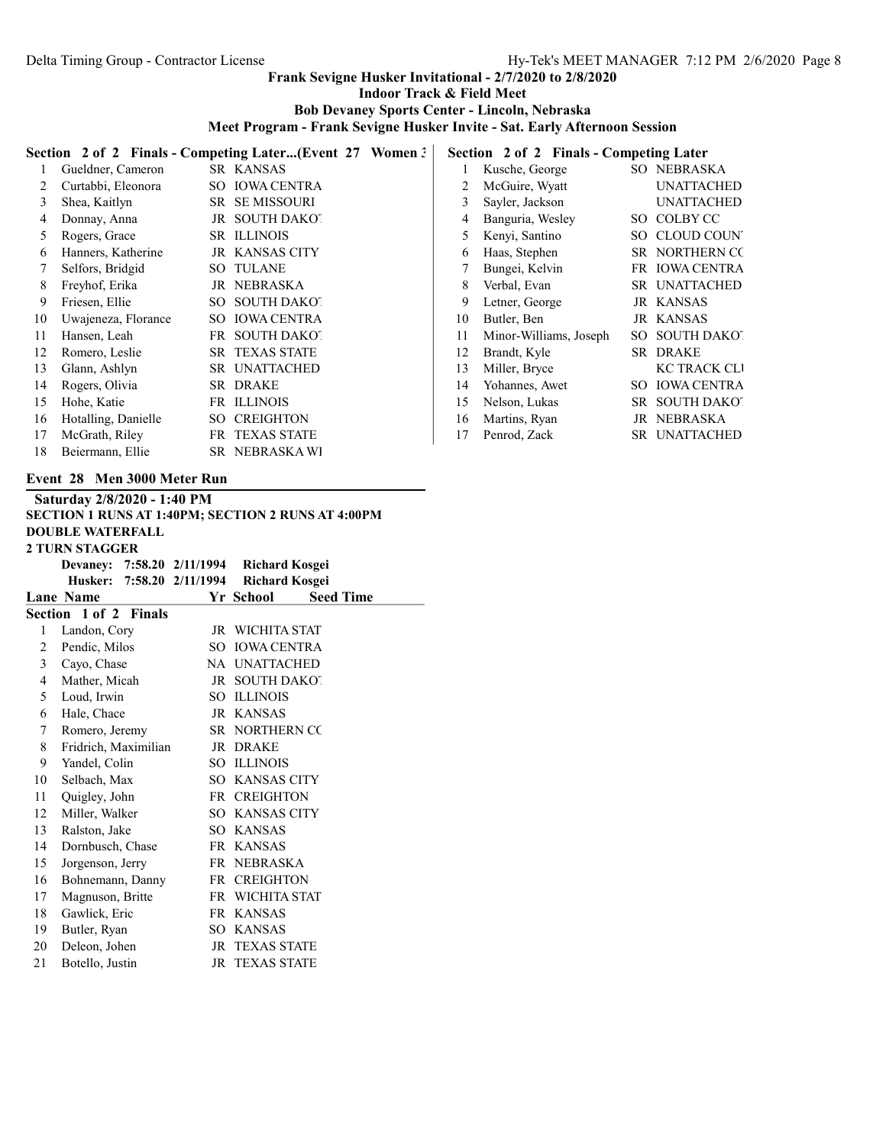Indoor Track & Field Meet

Bob Devaney Sports Center - Lincoln, Nebraska

Meet Program - Frank Sevigne Husker Invite - Sat. Early Afternoon Session

|    | Section 2 of 2 Finals - Competing Later(Event 27 Women?<br>Section 2 of 2 Finals - Competing Later |     |                       |  |    |                        |     |                     |
|----|----------------------------------------------------------------------------------------------------|-----|-----------------------|--|----|------------------------|-----|---------------------|
|    | Gueldner, Cameron                                                                                  |     | SR KANSAS             |  |    | Kusche, George         |     | SO NEBRASKA         |
|    | Curtabbi, Eleonora                                                                                 |     | SO IOWA CENTRA        |  |    | McGuire, Wyatt         |     | <b>UNATTACHED</b>   |
| 3  | Shea, Kaitlyn                                                                                      |     | <b>SR SEMISSOURI</b>  |  | 3  | Sayler, Jackson        |     | <b>UNATTACHED</b>   |
|    | Donnay, Anna                                                                                       |     | JR SOUTH DAKOT        |  | 4  | Banguria, Wesley       |     | SO COLBY CC         |
| 5  | Rogers, Grace                                                                                      |     | SR ILLINOIS           |  | 5  | Kenyi, Santino         | SO. | <b>CLOUD COUNT</b>  |
| 6  | Hanners, Katherine                                                                                 |     | JR KANSAS CITY        |  | 6  | Haas, Stephen          |     | SR NORTHERN CC      |
|    | Selfors, Bridgid                                                                                   |     | <b>SO TULANE</b>      |  |    | Bungei, Kelvin         |     | FR IOWA CENTRA      |
| 8  | Freyhof, Erika                                                                                     |     | JR NEBRASKA           |  | 8  | Verbal, Evan           |     | SR UNATTACHED       |
| 9  | Friesen, Ellie                                                                                     |     | SO SOUTH DAKOT        |  | 9  | Letner, George         |     | JR KANSAS           |
| 10 | Uwajeneza, Florance                                                                                |     | SO IOWA CENTRA        |  | 10 | Butler, Ben            |     | JR KANSAS           |
| 11 | Hansen, Leah                                                                                       |     | FR SOUTH DAKOT        |  | 11 | Minor-Williams, Joseph |     | SO SOUTH DAKOT      |
| 12 | Romero, Leslie                                                                                     |     | <b>SR TEXAS STATE</b> |  | 12 | Brandt, Kyle           |     | SR DRAKE            |
| 13 | Glann, Ashlyn                                                                                      |     | SR UNATTACHED         |  | 13 | Miller, Bryce          |     | <b>KC TRACK CLI</b> |
| 14 | Rogers, Olivia                                                                                     |     | SR DRAKE              |  | 14 | Yohannes, Awet         | SO. | <b>IOWA CENTRA</b>  |
| 15 | Hohe, Katie                                                                                        |     | FR ILLINOIS           |  | 15 | Nelson, Lukas          |     | SR SOUTH DAKOT      |
| 16 | Hotalling, Danielle                                                                                | SO. | <b>CREIGHTON</b>      |  | 16 | Martins, Ryan          |     | JR NEBRASKA         |
| 17 | McGrath, Riley                                                                                     |     | FR TEXAS STATE        |  | 17 | Penrod, Zack           |     | SR UNATTACHED       |
| 18 | Beiermann, Ellie                                                                                   |     | SR NEBRASKAWI         |  |    |                        |     |                     |

# Event 28 Men 3000 Meter Run

|                | Saturday 2/8/2020 - 1:40 PM                        |    |                       |                  |  |  |  |  |
|----------------|----------------------------------------------------|----|-----------------------|------------------|--|--|--|--|
|                | SECTION 1 RUNS AT 1:40PM; SECTION 2 RUNS AT 4:00PM |    |                       |                  |  |  |  |  |
|                | <b>DOUBLE WATERFALL</b>                            |    |                       |                  |  |  |  |  |
|                | <b>2 TURN STAGGER</b>                              |    |                       |                  |  |  |  |  |
|                | Devaney: 7:58.20 2/11/1994                         |    | <b>Richard Kosgei</b> |                  |  |  |  |  |
|                | Husker: 7:58.20 2/11/1994                          |    | <b>Richard Kosgei</b> |                  |  |  |  |  |
|                | Lane Name                                          |    | Yr School             | <b>Seed Time</b> |  |  |  |  |
|                | Section 1 of 2 Finals                              |    |                       |                  |  |  |  |  |
| 1              | Landon, Cory                                       |    | JR WICHITA STAT       |                  |  |  |  |  |
| 2              | Pendic, Milos                                      |    | SO IOWA CENTRA        |                  |  |  |  |  |
| 3              | Cayo, Chase                                        |    | NA UNATTACHED         |                  |  |  |  |  |
| $\overline{4}$ | Mather, Micah                                      |    | JR SOUTH DAKOT        |                  |  |  |  |  |
| 5              | Loud, Irwin                                        |    | SO ILLINOIS           |                  |  |  |  |  |
| 6              | Hale, Chace                                        |    | JR KANSAS             |                  |  |  |  |  |
| 7              | Romero, Jeremy                                     |    | SR NORTHERN CC        |                  |  |  |  |  |
| 8              | Fridrich, Maximilian                               |    | JR DRAKE              |                  |  |  |  |  |
| 9              | Yandel, Colin                                      |    | SO ILLINOIS           |                  |  |  |  |  |
| 10             | Selbach, Max                                       |    | SO KANSAS CITY        |                  |  |  |  |  |
| 11             | Quigley, John                                      |    | FR CREIGHTON          |                  |  |  |  |  |
| 12             | Miller, Walker                                     |    | SO KANSAS CITY        |                  |  |  |  |  |
| 13             | Ralston, Jake                                      |    | SO KANSAS             |                  |  |  |  |  |
| 14             | Dornbusch, Chase                                   |    | FR KANSAS             |                  |  |  |  |  |
| 15             | Jorgenson, Jerry                                   |    | FR NEBRASKA           |                  |  |  |  |  |
| 16             | Bohnemann, Danny                                   |    | FR CREIGHTON          |                  |  |  |  |  |
| 17             | Magnuson, Britte                                   |    | FR WICHITA STAT       |                  |  |  |  |  |
| 18             | Gawlick, Eric                                      |    | FR KANSAS             |                  |  |  |  |  |
| 19             | Butler, Ryan                                       |    | SO KANSAS             |                  |  |  |  |  |
| 20             | Deleon, Johen                                      | JR | <b>TEXAS STATE</b>    |                  |  |  |  |  |
| 21             | Botello, Justin                                    | JR | <b>TEXAS STATE</b>    |                  |  |  |  |  |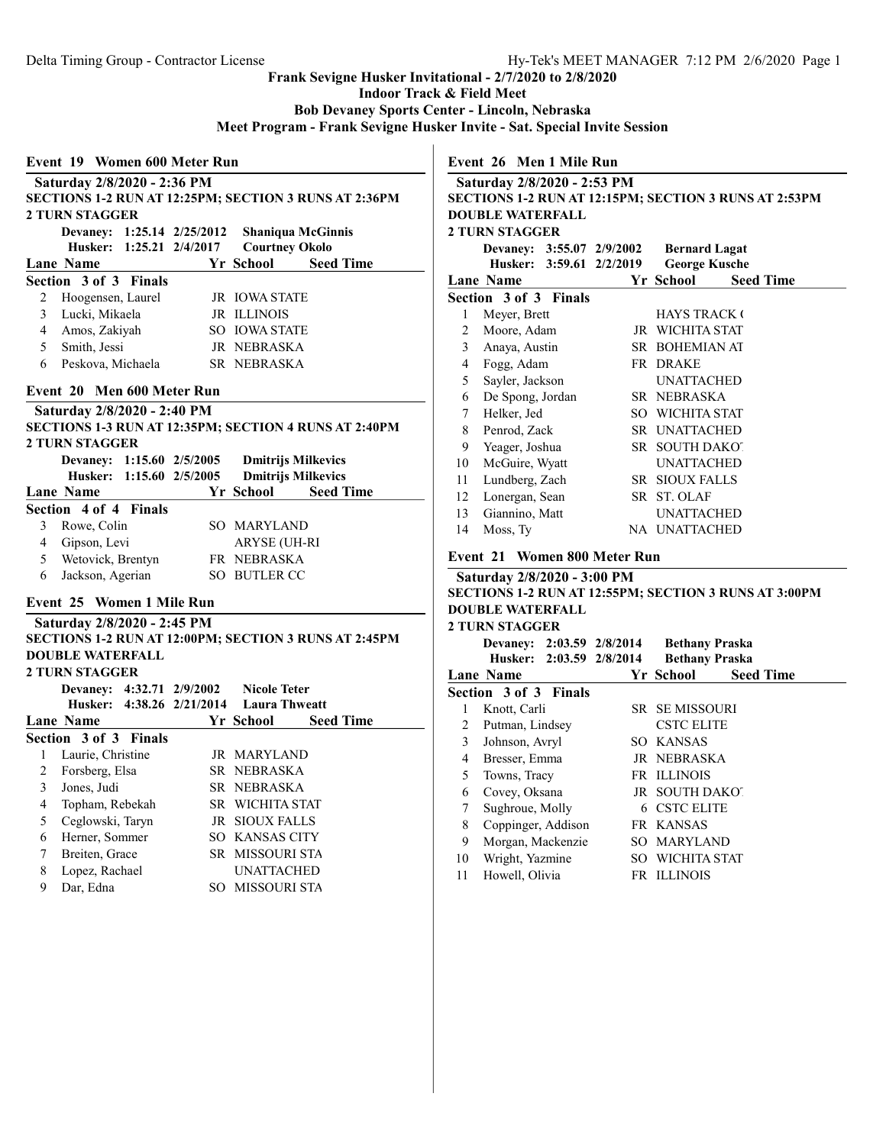Indoor Track & Field Meet

Bob Devaney Sports Center - Lincoln, Nebraska

Meet Program - Frank Sevigne Husker Invite - Sat. Special Invite Session

| <b>2 TURN STAGGER</b><br>Devaney: 1:25.14 2/25/2012<br>Husker: 1:25.21 2/4/2017<br><b>Courtney Okolo</b><br>Yr School | <b>Shaniqua McGinnis</b>                               |
|-----------------------------------------------------------------------------------------------------------------------|--------------------------------------------------------|
|                                                                                                                       |                                                        |
| <b>Lane Name</b><br>Section 3 of 3 Finals                                                                             |                                                        |
|                                                                                                                       | <b>Seed Time</b>                                       |
|                                                                                                                       |                                                        |
| 2<br><b>JR IOWA STATE</b><br>Hoogensen, Laurel                                                                        |                                                        |
| Lucki, Mikaela<br>$\mathfrak{Z}$<br>JR ILLINOIS                                                                       |                                                        |
| $\overline{4}$<br>Amos, Zakiyah<br>SO IOWA STATE                                                                      |                                                        |
| 5 <sup>7</sup><br>Smith, Jessi<br>JR NEBRASKA                                                                         |                                                        |
| 6<br>Peskova, Michaela<br>SR NEBRASKA                                                                                 |                                                        |
|                                                                                                                       |                                                        |
| Devaney: 1:15.60 2/5/2005<br>Husker: 1:15.60 2/5/2005                                                                 | <b>Dmitrijs Milkevics</b><br><b>Dmitrijs Milkevics</b> |
| Yr School                                                                                                             | <b>Seed Time</b>                                       |
| 3<br><b>SO MARYLAND</b>                                                                                               |                                                        |
| Rowe, Colin<br><b>ARYSE (UH-RI</b>                                                                                    |                                                        |
| <b>Lane Name</b><br>Section 4 of 4 Finals<br>4 Gipson, Levi<br>5<br>Wetovick, Brentyn<br>FR NEBRASKA                  |                                                        |
| Jackson, Agerian<br>SO BUTLER CC<br>6                                                                                 |                                                        |

|   | Devaney: 4:32.71 2/9/2002 |     | <b>Nicole Teter</b><br>Husker: 4:38.26 2/21/2014 Laura Thweatt |
|---|---------------------------|-----|----------------------------------------------------------------|
|   | Lane Name                 |     | Yr School<br><b>Seed Time</b>                                  |
|   | Section 3 of 3 Finals     |     |                                                                |
|   | Laurie, Christine         |     | JR MARYLAND                                                    |
| 2 | Forsberg, Elsa            |     | SR NEBRASKA                                                    |
| 3 | Jones, Judi               |     | SR NEBRASKA                                                    |
| 4 | Topham, Rebekah           |     | <b>SR WICHITA STAT</b>                                         |
| 5 | Ceglowski, Taryn          |     | <b>JR SIOUX FALLS</b>                                          |
| 6 | Herner, Sommer            |     | <b>SO KANSAS CITY</b>                                          |
| 7 | Breiten, Grace            |     | SR MISSOURI STA                                                |
| 8 | Lopez, Rachael            |     | <b>UNATTACHED</b>                                              |
| 9 | Dar, Edna                 | SO. | MISSOURI STA                                                   |

Event 26 Men 1 Mile Run

|              | EVEIL ZO MEI FMIR KUI                                        |  |                       |                  |  |  |  |
|--------------|--------------------------------------------------------------|--|-----------------------|------------------|--|--|--|
|              | Saturday 2/8/2020 - 2:53 PM                                  |  |                       |                  |  |  |  |
|              | <b>SECTIONS 1-2 RUN AT 12:15PM; SECTION 3 RUNS AT 2:53PM</b> |  |                       |                  |  |  |  |
|              | <b>DOUBLE WATERFALL</b>                                      |  |                       |                  |  |  |  |
|              | <b>2 TURN STAGGER</b>                                        |  |                       |                  |  |  |  |
|              | Devaney: 3:55.07 2/9/2002                                    |  | <b>Bernard Lagat</b>  |                  |  |  |  |
|              | Husker: 3:59.61 2/2/2019                                     |  | <b>George Kusche</b>  |                  |  |  |  |
|              | Lane Name                                                    |  | Yr School             | <b>Seed Time</b> |  |  |  |
|              | Section 3 of 3 Finals                                        |  |                       |                  |  |  |  |
| 1            | Meyer, Brett                                                 |  | <b>HAYS TRACK (</b>   |                  |  |  |  |
| 2            | Moore, Adam                                                  |  | JR WICHITA STAT       |                  |  |  |  |
| $\mathbf{3}$ | Anaya, Austin                                                |  | SR BOHEMIAN AT        |                  |  |  |  |
| 4            | Fogg, Adam                                                   |  | FR DRAKE              |                  |  |  |  |
| 5            | Sayler, Jackson                                              |  | <b>UNATTACHED</b>     |                  |  |  |  |
| 6            | De Spong, Jordan                                             |  | SR NEBRASKA           |                  |  |  |  |
| 7            | Helker, Jed                                                  |  | SO WICHITA STAT       |                  |  |  |  |
| 8            | Penrod, Zack                                                 |  | SR UNATTACHED         |                  |  |  |  |
| 9            | Yeager, Joshua                                               |  | SR SOUTH DAKOT        |                  |  |  |  |
| 10           | McGuire, Wyatt                                               |  | <b>UNATTACHED</b>     |                  |  |  |  |
| 11           | Lundberg, Zach                                               |  | <b>SR SIOUX FALLS</b> |                  |  |  |  |
| 12           | Lonergan, Sean                                               |  | SR ST. OLAF           |                  |  |  |  |
| 13           | Giannino, Matt                                               |  | <b>UNATTACHED</b>     |                  |  |  |  |
| 14           | Moss, Ty                                                     |  | NA UNATTACHED         |                  |  |  |  |
|              |                                                              |  |                       |                  |  |  |  |

# Event 21 Women 800 Meter Run

|    | Saturday 2/8/2020 - 3:00 PM |  |                                                       |  |  |  |  |  |
|----|-----------------------------|--|-------------------------------------------------------|--|--|--|--|--|
|    |                             |  | SECTIONS 1-2 RUN AT 12:55PM; SECTION 3 RUNS AT 3:00PM |  |  |  |  |  |
|    | <b>DOUBLE WATERFALL</b>     |  |                                                       |  |  |  |  |  |
|    | <b>2 TURN STAGGER</b>       |  |                                                       |  |  |  |  |  |
|    | Devaney: 2:03.59 2/8/2014   |  | <b>Bethany Praska</b>                                 |  |  |  |  |  |
|    | Husker: 2:03.59 2/8/2014    |  | <b>Bethany Praska</b>                                 |  |  |  |  |  |
|    | Lane Name                   |  | <b>Seed Time</b><br>Yr School —                       |  |  |  |  |  |
|    | Section 3 of 3 Finals       |  |                                                       |  |  |  |  |  |
| 1  | Knott, Carli                |  | SR SE MISSOURI                                        |  |  |  |  |  |
| 2  | Putman, Lindsey             |  | <b>CSTC ELITE</b>                                     |  |  |  |  |  |
| 3  | Johnson, Avryl              |  | SO KANSAS                                             |  |  |  |  |  |
| 4  | Bresser, Emma               |  | JR NEBRASKA                                           |  |  |  |  |  |
| 5  | Towns, Tracy                |  | FR ILLINOIS                                           |  |  |  |  |  |
| 6  | Covey, Oksana               |  | JR SOUTH DAKOT                                        |  |  |  |  |  |
| 7  | Sughroue, Molly             |  | <b>6 CSTC ELITE</b>                                   |  |  |  |  |  |
| 8  | Coppinger, Addison          |  | FR KANSAS                                             |  |  |  |  |  |
| 9  | Morgan, Mackenzie           |  | SO MARYLAND                                           |  |  |  |  |  |
| 10 | Wright, Yazmine             |  | SO WICHITA STAT                                       |  |  |  |  |  |
| 11 | Howell, Olivia              |  | <b>FR ILLINOIS</b>                                    |  |  |  |  |  |
|    |                             |  |                                                       |  |  |  |  |  |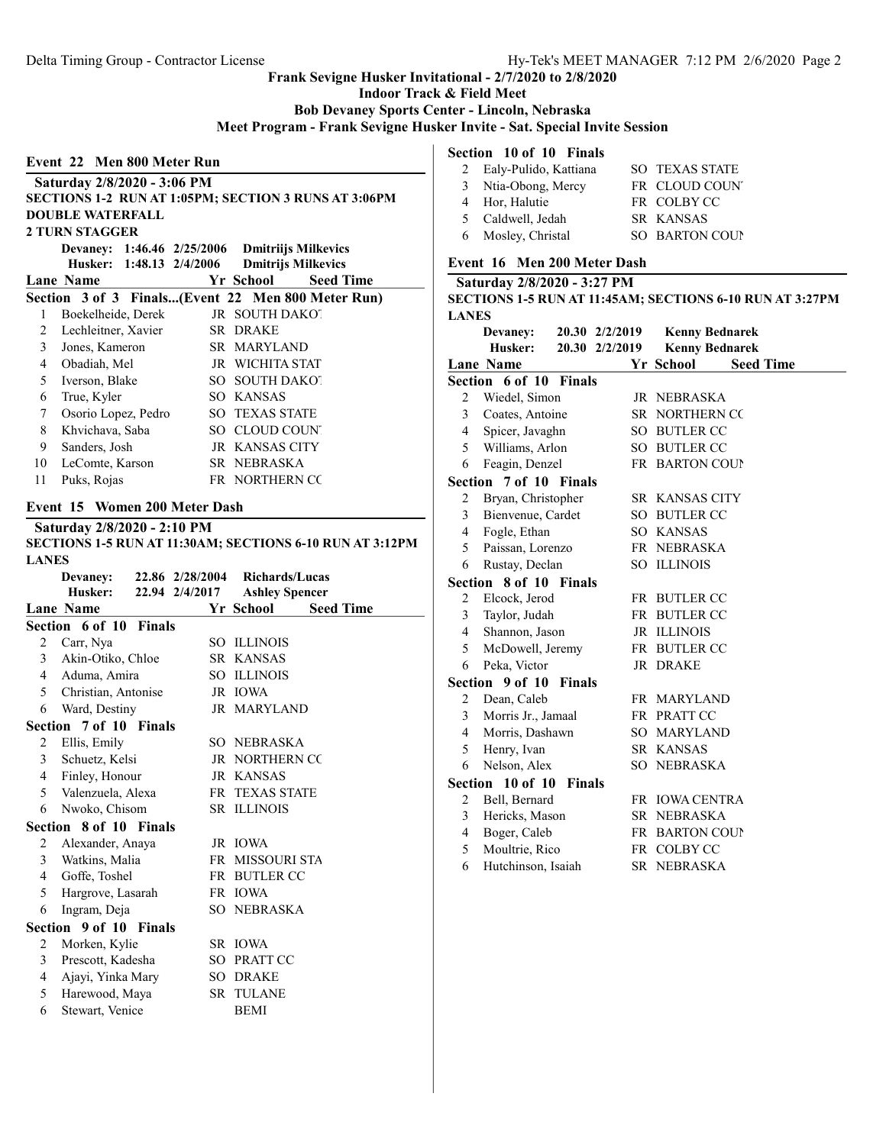Indoor Track & Field Meet

Bob Devaney Sports Center - Lincoln, Nebraska

Meet Program - Frank Sevigne Husker Invite - Sat. Special Invite Session

| Event 22 Men 800 Meter Run             |
|----------------------------------------|
| Saturday 2/8/2020 - 3:06 PM            |
| <b>SECTIONS 1-2 RIIN AT 1:05PM: SI</b> |

# ECTION 3 RUNS AT 3:06PM DOUBLE WATERFALL 2 TURN STAGGER Devaney: 1:46.46 2/25/2006 Dmitriijs Milkevics Husker: 1:48.13 2/4/2006 Lane Name **Seed Time Seed Time** Seed Time Section 3 of 3 Finals...(Event 22 Men 800 Meter Run) 1 Boekelheide, Derek JR SOUTH DAKOT 2 Lechleitner, Xavier SR DRAKE 3 Jones, Kameron SR MARYLAND 4 Obadiah, Mel JR WICHITA STAT 5 Iverson, Blake SO SOUTH DAKOT 6 True, Kyler SO KANSAS 7 Osorio Lopez, Pedro SO TEXAS STATE 8 Khvichava, Saba SO CLOUD COUNTY 9 Sanders, Josh JR KANSAS CITY 10 LeComte, Karson SR NEBRASKA 11 Puks, Rojas FR NORTHERN COL Event 15 Women 200 Meter Dash Saturday 2/8/2020 - 2:10 PM SECTIONS 1-5 RUN AT 11:30AM; SECTIONS 6-10 RUN AT 3:12PM LANES Devaney: 22.86 2/28/2004 Richards/Lucas Husker: 22.94 2/4/2017 Ashley Spencer Lane Name Seed Time Section 6 of 10 Finals 2 Carr, Nya SO ILLINOIS 3 Akin-Otiko, Chloe SR KANSAS 4 Aduma, Amira SO ILLINOIS 5 Christian, Antonise JR IOWA 6 Ward, Destiny JR MARYLAND Section 7 of 10 Finals 2 Ellis, Emily SO NEBRASKA 3 Schuetz, Kelsi JR NORTHERN CO

| 4 | Finley, Honour                | JR KANSAS              |
|---|-------------------------------|------------------------|
|   | 5 Valenzuela, Alexa           | FR TEXAS STATE         |
| 6 | Nwoko, Chisom                 | <b>SR ILLINOIS</b>     |
|   | <b>Section 8 of 10 Finals</b> |                        |
| 2 | Alexander, Anaya              | JR IOWA                |
|   | 3 Watkins, Malia              | <b>FR MISSOURI STA</b> |
|   | 4 Goffe, Toshel               | FR BUTLER CC           |
| 5 | Hargrove, Lasarah             | FR IOWA                |
| 6 | Ingram, Deja                  | SO NEBRASKA            |
|   | Section 9 of 10 Finals        |                        |
| 2 | Morken, Kylie                 | SR IOWA                |
| 3 | Prescott, Kadesha             | SO PRATT CC            |
| 4 | Ajayi, Yinka Mary             | SO DRAKE               |
| 5 | Harewood, Maya                | SR TULANE              |

6 Stewart, Venice BEMI

# Section 10 of 10 Finals

| 2 Ealy-Pulido, Kattiana | <b>SO TEXAS STATE</b> |
|-------------------------|-----------------------|
| 3 Ntia-Obong, Mercy     | FR CLOUD COUNT        |
| 4 Hor, Halutie          | FR COLBY CC           |
| 5 Caldwell, Jedah       | SR KANSAS             |
| 6 Mosley, Christal      | SO BARTON COUP        |

#### Event 16 Men 200 Meter Dash

#### Saturday 2/8/2020 - 3:27 PM SECTIONS 1-5 RUN AT 11:45AM; SECTIONS 6-10 RUN AT 3:27PM

|                |                        |               |                |                       | 920 1101 19 1101 121 11.794 11, 920 1101 19 10 101 11 12 11 11 |  |
|----------------|------------------------|---------------|----------------|-----------------------|----------------------------------------------------------------|--|
| <b>LANES</b>   |                        |               |                |                       |                                                                |  |
|                | Devaney:               |               | 20.30 2/2/2019 |                       | <b>Kenny Bednarek</b>                                          |  |
|                | Husker:                |               | 20.30 2/2/2019 |                       | <b>Kenny Bednarek</b>                                          |  |
|                | <b>Lane Name</b>       |               |                | Yr School             | <b>Seed Time</b>                                               |  |
|                | Section 6 of 10 Finals |               |                |                       |                                                                |  |
| $\overline{2}$ | Wiedel, Simon          |               |                | JR NEBRASKA           |                                                                |  |
| 3              | Coates, Antoine        |               |                | SR NORTHERN CC        |                                                                |  |
| 4              | Spicer, Javaghn        |               |                | SO BUTLER CC          |                                                                |  |
| 5              | Williams, Arlon        |               |                | SO BUTLER CC          |                                                                |  |
| 6              | Feagin, Denzel         |               |                | FR BARTON COUP        |                                                                |  |
|                | Section 7 of 10 Finals |               |                |                       |                                                                |  |
| 2              | Bryan, Christopher     |               |                | SR KANSAS CITY        |                                                                |  |
| 3              | Bienvenue, Cardet      |               |                | SO BUTLER CC          |                                                                |  |
| 4              | Fogle, Ethan           |               |                | SO KANSAS             |                                                                |  |
| 5              | Paissan, Lorenzo       |               |                | FR NEBRASKA           |                                                                |  |
| 6              | Rustay, Declan         |               |                | SO ILLINOIS           |                                                                |  |
|                | Section 8 of 10 Finals |               |                |                       |                                                                |  |
| $\overline{2}$ | Elcock, Jerod          |               |                | FR BUTLER CC          |                                                                |  |
| 3              | Taylor, Judah          |               |                | FR BUTLER CC          |                                                                |  |
| 4              | Shannon, Jason         |               |                | JR ILLINOIS           |                                                                |  |
| 5              | McDowell, Jeremy       |               |                | FR BUTLER CC          |                                                                |  |
| 6              | Peka, Victor           |               |                | JR DRAKE              |                                                                |  |
|                | Section 9 of 10        | <b>Finals</b> |                |                       |                                                                |  |
| $\overline{c}$ | Dean, Caleb            |               |                | FR MARYLAND           |                                                                |  |
| 3              | Morris Jr., Jamaal     |               |                | FR PRATT CC           |                                                                |  |
| $\overline{4}$ | Morris, Dashawn        |               |                | SO MARYLAND           |                                                                |  |
| 5              | Henry, Ivan            |               |                | SR KANSAS             |                                                                |  |
| 6              | Nelson, Alex           |               |                | SO NEBRASKA           |                                                                |  |
|                | Section 10 of 10       | <b>Finals</b> |                |                       |                                                                |  |
| 2              | Bell, Bernard          |               |                | FR IOWA CENTRA        |                                                                |  |
| 3              | Hericks, Mason         |               |                | SR NEBRASKA           |                                                                |  |
| $\overline{4}$ | Boger, Caleb           |               |                | <b>FR BARTON COUP</b> |                                                                |  |
| 5              | Moultrie, Rico         |               |                | FR COLBY CC           |                                                                |  |
| 6              | Hutchinson, Isaiah     |               |                | SR NEBRASKA           |                                                                |  |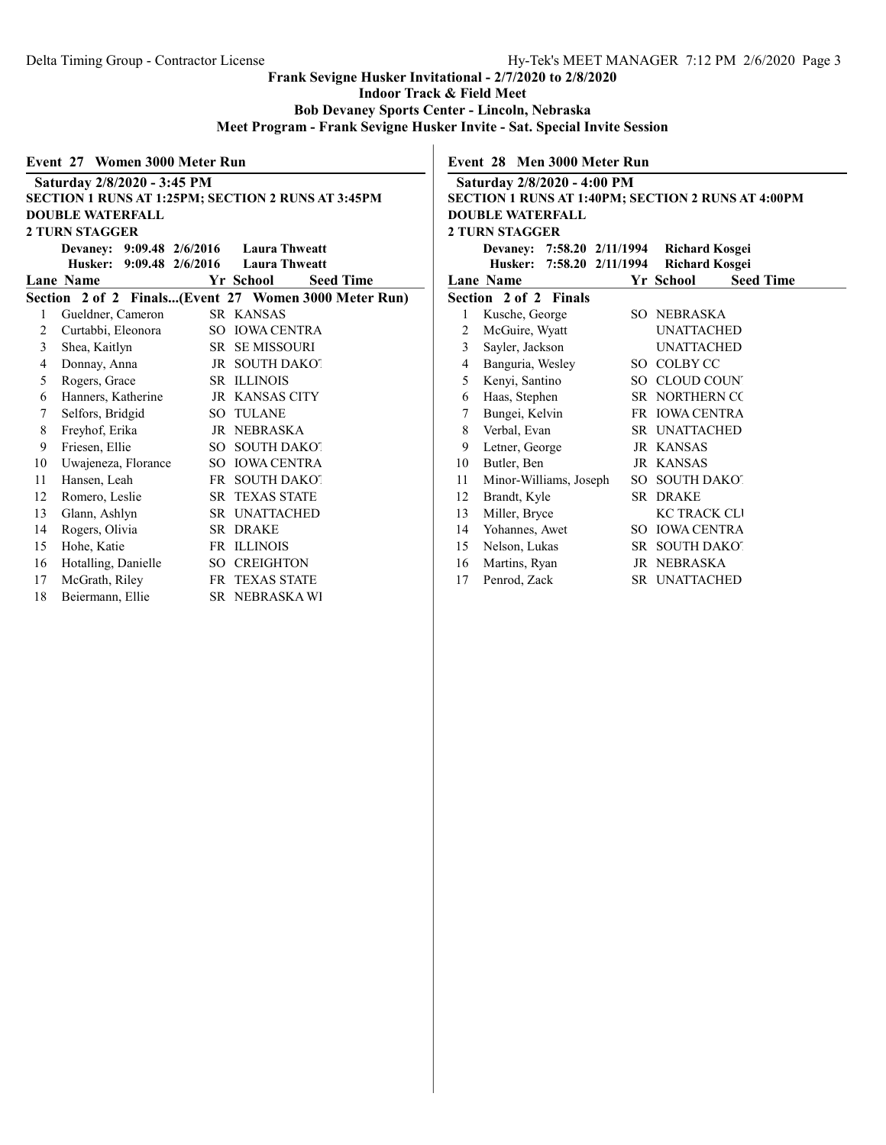Indoor Track & Field Meet

Bob Devaney Sports Center - Lincoln, Nebraska

Meet Program - Frank Sevigne Husker Invite - Sat. Special Invite Session

### Event 27 Women 3000 Meter Run

|    | Saturday 2/8/2020 - 3:45 PM                          |  |                       |                  |  |  |  |
|----|------------------------------------------------------|--|-----------------------|------------------|--|--|--|
|    | SECTION 1 RUNS AT 1:25PM; SECTION 2 RUNS AT 3:45PM   |  |                       |                  |  |  |  |
|    | <b>DOUBLE WATERFALL</b>                              |  |                       |                  |  |  |  |
|    | <b>2 TURN STAGGER</b>                                |  |                       |                  |  |  |  |
|    | Devaney: 9:09.48 2/6/2016 Laura Thweatt              |  |                       |                  |  |  |  |
|    | Husker: 9:09.48 2/6/2016 Laura Thweatt               |  |                       |                  |  |  |  |
|    | <b>Lane Name</b>                                     |  | Yr School             | <b>Seed Time</b> |  |  |  |
|    | Section 2 of 2 Finals(Event 27 Women 3000 Meter Run) |  |                       |                  |  |  |  |
| 1  | Gueldner, Cameron                                    |  | SR KANSAS             |                  |  |  |  |
| 2  | Curtabbi, Eleonora                                   |  | SO IOWA CENTRA        |                  |  |  |  |
| 3  | Shea, Kaitlyn                                        |  | <b>SR SEMISSOURI</b>  |                  |  |  |  |
| 4  | Donnay, Anna                                         |  | JR SOUTH DAKOT        |                  |  |  |  |
| 5  | Rogers, Grace                                        |  | <b>SR ILLINOIS</b>    |                  |  |  |  |
| 6  | Hanners, Katherine                                   |  | JR KANSAS CITY        |                  |  |  |  |
| 7  | Selfors, Bridgid                                     |  | <b>SO TULANE</b>      |                  |  |  |  |
| 8  | Freyhof, Erika                                       |  | JR NEBRASKA           |                  |  |  |  |
| 9  | Friesen, Ellie                                       |  | SO SOUTH DAKOT        |                  |  |  |  |
| 10 | Uwajeneza, Florance                                  |  | SO IOWA CENTRA        |                  |  |  |  |
| 11 | Hansen, Leah                                         |  | FR SOUTH DAKOT        |                  |  |  |  |
| 12 | Romero, Leslie                                       |  | <b>SR TEXAS STATE</b> |                  |  |  |  |
| 13 | Glann, Ashlyn                                        |  | SR UNATTACHED         |                  |  |  |  |
| 14 | Rogers, Olivia                                       |  | SR DRAKE              |                  |  |  |  |
| 15 | Hohe, Katie                                          |  | FR ILLINOIS           |                  |  |  |  |
| 16 | Hotalling, Danielle                                  |  | <b>SO CREIGHTON</b>   |                  |  |  |  |
| 17 | McGrath, Riley                                       |  | FR TEXAS STATE        |                  |  |  |  |
| 18 | Beiermann, Ellie                                     |  | SR NEBRASKA WI        |                  |  |  |  |
|    |                                                      |  |                       |                  |  |  |  |

Event 28 Men 3000 Meter Run

| Saturday 2/8/2020 - 4:00 PM                        |                                           |        |                       |                  |  |  |  |  |
|----------------------------------------------------|-------------------------------------------|--------|-----------------------|------------------|--|--|--|--|
| SECTION 1 RUNS AT 1:40PM; SECTION 2 RUNS AT 4:00PM |                                           |        |                       |                  |  |  |  |  |
| <b>DOUBLE WATERFALL</b>                            |                                           |        |                       |                  |  |  |  |  |
| <b>2 TURN STAGGER</b>                              |                                           |        |                       |                  |  |  |  |  |
|                                                    | Devaney: 7:58.20 2/11/1994 Richard Kosgei |        |                       |                  |  |  |  |  |
|                                                    | Husker: 7:58.20 2/11/1994                 |        | <b>Richard Kosgei</b> |                  |  |  |  |  |
|                                                    | Lane Name                                 |        | Yr School             | <b>Seed Time</b> |  |  |  |  |
|                                                    | Section 2 of 2 Finals                     |        |                       |                  |  |  |  |  |
| 1                                                  | Kusche, George                            |        | SO NEBRASKA           |                  |  |  |  |  |
| 2                                                  | McGuire, Wyatt                            |        | <b>UNATTACHED</b>     |                  |  |  |  |  |
| 3                                                  | Sayler, Jackson                           |        | <b>UNATTACHED</b>     |                  |  |  |  |  |
| 4                                                  | Banguria, Wesley                          | SO.    | <b>COLBY CC</b>       |                  |  |  |  |  |
| 5                                                  | Kenyi, Santino                            |        | SO CLOUD COUN         |                  |  |  |  |  |
| 6                                                  | Haas, Stephen                             |        | SR NORTHERN CC        |                  |  |  |  |  |
| 7                                                  | Bungei, Kelvin<br>FR IOWA CENTRA          |        |                       |                  |  |  |  |  |
| 8                                                  | Verbal, Evan                              |        | SR UNATTACHED         |                  |  |  |  |  |
| 9                                                  | Letner, George                            |        | <b>JR KANSAS</b>      |                  |  |  |  |  |
| 10                                                 | Butler, Ben                               |        | JR KANSAS             |                  |  |  |  |  |
| 11                                                 | Minor-Williams, Joseph                    | $SO^-$ | <b>SOUTH DAKOT</b>    |                  |  |  |  |  |
| 12                                                 | Brandt, Kyle                              |        | SR DRAKE              |                  |  |  |  |  |
| 13                                                 | Miller, Bryce                             |        | <b>KC TRACK CLI</b>   |                  |  |  |  |  |
| 14                                                 | Yohannes, Awet                            | SO.    | <b>IOWA CENTRA</b>    |                  |  |  |  |  |
| 15                                                 | Nelson, Lukas                             |        | SR SOUTH DAKOT        |                  |  |  |  |  |
| 16                                                 | Martins, Ryan                             |        | JR NEBRASKA           |                  |  |  |  |  |
| 17                                                 | Penrod, Zack                              |        | SR UNATTACHED         |                  |  |  |  |  |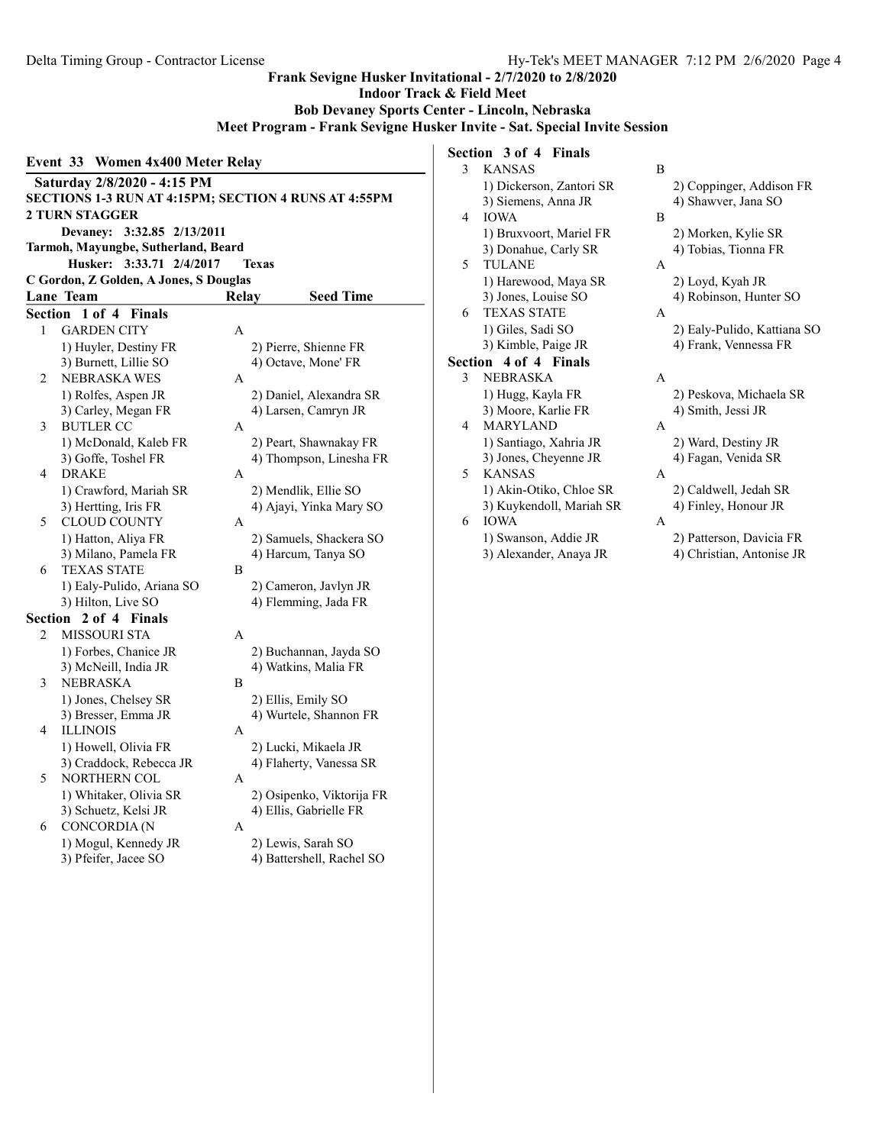## Indoor Track & Field Meet Bob Devaney Sports Center - Lincoln, Nebraska Meet Program - Frank Sevigne Husker Invite - Sat. Special Invite Session Event 33 Women 4x400 Meter Relay Saturday 2/8/2020 - 4:15 PM SECTIONS 1-3 RUN AT 4:15PM; SECTION 4 RUNS AT 4:55PM 2 TURN STAGGER Devaney: 3:32.85 2/13/2011 Tarmoh, Mayungbe, Sutherland, Beard Husker: 3:33.71 2/4/2017 Texas C Gordon, Z Golden, A Jones, S Douglas Lane Team Relay Seed Time Section 1 of 4 Finals 1 GARDEN CITY A 1) Huyler, Destiny FR 2) Pierre, Shienne FR 3) Burnett, Lillie SO 4) Octave, Mone' FR 2 NEBRASKA WES A 1) Rolfes, Aspen JR 2) Daniel, Alexandra SR 3) Carley, Megan FR 4) Larsen, Camryn JR 3 BUTLER CC A 1) McDonald, Kaleb FR 2) Peart, Shawnakay FR 3) Goffe, Toshel FR 4) Thompson, Linesha FR 4 DRAKE A 1) Crawford, Mariah SR 2) Mendlik, Ellie SO 3) Hertting, Iris FR 4) Ajayi, Yinka Mary SO 5 CLOUD COUNTY A 1) Hatton, Aliya FR 2) Samuels, Shackera SO 3) Milano, Pamela FR 4) Harcum, Tanya SO 6 TEXAS STATE B 1) Ealy-Pulido, Ariana SO 2) Cameron, Javlyn JR 3) Hilton, Live SO 4) Flemming, Jada FR Section 2 of 4 Finals 2 MISSOURI STA A 1) Forbes, Chanice JR 2) Buchannan, Jayda SO 3) McNeill, India JR 4) Watkins, Malia FR

4) Ellis, Gabrielle FR

- 3 NEBRASKA B 1) Jones, Chelsey SR 2) Ellis, Emily SO 3) Bresser, Emma JR 4) Wurtele, Shannon FR 4 ILLINOIS A 1) Howell, Olivia FR 2) Lucki, Mikaela JR
- 3) Craddock, Rebecca JR 4) Flaherty, Vanessa SR 5 NORTHERN COL A 1) Whitaker, Olivia SR 2) Osipenko, Viktorija FR<br>
3) Schuetz, Kelsi JR 4) Ellis, Gabrielle FR
- 6 CONCORDIA (N A 1) Mogul, Kennedy JR 2) Lewis, Sarah SO 3) Pfeifer, Jacee SO 4) Battershell, Rachel SO

# Section 3 of 4 Finals

Frank Sevigne Husker Invitational - 2/7/2020 to 2/8/2020

| 3                       | <b>KANSAS</b>            | B            |                             |
|-------------------------|--------------------------|--------------|-----------------------------|
|                         | 1) Dickerson, Zantori SR |              | 2) Coppinger, Addison FR    |
|                         | 3) Siemens, Anna JR      |              | 4) Shawver, Jana SO         |
| 4                       | <b>IOWA</b>              | B            |                             |
|                         | 1) Bruxvoort, Mariel FR  |              | 2) Morken, Kylie SR         |
|                         | 3) Donahue, Carly SR     |              | 4) Tobias, Tionna FR        |
| $\overline{\mathbf{5}}$ | <b>TULANE</b>            | $\mathsf{A}$ |                             |
|                         | 1) Harewood, Maya SR     |              | 2) Loyd, Kyah JR            |
|                         | 3) Jones, Louise SO      |              | 4) Robinson, Hunter SO      |
| 6                       | <b>TEXAS STATE</b>       | A            |                             |
|                         | 1) Giles, Sadi SO        |              | 2) Ealy-Pulido, Kattiana SO |
|                         | 3) Kimble, Paige JR      |              | 4) Frank, Vennessa FR       |
|                         | Section 4 of 4 Finals    |              |                             |
| 3                       | <b>NEBRASKA</b>          | A            |                             |
|                         | 1) Hugg, Kayla FR        |              | 2) Peskova, Michaela SR     |
|                         | 3) Moore, Karlie FR      |              | 4) Smith, Jessi JR          |
| 4                       | <b>MARYLAND</b>          | A            |                             |
|                         | 1) Santiago, Xahria JR   |              | 2) Ward, Destiny JR         |
|                         | 3) Jones, Cheyenne JR    |              | 4) Fagan, Venida SR         |
| 5                       | <b>KANSAS</b>            | A            |                             |
|                         | 1) Akin-Otiko, Chloe SR  |              | 2) Caldwell, Jedah SR       |
|                         | 3) Kuykendoll, Mariah SR |              | 4) Finley, Honour JR        |
| 6                       | <b>IOWA</b>              | A            |                             |
|                         | 1) Swanson, Addie JR     |              | 2) Patterson, Davicia FR    |
|                         | 3) Alexander, Anaya JR   |              | 4) Christian, Antonise JR   |
|                         |                          |              |                             |
|                         |                          |              |                             |